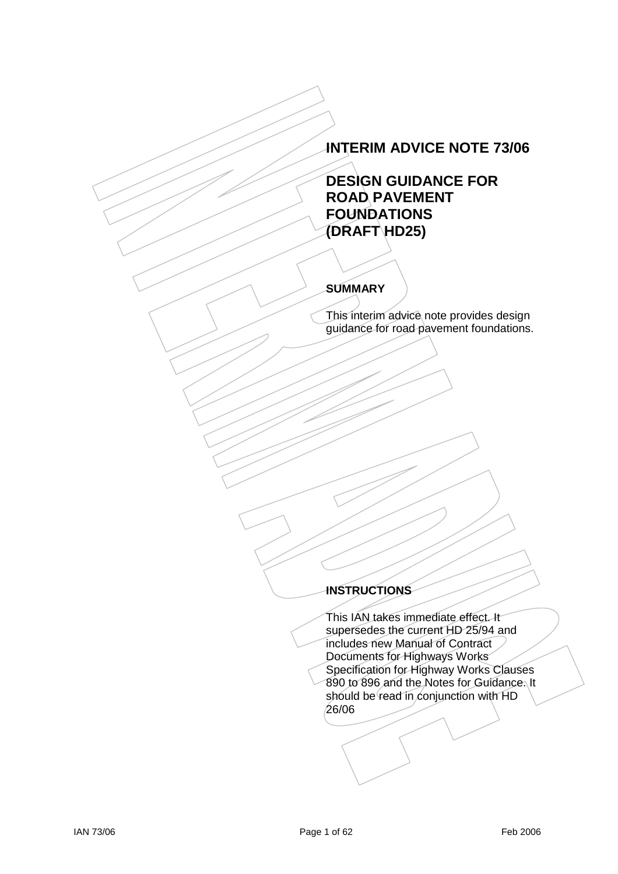# **INTERIM ADVICE NOTE 73/06**

# **DESIGN GUIDANCE FOR ROAD PAVEMENT FOUNDATIONS (DRAFT HD25)**

# **SUMMARY**

This interim advice note provides design guidance for road pavement foundations.

# **INSTRUCTIONS**

This IAN takes immediate effect. It supersedes the current HD 25/94 and includes new Manual of Contract Documents for Highways Works Specification for Highway Works Clauses 890 to 896 and the Notes for Guidance. It should be read in conjunction with HD 26/06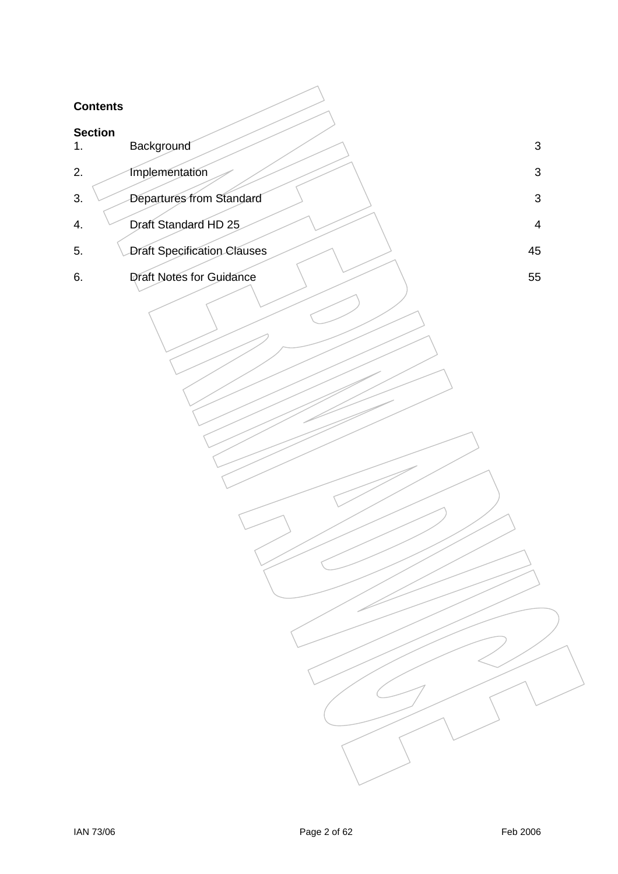## **Contents**

| <b>Contents</b>      |                                    |                           |
|----------------------|------------------------------------|---------------------------|
| <b>Section</b><br>1. | Background                         | $\ensuremath{\mathsf{3}}$ |
| 2.                   | <b>Implementation</b>              | $\sqrt{3}$                |
| 3.                   | Departures from Standard           | $\mathsf 3$               |
| 4.                   | Draft Standard HD 25               | $\overline{4}$            |
| 5.                   | <b>Draft Specification Clauses</b> | 45                        |
| 6.                   | Draft Notes for Guidance           | 55                        |
|                      |                                    |                           |
|                      |                                    |                           |
|                      |                                    |                           |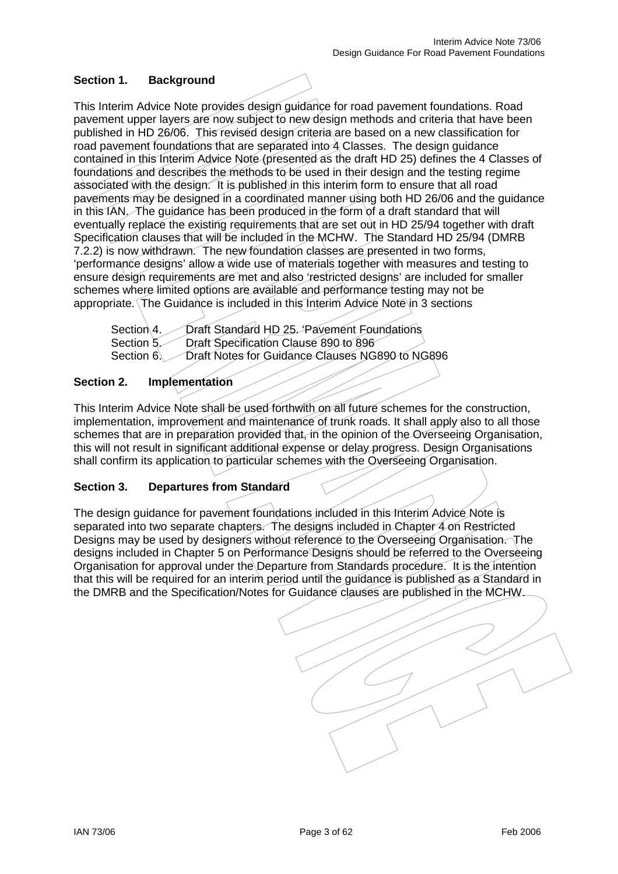# **Section 1. Background**

This Interim Advice Note provides design guidance for road pavement foundations. Road pavement upper layers are now subject to new design methods and criteria that have been published in HD 26/06. This revised design criteria are based on a new classification for road pavement foundations that are separated into 4 Classes. The design guidance contained in this Interim Advice Note (presented as the draft HD 25) defines the 4 Classes of foundations and describes the methods to be used in their design and the testing regime associated with the design. It is published in this interim form to ensure that all road pavements may be designed in a coordinated manner using both HD 26/06 and the guidance in this IAN. The guidance has been produced in the form of a draft standard that will eventually replace the existing requirements that are set out in HD 25/94 together with draft Specification clauses that will be included in the MCHW. The Standard HD 25/94 (DMRB 7.2.2) is now withdrawn. The new foundation classes are presented in two forms, 'performance designs' allow a wide use of materials together with measures and testing to ensure design requirements are met and also 'restricted designs' are included for smaller schemes where limited options are available and performance testing may not be appropriate. The Guidance is included in this Interim Advice Note in 3 sections

Section 4. Draft Standard HD 25. 'Pavement Foundations Section 5. Draft Specification Clause 890 to 896<br>Section 6. Draft Notes for Guidance Clauses NG Draft Notes for Guidance Clauses NG890 to NG896

### **Section 2. Implementation**

This Interim Advice Note shall be used forthwith on all future schemes for the construction, implementation, improvement and maintenance of trunk roads. It shall apply also to all those schemes that are in preparation provided that, in the opinion of the Overseeing Organisation, this will not result in significant additional expense or delay progress. Design Organisations shall confirm its application to particular schemes with the Overseeing Organisation.

### **Section 3. Departures from Standard**

The design guidance for pavement foundations included in this Interim Advice Note is separated into two separate chapters. The designs included in Chapter 4 on Restricted Designs may be used by designers without reference to the Overseeing Organisation. The designs included in Chapter 5 on Performance Designs should be referred to the Overseeing Organisation for approval under the Departure from Standards procedure. It is the intention that this will be required for an interim period until the guidance is published as a Standard in the DMRB and the Specification/Notes for Guidance clauses are published in the MCHW.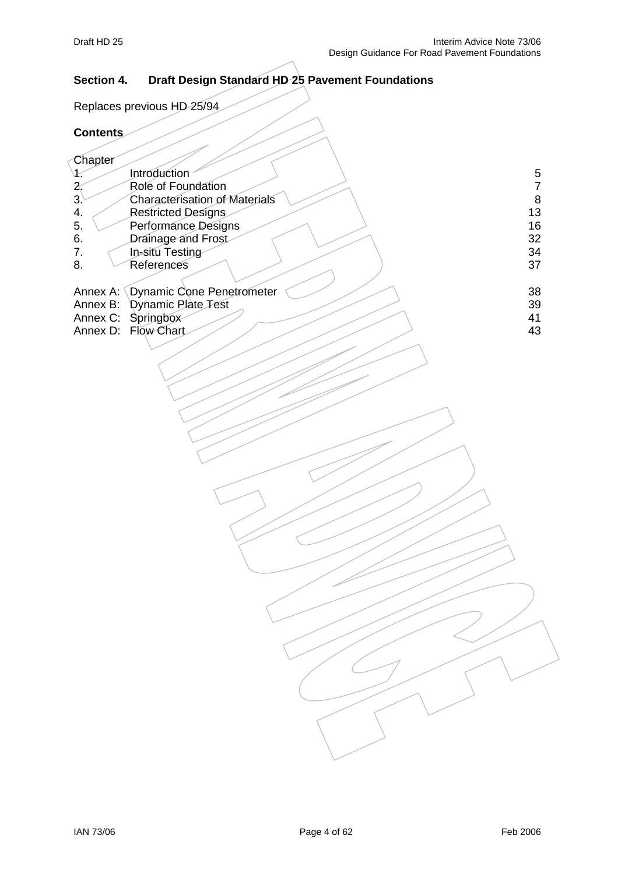# **Section 4. Draft Design Standard HD 25 Pavement Foundations**

Replaces previous HD 25/94

## **Contents**

 $\langle$ 

| Chapter |                                    |    |
|---------|------------------------------------|----|
|         | Introduction                       | 5  |
|         | Role of Foundation                 | 7  |
| 3.      | Characterisation of Materials      | 8  |
| 4.      | Restricted Designs                 | 13 |
| 5.      | Performance Designs                | 16 |
| 6.      | Drainage and Frost                 | 32 |
| 7.      | In-situ Testing                    | 34 |
| 8.      | References                         | 37 |
|         |                                    |    |
|         | Annex A: Dynamic Cone Penetrometer | 38 |
|         | Annex B: Dynamic Plate Test        | 39 |
|         | Annex C: Springbox                 | 41 |
|         | Annex D: Flow Chart                | 43 |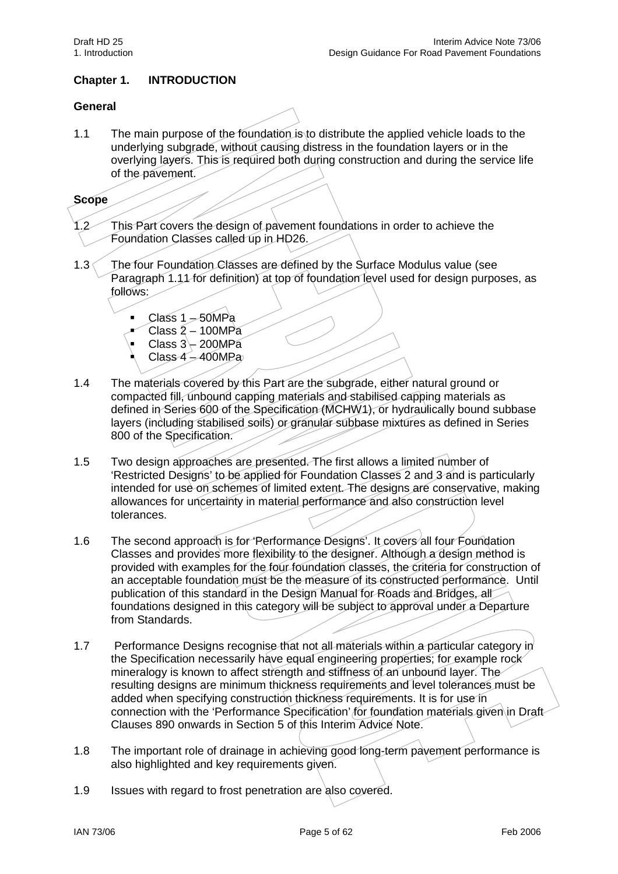# **Chapter 1. INTRODUCTION**

#### **General**

1.1 The main purpose of the foundation is to distribute the applied vehicle loads to the underlying subgrade, without causing distress in the foundation layers or in the overlying layers. This is required both during construction and during the service life of the pavement.

#### **Scope**

- 1.2 This Part covers the design of pavement foundations in order to achieve the Foundation Classes called up in HD26.
- 1.3 The four Foundation Classes are defined by the Surface Modulus value (see Paragraph 1.11 for definition) at top of foundation level used for design purposes, as follows:
	- Class  $1 50MPa$
	- Class 2 100MPa
	- Class  $3 200$ MPa
	- Class  $4 400$ MPa
- 1.4 The materials covered by this Part are the subgrade, either natural ground or compacted fill, unbound capping materials and stabilised capping materials as defined in Series 600 of the Specification (MCHW1), or hydraulically bound subbase layers (including stabilised soils) or granular subbase mixtures as defined in Series 800 of the Specification.
- 1.5 Two design approaches are presented. The first allows a limited number of 'Restricted Designs' to be applied for Foundation Classes 2 and 3 and is particularly intended for use on schemes of limited extent. The designs are conservative, making allowances for uncertainty in material performance and also construction level tolerances.
- 1.6 The second approach is for 'Performance Designs'. It covers all four Foundation Classes and provides more flexibility to the designer. Although a design method is provided with examples for the four foundation classes, the criteria for construction of an acceptable foundation must be the measure of its constructed performance. Until publication of this standard in the Design Manual for Roads and Bridges, all foundations designed in this category will be subject to approval under a Departure from Standards.
- 1.7 Performance Designs recognise that not all materials within a particular category in the Specification necessarily have equal engineering properties; for example rock mineralogy is known to affect strength and stiffness of an unbound layer. The resulting designs are minimum thickness requirements and level tolerances must be added when specifying construction thickness requirements. It is for use in connection with the 'Performance Specification' for foundation materials given in Draft Clauses 890 onwards in Section 5 of this Interim Advice Note.
- 1.8 The important role of drainage in achieving good long-term pavement performance is also highlighted and key requirements given.
- 1.9 Issues with regard to frost penetration are also covered.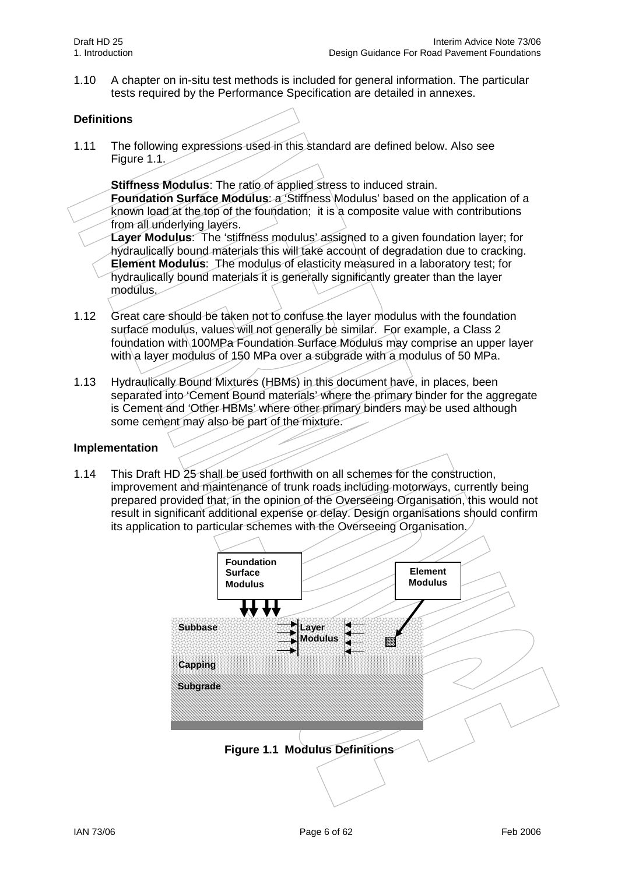1.10 A chapter on in-situ test methods is included for general information. The particular tests required by the Performance Specification are detailed in annexes.

# **Definitions**

1.11 The following expressions used in this standard are defined below. Also see Figure  $1.1.$ 

**Stiffness Modulus**: The ratio of applied stress to induced strain. **Foundation Surface Modulus**: a 'Stiffness Modulus' based on the application of a known load at the top of the foundation; it is a composite value with contributions from all underlying layers.

**Layer Modulus**: The 'stiffness modulus' assigned to a given foundation layer; for hydraulically bound materials this will take account of degradation due to cracking. **Element Modulus**: The modulus of elasticity measured in a laboratory test; for hydraulically bound materials it is generally significantly greater than the layer modulus.

- 1.12 Great care should be taken not to confuse the layer modulus with the foundation surface modulus, values will not generally be similar. For example, a Class 2 foundation with 100MPa Foundation Surface Modulus may comprise an upper layer with a layer modulus of 150 MPa over a subgrade with a modulus of 50 MPa.
- 1.13 Hydraulically Bound Mixtures (HBMs) in this document have, in places, been separated into 'Cement Bound materials' where the primary binder for the aggregate is Cement and 'Other HBMs' where other primary binders may be used although some cement may also be part of the mixture.

### **Implementation**

1.14 This Draft HD 25 shall be used forthwith on all schemes for the construction, improvement and maintenance of trunk roads including motorways, currently being prepared provided that, in the opinion of the Overseeing Organisation, this would not result in significant additional expense or delay. Design organisations should confirm its application to particular schemes with the Overseeing Organisation.

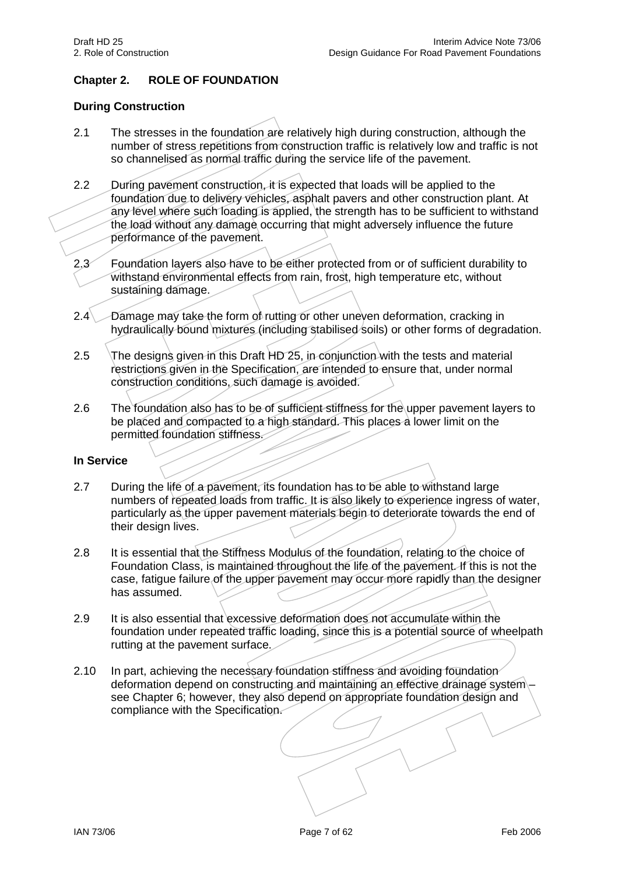# **Chapter 2. ROLE OF FOUNDATION**

## **During Construction**

- 2.1 The stresses in the foundation are relatively high during construction, although the number of stress repetitions from construction traffic is relatively low and traffic is not so channelised as normal traffic during the service life of the pavement.
- 2.2 During pavement construction, it is expected that loads will be applied to the foundation due to delivery vehicles, asphalt pavers and other construction plant. At any level where such loading is applied, the strength has to be sufficient to withstand the load without any damage occurring that might adversely influence the future performance of the pavement.
- 2.3 Foundation layers also have to be either protected from or of sufficient durability to withstand environmental effects from rain, frost, high temperature etc, without sustaining damage.
- 2.4 Damage may take the form of rutting or other uneven deformation, cracking in hydraulically bound mixtures (including stabilised soils) or other forms of degradation.
- 2.5 The designs given in this Draft HD 25, in conjunction with the tests and material restrictions given in the Specification, are intended to ensure that, under normal construction conditions, such damage is avoided.
- 2.6 The foundation also has to be of sufficient stiffness for the upper pavement layers to be placed and compacted to a high standard. This places a lower limit on the permitted foundation stiffness.

### **In Service**

- 2.7 During the life of a pavement, its foundation has to be able to withstand large numbers of repeated loads from traffic. It is also likely to experience ingress of water, particularly as the upper pavement materials begin to deteriorate towards the end of their design lives.
- 2.8 It is essential that the Stiffness Modulus of the foundation, relating to the choice of Foundation Class, is maintained throughout the life of the pavement. If this is not the case, fatigue failure of the upper pavement may occur more rapidly than the designer has assumed.
- 2.9 It is also essential that excessive deformation does not accumulate within the foundation under repeated traffic loading, since this is a potential source of wheelpath rutting at the pavement surface.
- 2.10 In part, achieving the necessary foundation stiffness and avoiding foundation deformation depend on constructing and maintaining an effective drainage system – see Chapter 6; however, they also depend on appropriate foundation design and compliance with the Specification.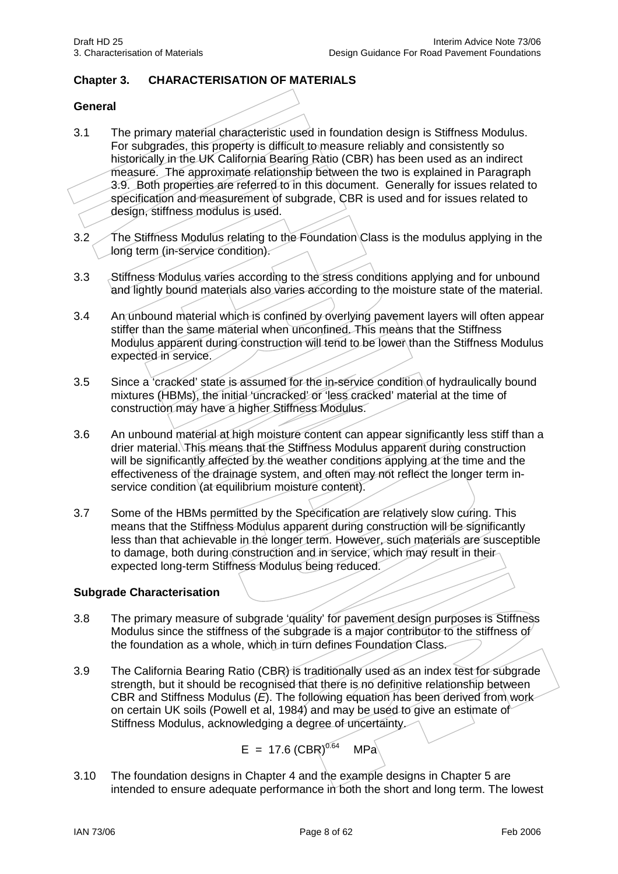# **Chapter 3. CHARACTERISATION OF MATERIALS**

#### **General**

- 3.1 The primary material characteristic used in foundation design is Stiffness Modulus. For subgrades, this property is difficult to measure reliably and consistently so historically in the UK California Bearing Ratio (CBR) has been used as an indirect measure. The approximate relationship between the two is explained in Paragraph 3.9. Both properties are referred to in this document. Generally for issues related to specification and measurement of subgrade, CBR is used and for issues related to design, stiffness modulus is used.
- 3.2 The Stiffness Modulus relating to the Foundation Class is the modulus applying in the long term (in-service condition).
- 3.3 Stiffness Modulus varies according to the stress conditions applying and for unbound and lightly bound materials also varies according to the moisture state of the material.
- 3.4 An unbound material which is confined by overlying pavement layers will often appear stiffer than the same material when unconfined. This means that the Stiffness Modulus apparent during construction will tend to be lower than the Stiffness Modulus expected in service.
- 3.5 Since a 'cracked' state is assumed for the in-service condition of hydraulically bound mixtures (HBMs), the initial 'uncracked' or 'less cracked' material at the time of construction may have a higher Stiffness Modulus.
- 3.6 An unbound material at high moisture content can appear significantly less stiff than a drier material. This means that the Stiffness Modulus apparent during construction will be significantly affected by the weather conditions applying at the time and the effectiveness of the drainage system, and often may not reflect the longer term inservice condition (at equilibrium moisture content).
- 3.7 Some of the HBMs permitted by the Specification are relatively slow curing. This means that the Stiffness Modulus apparent during construction will be significantly less than that achievable in the longer term. However, such materials are susceptible to damage, both during construction and in service, which may result in their expected long-term Stiffness Modulus being reduced.

#### **Subgrade Characterisation**

- 3.8 The primary measure of subgrade 'quality' for pavement design purposes is Stiffness Modulus since the stiffness of the subgrade is a major contributor to the stiffness of the foundation as a whole, which in turn defines Foundation Class.
- 3.9 The California Bearing Ratio (CBR) is traditionally used as an index test for subgrade strength, but it should be recognised that there is no definitive relationship between CBR and Stiffness Modulus (*E*). The following equation has been derived from work on certain UK soils (Powell et al. 1984) and may be used to give an estimate of Stiffness Modulus, acknowledging a degree of uncertainty.

$$
E = 17.6 (CBR)^{0.64} \quad MPa
$$

3.10 The foundation designs in Chapter 4 and the example designs in Chapter 5 are intended to ensure adequate performance in both the short and long term. The lowest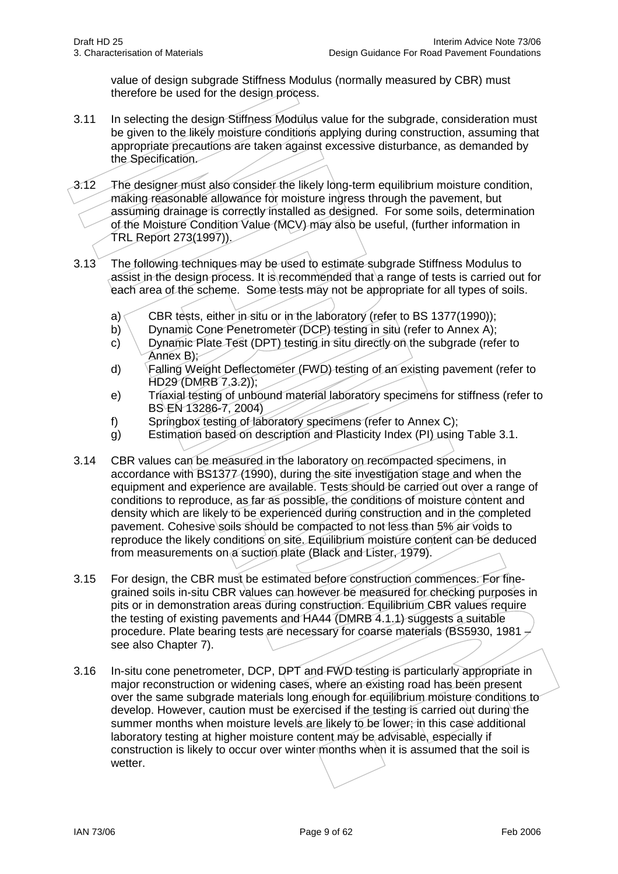value of design subgrade Stiffness Modulus (normally measured by CBR) must therefore be used for the design process.

- 3.11 In selecting the design Stiffness Modulus value for the subgrade, consideration must be given to the likely moisture conditions applying during construction, assuming that appropriate precautions are taken against excessive disturbance, as demanded by the Specification.
- 3.12 The designer must also consider the likely long-term equilibrium moisture condition, making reasonable allowance for moisture ingress through the pavement, but assuming drainage is correctly installed as designed. For some soils, determination of the Moisture Condition Value (MCV) may also be useful, (further information in TRL Report 273(1997)).
- 3.13 The following techniques may be used to estimate subgrade Stiffness Modulus to assist in the design process. It is recommended that a range of tests is carried out for each area of the scheme. Some tests may not be appropriate for all types of soils.
	- a) CBR tests, either in situ or in the laboratory (refer to BS 1377(1990));
	- b) Dynamic Cone Penetrometer (DCP) testing in situ (refer to Annex A);
	- c) Dynamic Plate Test (DPT) testing in situ directly on the subgrade (refer to Annex B);
	- d) Falling Weight Deflectometer (FWD) testing of an existing pavement (refer to HD29 (DMRB 7.3.2));
	- e) Triaxial testing of unbound material laboratory specimens for stiffness (refer to BS EN 13286-7, 2004)
	- f) Springbox testing of laboratory specimens (refer to Annex C);
	- g) Estimation based on description and Plasticity Index (PI) using Table 3.1.
- 3.14 CBR values can be measured in the laboratory on recompacted specimens, in accordance with BS1377 (1990), during the site investigation stage and when the equipment and experience are available. Tests should be carried out over a range of conditions to reproduce, as far as possible, the conditions of moisture content and density which are likely to be experienced during construction and in the completed pavement. Cohesive soils should be compacted to not less than 5% air voids to reproduce the likely conditions on site. Equilibrium moisture content can be deduced from measurements on a suction plate (Black and Lister, 1979).
- 3.15 For design, the CBR must be estimated before construction commences. For finegrained soils in-situ CBR values can however be measured for checking purposes in pits or in demonstration areas during construction. Equilibrium CBR values require the testing of existing pavements and HA44 (DMRB 4.1.1) suggests a suitable procedure. Plate bearing tests are necessary for coarse materials (BS5930, 1981 – see also Chapter 7).
- 3.16 In-situ cone penetrometer, DCP, DPT and FWD testing is particularly appropriate in major reconstruction or widening cases, where an existing road has been present over the same subgrade materials long enough for equilibrium moisture conditions to develop. However, caution must be exercised if the testing is carried out during the summer months when moisture levels are likely to be lower; in this case additional laboratory testing at higher moisture content may be advisable, especially if construction is likely to occur over winter months when it is assumed that the soil is wetter.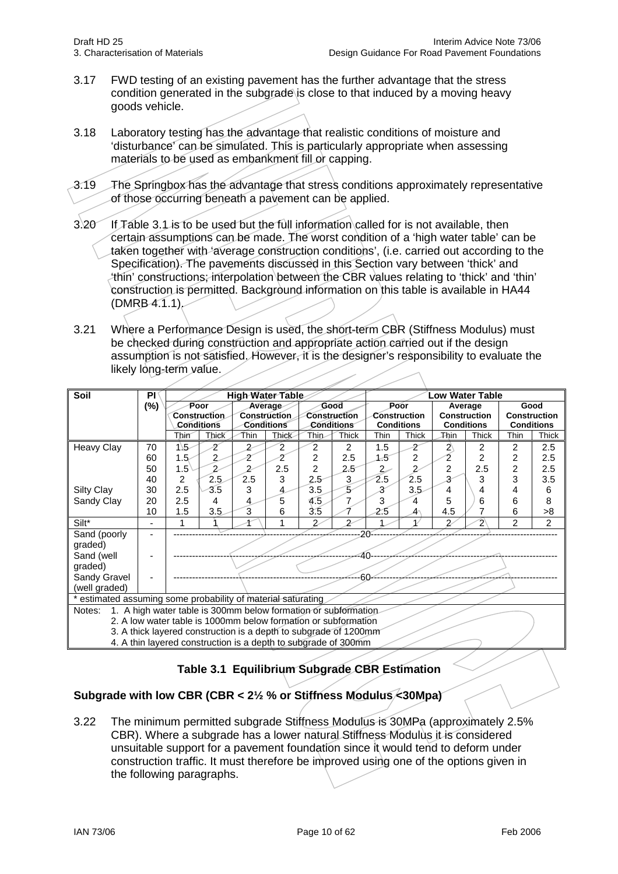- 3.17 FWD testing of an existing pavement has the further advantage that the stress condition generated in the subgrade is close to that induced by a moving heavy goods vehicle.
- 3.18 Laboratory testing has the advantage that realistic conditions of moisture and 'disturbance' can be simulated. This is particularly appropriate when assessing materials to be used as embankment fill or capping.
- 3.19 The Springbox has the advantage that stress conditions approximately representative of those occurring beneath a pavement can be applied.
- 3.20 If Table 3.1 is to be used but the full information called for is not available, then certain assumptions can be made. The worst condition of a 'high water table' can be taken together with 'average construction conditions', (i.e. carried out according to the Specification). The pavements discussed in this Section vary between 'thick' and 'thin' constructions; interpolation between the CBR values relating to 'thick' and 'thin' construction is permitted. Background information on this table is available in HA44  $(DMRB4.1.1)$
- 3.21 Where a Performance Design is used, the short-term CBR (Stiffness Modulus) must be checked during construction and appropriate action carried out if the design assumption is not satisfied. However, it is the designer's responsibility to evaluate the likely long-term value.

| Soil                                                                      | PI     | High Water Table |                |                |              |                | Low Water Table |                                     |                   |                     |                   |                |                   |
|---------------------------------------------------------------------------|--------|------------------|----------------|----------------|--------------|----------------|-----------------|-------------------------------------|-------------------|---------------------|-------------------|----------------|-------------------|
|                                                                           | $(\%)$ | Poor             |                | Average        |              | Good           |                 | Poor                                |                   | Average             |                   | Good           |                   |
|                                                                           |        |                  | Construction   |                | Construction | Construction   |                 | <b>Construction</b><br>Construction |                   | <b>Construction</b> |                   |                |                   |
|                                                                           |        |                  | Conditions     |                | Conditions   |                | Conditions      |                                     | <b>Conditions</b> |                     | <b>Conditions</b> |                | <b>Conditions</b> |
|                                                                           |        | Thin             | Thick          | Thin           | Thick        | Thin           | Thick           | <b>Thin</b>                         | <b>Thick</b>      | <b>Thin</b>         | <b>Thick</b>      | Thin           | Thick             |
| <b>Heavy Clay</b>                                                         | 70     | $15-$            | 2              | 2              | 2            | 2              | 2               | 1.5                                 | 2                 | $\mathbf{Z}$        | $\overline{2}$    | 2              | 2.5               |
|                                                                           | 60     | $1.5 -$          | $\overline{2}$ | 2              | 2            | $\overline{2}$ | 2.5             | 1.5                                 | 2                 | 2                   | 2                 | $\overline{2}$ | 2.5               |
|                                                                           | 50     | $1.5^{\circ}$    | $\overline{2}$ | $\overline{2}$ | 2.5          | $\overline{c}$ | 2.5             | $\overline{2}$                      | $\overline{c}$    | $\overline{2}$      | 2.5               | $\overline{2}$ | 2.5               |
|                                                                           | 40     | 2                | 2.5            | 2.5            | 3            | 2.5            | 3               | $\overline{2.5}$                    | 2.5               | 3                   | 3                 | 3              | 3.5               |
| <b>Silty Clay</b>                                                         | 30     | 2.5              | 3.5            | 3              | 4            | 3.5            | 5               | 3                                   | 3.5               | 4                   | 4                 | 4              | 6                 |
| Sandy Clay                                                                | 20     | 2.5              | 4              | 4              | 5            | 4.5            | 7               | 3                                   | 4                 | 5                   | 6                 | 6              | 8                 |
|                                                                           | 10     | 1.5              | 3.5            | 3              | 6            | 3.5            |                 | 2.5                                 | 4                 | 4.5                 | 7                 | 6              | >8                |
| Silt*                                                                     |        |                  |                |                |              | 2              | $\mathfrak{p}$  |                                     |                   | 2                   | 2                 | $\overline{2}$ | 2                 |
| Sand (poorly                                                              |        |                  |                |                |              |                |                 | $20^{\circ}$                        |                   |                     |                   |                |                   |
| graded)                                                                   |        |                  |                |                |              |                |                 |                                     |                   |                     |                   |                |                   |
| Sand (well                                                                |        |                  |                |                |              |                | :40             |                                     |                   |                     |                   |                |                   |
| graded)                                                                   |        |                  |                |                |              |                |                 |                                     |                   |                     |                   |                |                   |
| Sandy Gravel                                                              |        |                  |                |                |              |                | -60             |                                     |                   |                     |                   |                |                   |
| (well graded)                                                             |        |                  |                |                |              |                |                 |                                     |                   |                     |                   |                |                   |
| * estimated assuming some probability of material saturating              |        |                  |                |                |              |                |                 |                                     |                   |                     |                   |                |                   |
| 1. A high water table is 300mm below formation or subformation.<br>Notes: |        |                  |                |                |              |                |                 |                                     |                   |                     |                   |                |                   |
| 2. A low water table is 1000mm below formation or subformation            |        |                  |                |                |              |                |                 |                                     |                   |                     |                   |                |                   |
| 3. A thick layered construction is a depth to subgrade of 1200mm          |        |                  |                |                |              |                |                 |                                     |                   |                     |                   |                |                   |
| 4. A thin layered construction is a depth to subgrade of 300mm            |        |                  |                |                |              |                |                 |                                     |                   |                     |                   |                |                   |

# **Table 3.1 Equilibrium Subgrade CBR Estimation**

# **Subgrade with low CBR (CBR < 2½ % or Stiffness Modulus <30Mpa)**

3.22 The minimum permitted subgrade Stiffness Modulus is 30MPa (approximately 2.5% CBR). Where a subgrade has a lower natural Stiffness Modulus it is considered unsuitable support for a pavement foundation since it would tend to deform under construction traffic. It must therefore be improved using one of the options given in the following paragraphs.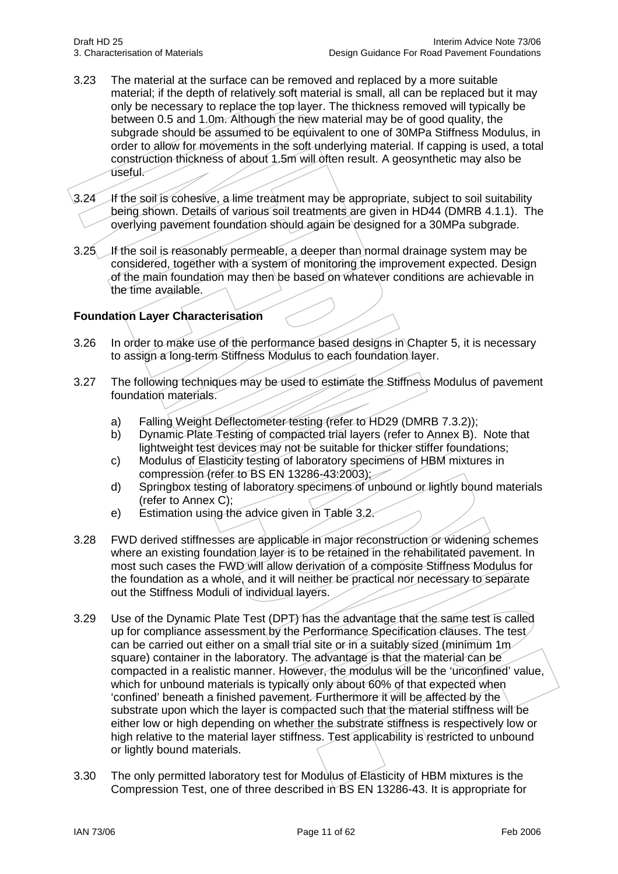- 3.23 The material at the surface can be removed and replaced by a more suitable material; if the depth of relatively soft material is small, all can be replaced but it may only be necessary to replace the top layer. The thickness removed will typically be between 0.5 and 1.0m. Although the new material may be of good quality, the subgrade should be assumed to be equivalent to one of 30MPa Stiffness Modulus, in order to allow for movements in the soft underlying material. If capping is used, a total construction thickness of about 1.5m will often result. A geosynthetic may also be useful.
- 3.24 If the soil is cohesive, a lime treatment may be appropriate, subject to soil suitability being shown. Details of various soil treatments are given in HD44 (DMRB 4.1.1). The overlying pavement foundation should again be designed for a 30MPa subgrade.
- 3.25 If the soil is reasonably permeable, a deeper than normal drainage system may be considered, together with a system of monitoring the improvement expected. Design of the main foundation may then be based on whatever conditions are achievable in the time available.

# **Foundation Layer Characterisation**

- 3.26 In order to make use of the performance based designs in Chapter 5, it is necessary to assign a long-term Stiffness Modulus to each foundation layer.
- 3.27 The following techniques may be used to estimate the Stiffness Modulus of pavement foundation materials.
	- a) Falling Weight Deflectometer testing (refer to HD29 (DMRB 7.3.2));
	- b) Dynamic Plate Testing of compacted trial layers (refer to Annex B). Note that lightweight test devices may not be suitable for thicker stiffer foundations;
	- c) Modulus of Elasticity testing of laboratory specimens of HBM mixtures in compression (refer to BS EN 13286-43:2003);
	- d) Springbox testing of laboratory specimens of unbound or lightly bound materials (refer to Annex C);
	- e) Estimation using the advice given in Table 3.2.
- 3.28 FWD derived stiffnesses are applicable in major reconstruction or widening schemes where an existing foundation layer is to be retained in the rehabilitated pavement. In most such cases the FWD will allow derivation of a composite Stiffness Modulus for the foundation as a whole, and it will neither be practical nor necessary to separate out the Stiffness Moduli of individual layers.
- 3.29 Use of the Dynamic Plate Test (DPT) has the advantage that the same test is called up for compliance assessment by the Performance Specification clauses. The test can be carried out either on a small trial site or in a suitably sized (minimum 1m square) container in the laboratory. The advantage is that the material can be compacted in a realistic manner. However, the modulus will be the 'unconfined' value, which for unbound materials is typically only about 60% of that expected when 'confined' beneath a finished pavement. Furthermore it will be affected by the substrate upon which the layer is compacted such that the material stiffness will be either low or high depending on whether the substrate stiffness is respectively low or high relative to the material layer stiffness. Test applicability is restricted to unbound or lightly bound materials.
- 3.30 The only permitted laboratory test for Modulus of Elasticity of HBM mixtures is the Compression Test, one of three described in BS EN 13286-43. It is appropriate for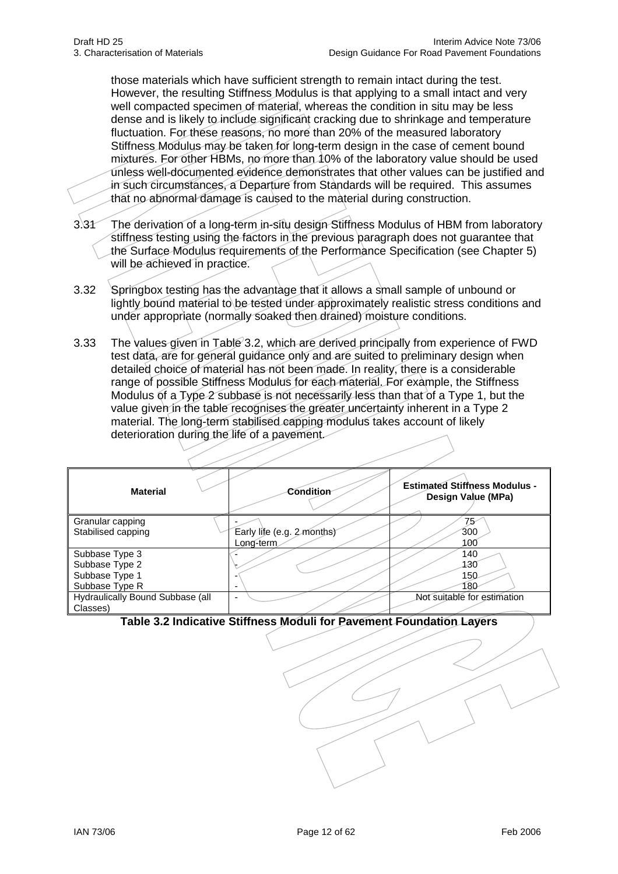those materials which have sufficient strength to remain intact during the test. However, the resulting Stiffness Modulus is that applying to a small intact and very well compacted specimen of material, whereas the condition in situ may be less dense and is likely to include significant cracking due to shrinkage and temperature fluctuation. For these reasons, no more than 20% of the measured laboratory Stiffness Modulus may be taken for long-term design in the case of cement bound mixtures. For other HBMs, no more than 10% of the laboratory value should be used unless well-documented evidence demonstrates that other values can be justified and in such circumstances, a Departure from Standards will be required. This assumes that no abnormal damage is caused to the material during construction.

- 3.31 The derivation of a long-term in-situ design Stiffness Modulus of HBM from laboratory stiffness testing using the factors in the previous paragraph does not guarantee that the Surface Modulus requirements of the Performance Specification (see Chapter 5) will be achieved in practice.
- 3.32 Springbox testing has the advantage that it allows a small sample of unbound or lightly bound material to be tested under approximately realistic stress conditions and under appropriate (normally soaked then drained) moisture conditions.
- 3.33 The values given in Table 3.2, which are derived principally from experience of FWD test data, are for general guidance only and are suited to preliminary design when detailed choice of material has not been made. In reality, there is a considerable range of possible Stiffness Modulus for each material. For example, the Stiffness Modulus of a Type 2 subbase is not necessarily less than that of a Type 1, but the value given in the table recognises the greater uncertainty inherent in a Type 2 material. The long-term stabilised capping modulus takes account of likely deterioration during the life of a pavement.

| <b>Material</b>                  | Condition                  | <b>Estimated Stiffness Modulus -</b><br>Design Value (MPa) |
|----------------------------------|----------------------------|------------------------------------------------------------|
| Granular capping                 |                            | 75                                                         |
| Stabilised capping               | Early life (e.g. 2 months) | 300                                                        |
|                                  | Long-term                  | 100                                                        |
| Subbase Type 3                   |                            | 140                                                        |
| Subbase Type 2                   |                            | 130                                                        |
| Subbase Type 1                   |                            | 150                                                        |
| Subbase Type R                   | $\overline{\phantom{0}}$   | 180                                                        |
| Hydraulically Bound Subbase (all | -                          | Not suitable for estimation                                |
| Classes)                         |                            |                                                            |

**Table 3.2 Indicative Stiffness Moduli for Pavement Foundation Layers**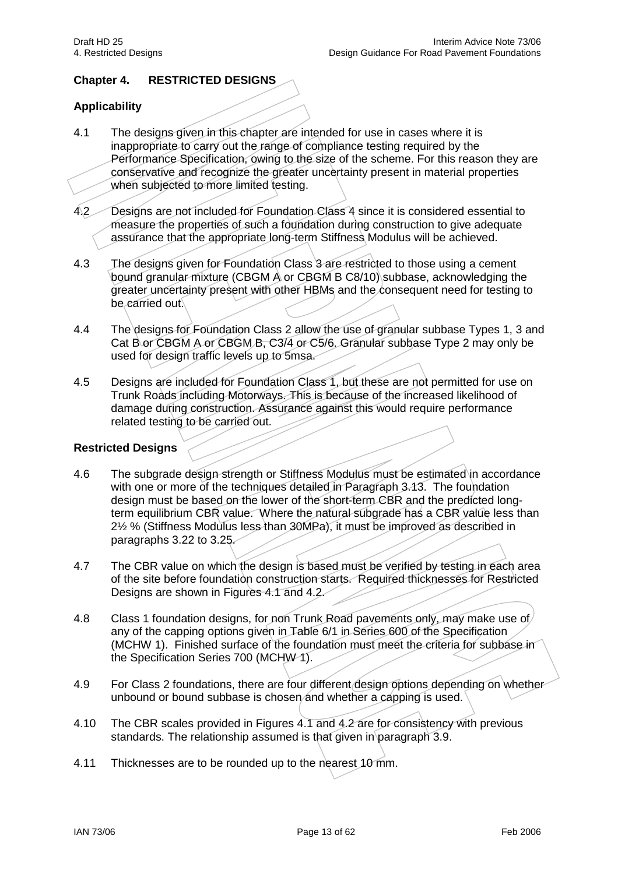## **Chapter 4. RESTRICTED DESIGNS**

## **Applicability**

- 4.1 The designs given in this chapter are intended for use in cases where it is inappropriate to carry out the range of compliance testing required by the Performance Specification, owing to the size of the scheme. For this reason they are conservative and recognize the greater uncertainty present in material properties when subjected to more limited testing.
- 4.2 Designs are not included for Foundation Class 4 since it is considered essential to measure the properties of such a foundation during construction to give adequate assurance that the appropriate long-term Stiffness Modulus will be achieved.
- 4.3 The designs given for Foundation Class 3 are restricted to those using a cement bound granular mixture (CBGM A or CBGM B C8/10) subbase, acknowledging the greater uncertainty present with other HBMs and the consequent need for testing to be carried out.
- 4.4 The designs for Foundation Class 2 allow the use of granular subbase Types 1, 3 and Cat B or CBGM A or CBGM B, C3/4 or C5/6. Granular subbase Type 2 may only be used for design traffic levels up to 5msa.
- 4.5 Designs are included for Foundation Class 1, but these are not permitted for use on Trunk Roads including Motorways. This is because of the increased likelihood of damage during construction. Assurance against this would require performance related testing to be carried out.

#### **Restricted Designs**

- 4.6 The subgrade design strength or Stiffness Modulus must be estimated in accordance with one or more of the techniques detailed in Paragraph 3.13. The foundation design must be based on the lower of the short-term CBR and the predicted longterm equilibrium CBR value. Where the natural subgrade has a CBR value less than 2½ % (Stiffness Modulus less than 30MPa), it must be improved as described in paragraphs 3.22 to 3.25.
- 4.7 The CBR value on which the design is based must be verified by testing in each area of the site before foundation construction starts. Required thicknesses for Restricted Designs are shown in Figures 4.1 and 4.2.
- 4.8 Class 1 foundation designs, for non Trunk Road pavements only, may make use of any of the capping options given in Table 6/1 in Series 600 of the Specification (MCHW 1). Finished surface of the foundation must meet the criteria for subbase in the Specification Series 700 (MCHW 1).
- 4.9 For Class 2 foundations, there are four different design options depending on whether unbound or bound subbase is chosen and whether a capping is used.
- 4.10 The CBR scales provided in Figures 4.1 and 4.2 are for consistency with previous standards. The relationship assumed is that given in paragraph 3.9.
- 4.11 Thicknesses are to be rounded up to the nearest 10 mm.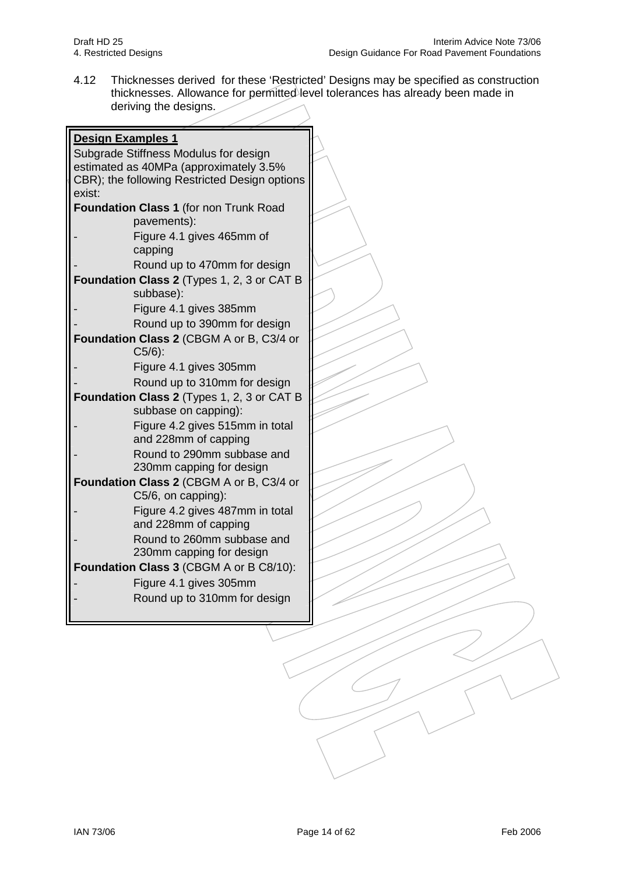4.12 Thicknesses derived for these 'Restricted' Designs may be specified as construction thicknesses. Allowance for permitted level tolerances has already been made in deriving the designs.

| <b>Design Examples 1</b>                      |  |
|-----------------------------------------------|--|
| Subgrade Stiffness Modulus for design         |  |
| estimated as 40MPa (approximately 3.5%        |  |
| CBR); the following Restricted Design options |  |
| exist:                                        |  |
| Foundation Class 1 (for non Trunk Road        |  |
| pavements):                                   |  |
| Figure 4.1 gives 465mm of                     |  |
| capping                                       |  |
| Round up to 470mm for design                  |  |
| Foundation Class 2 (Types 1, 2, 3 or CAT B    |  |
| subbase):                                     |  |
| Figure 4.1 gives 385mm                        |  |
| Round up to 390mm for design                  |  |
| Foundation Class 2 (CBGM A or B, C3/4 or      |  |
| $C5/6$ :                                      |  |
| Figure 4.1 gives 305mm                        |  |
| Round up to 310mm for design                  |  |
| Foundation Class 2 (Types 1, 2, 3 or CAT B    |  |
| subbase on capping):                          |  |
| Figure 4.2 gives 515mm in total               |  |
| and 228mm of capping                          |  |
| Round to 290mm subbase and                    |  |
| 230mm capping for design                      |  |
| Foundation Class 2 (CBGM A or B, C3/4 or      |  |
| C5/6, on capping):                            |  |
| Figure 4.2 gives 487mm in total               |  |
| and 228mm of capping                          |  |
| Round to 260mm subbase and                    |  |
| 230mm capping for design                      |  |
| Foundation Class 3 (CBGM A or B C8/10):       |  |
| Figure 4.1 gives 305mm                        |  |
| Round up to 310mm for design                  |  |
|                                               |  |
|                                               |  |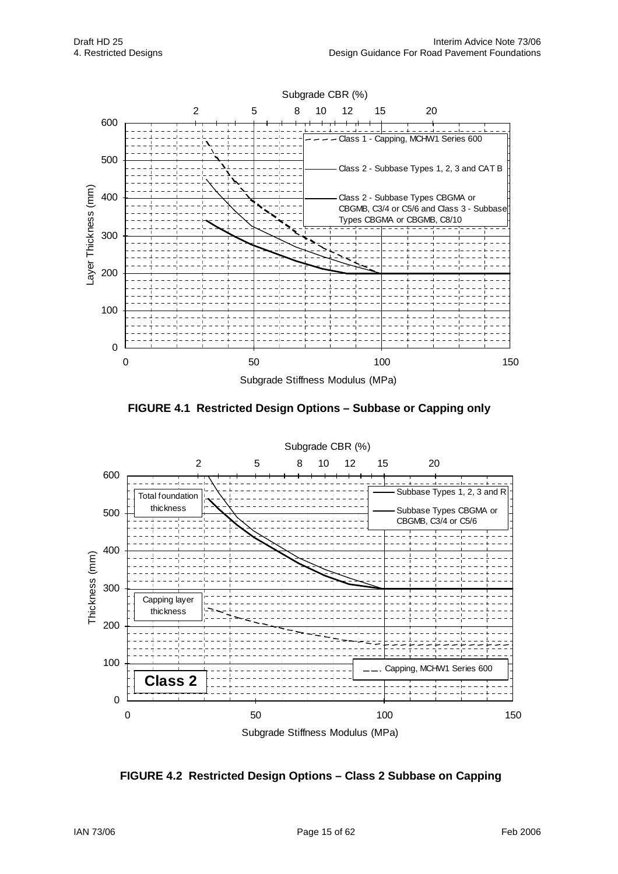

**FIGURE 4.1 Restricted Design Options – Subbase or Capping only** 



**FIGURE 4.2 Restricted Design Options – Class 2 Subbase on Capping**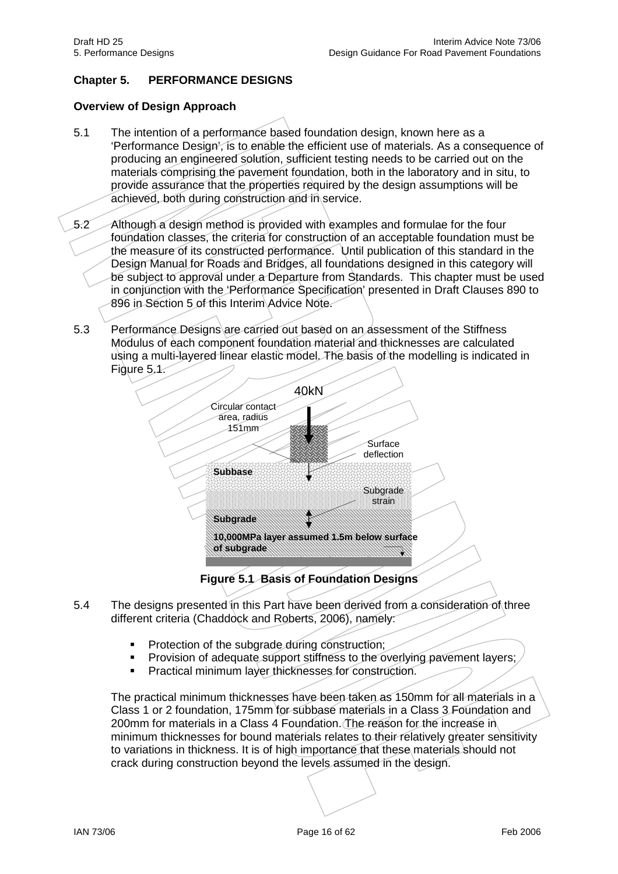# **Chapter 5. PERFORMANCE DESIGNS**

## **Overview of Design Approach**

- 5.1 The intention of a performance based foundation design, known here as a 'Performance Design', is to enable the efficient use of materials. As a consequence of producing an engineered solution, sufficient testing needs to be carried out on the materials comprising the pavement foundation, both in the laboratory and in situ, to provide assurance that the properties required by the design assumptions will be achieved, both during construction and in service.
- 5.2 Although a design method is provided with examples and formulae for the four foundation classes, the criteria for construction of an acceptable foundation must be the measure of its constructed performance. Until publication of this standard in the Design Manual for Roads and Bridges, all foundations designed in this category will be subject to approval under a Departure from Standards. This chapter must be used in conjunction with the 'Performance Specification' presented in Draft Clauses 890 to 896 in Section 5 of this Interim Advice Note.
- 5.3 Performance Designs are carried out based on an assessment of the Stiffness Modulus of each component foundation material and thicknesses are calculated using a multi-layered linear elastic model. The basis of the modelling is indicated in Figure 5.1.



**Figure 5.1 Basis of Foundation Designs**

- 5.4 The designs presented in this Part have been derived from a consideration of three different criteria (Chaddock and Roberts, 2006), namely:
	- Protection of the subgrade during construction;
	- Provision of adequate support stiffness to the overlying pavement layers;
	- Practical minimum layer thicknesses for construction.

The practical minimum thicknesses have been taken as 150mm for all materials in a Class 1 or 2 foundation, 175mm for subbase materials in a Class 3 Foundation and 200mm for materials in a Class 4 Foundation. The reason for the increase in minimum thicknesses for bound materials relates to their relatively greater sensitivity to variations in thickness. It is of high importance that these materials should not crack during construction beyond the levels assumed in the design.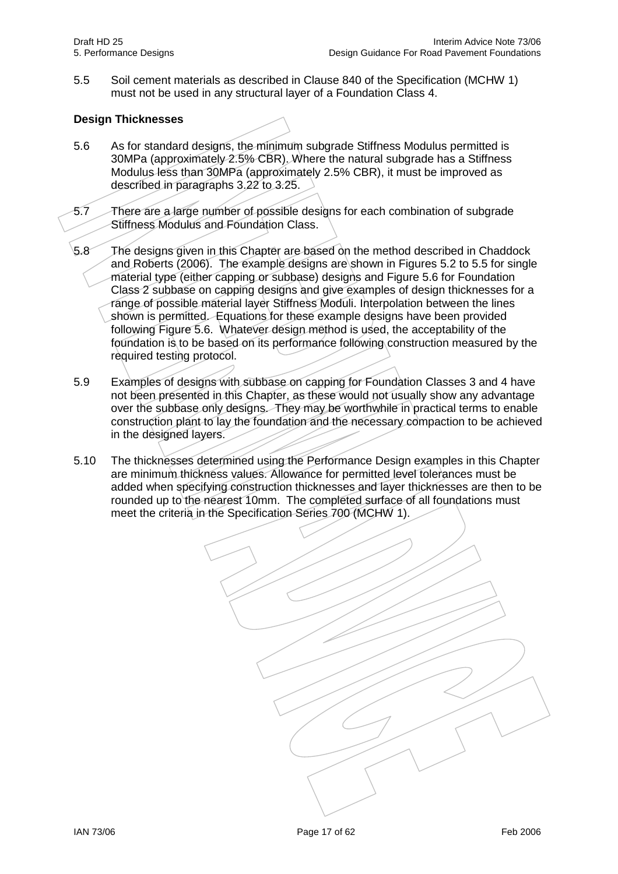5.5 Soil cement materials as described in Clause 840 of the Specification (MCHW 1) must not be used in any structural layer of a Foundation Class 4.

# **Design Thicknesses**

- 5.6 As for standard designs, the minimum subgrade Stiffness Modulus permitted is 30MPa (approximately 2.5% CBR). Where the natural subgrade has a Stiffness Modulus less than 30MPa (approximately 2.5% CBR), it must be improved as described in paragraphs 3.22 to 3.25.
- 5.7 There are a large number of possible designs for each combination of subgrade Stiffness Modulus and Foundation Class.
- 5.8 The designs given in this Chapter are based on the method described in Chaddock and Roberts (2006). The example designs are shown in Figures 5.2 to 5.5 for single material type (either capping or subbase) designs and Figure 5.6 for Foundation Class 2 subbase on capping designs and give examples of design thicknesses for a range of possible material layer Stiffness Moduli. Interpolation between the lines shown is permitted. Equations for these example designs have been provided following Figure 5.6. Whatever design method is used, the acceptability of the foundation is to be based on its performance following construction measured by the required testing protocol.
- 5.9 Examples of designs with subbase on capping for Foundation Classes 3 and 4 have not been presented in this Chapter, as these would not usually show any advantage over the subbase only designs. They may be worthwhile in practical terms to enable construction plant to lay the foundation and the necessary compaction to be achieved in the designed layers.
- 5.10 The thicknesses determined using the Performance Design examples in this Chapter are minimum thickness values. Allowance for permitted level tolerances must be added when specifying construction thicknesses and layer thicknesses are then to be rounded up to the nearest 10mm. The completed surface of all foundations must meet the criteria in the Specification Series 700 (MCHW 1).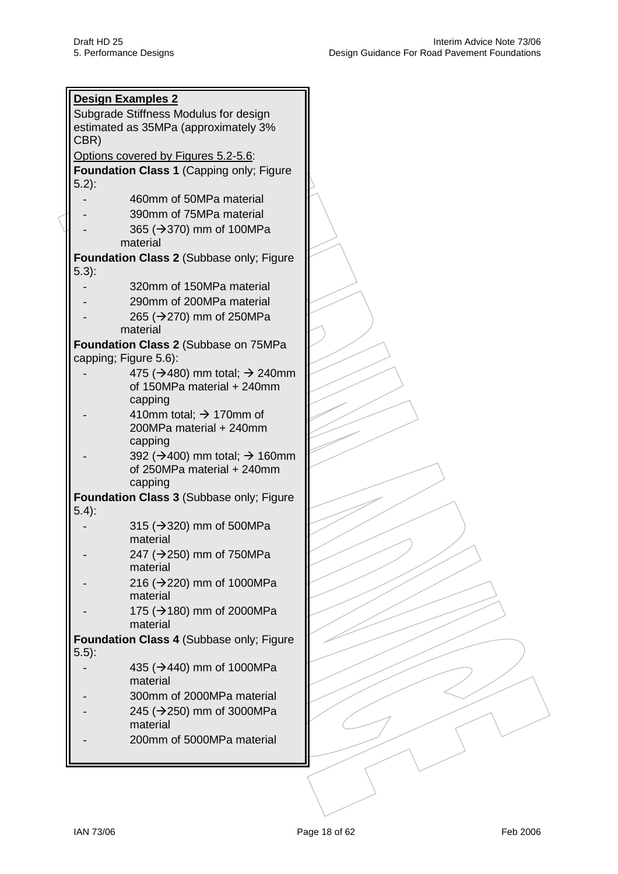| <b>Design Examples 2</b>                               |  |
|--------------------------------------------------------|--|
| Subgrade Stiffness Modulus for design                  |  |
|                                                        |  |
| estimated as 35MPa (approximately 3%                   |  |
| CBR)                                                   |  |
| Options covered by Figures 5.2-5.6:                    |  |
| Foundation Class 1 (Capping only; Figure               |  |
|                                                        |  |
| $5.2$ :                                                |  |
| 460mm of 50MPa material                                |  |
| 390mm of 75MPa material                                |  |
|                                                        |  |
| 365 (→370) mm of 100MPa                                |  |
| material                                               |  |
| Foundation Class 2 (Subbase only; Figure               |  |
| $5.3$ :                                                |  |
| 320mm of 150MPa material                               |  |
|                                                        |  |
| 290mm of 200MPa material                               |  |
| 265 (→270) mm of 250MPa                                |  |
| material                                               |  |
|                                                        |  |
| Foundation Class 2 (Subbase on 75MPa                   |  |
| capping; Figure 5.6):                                  |  |
| 475 ( $\rightarrow$ 480) mm total; $\rightarrow$ 240mm |  |
| of 150MPa material + 240mm                             |  |
| capping                                                |  |
|                                                        |  |
| 410mm total; $\rightarrow$ 170mm of                    |  |
| 200MPa material + 240mm                                |  |
| capping                                                |  |
| 392 ( $\rightarrow$ 400) mm total; $\rightarrow$ 160mm |  |
| of 250MPa material + 240mm                             |  |
|                                                        |  |
| capping                                                |  |
| Foundation Class 3 (Subbase only; Figure               |  |
| $5.4$ :                                                |  |
| 315 (→320) mm of 500MPa                                |  |
|                                                        |  |
| material                                               |  |
| 247 (→250) mm of 750MPa                                |  |
| material                                               |  |
| 216 (→220) mm of 1000MPa                               |  |
| material                                               |  |
|                                                        |  |
| 175 (→180) mm of 2000MPa                               |  |
| material                                               |  |
| Foundation Class 4 (Subbase only; Figure               |  |
| $5.5$ :                                                |  |
|                                                        |  |
| 435 (→440) mm of 1000MPa                               |  |
| material                                               |  |
| 300mm of 2000MPa material                              |  |
| 245 (→250) mm of 3000MPa                               |  |
|                                                        |  |
| material                                               |  |
| 200mm of 5000MPa material                              |  |
|                                                        |  |
|                                                        |  |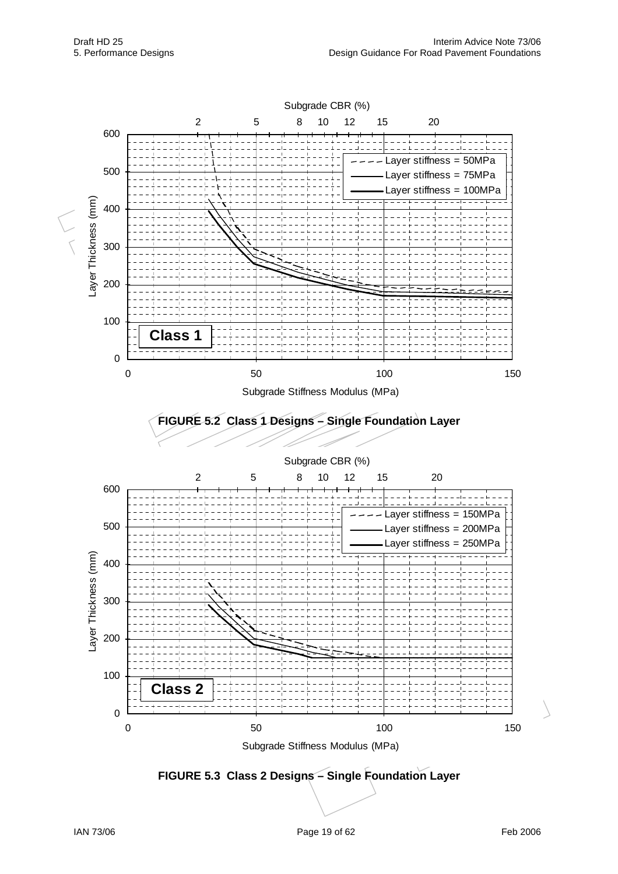

**FIGURE 5.3 Class 2 Designs – Single Foundation Layer**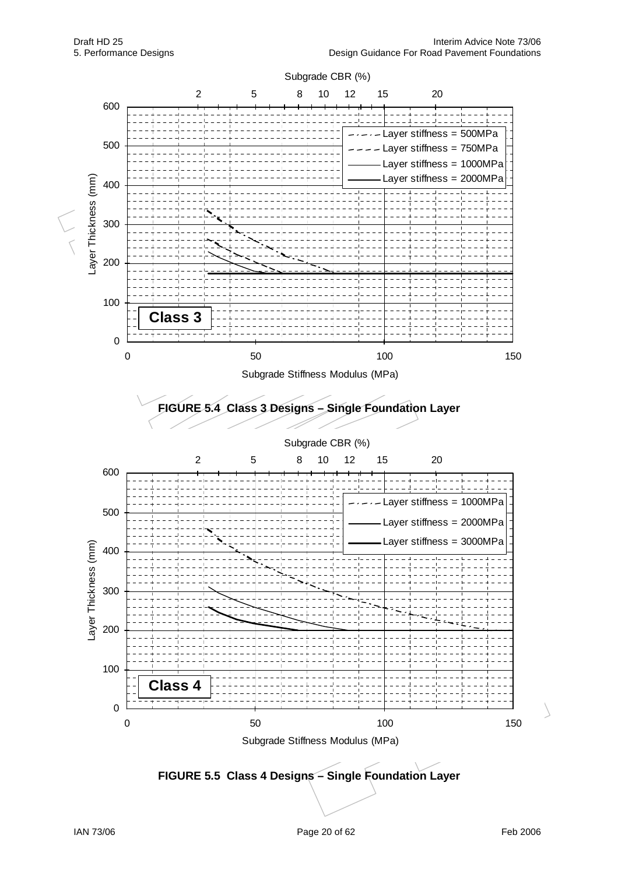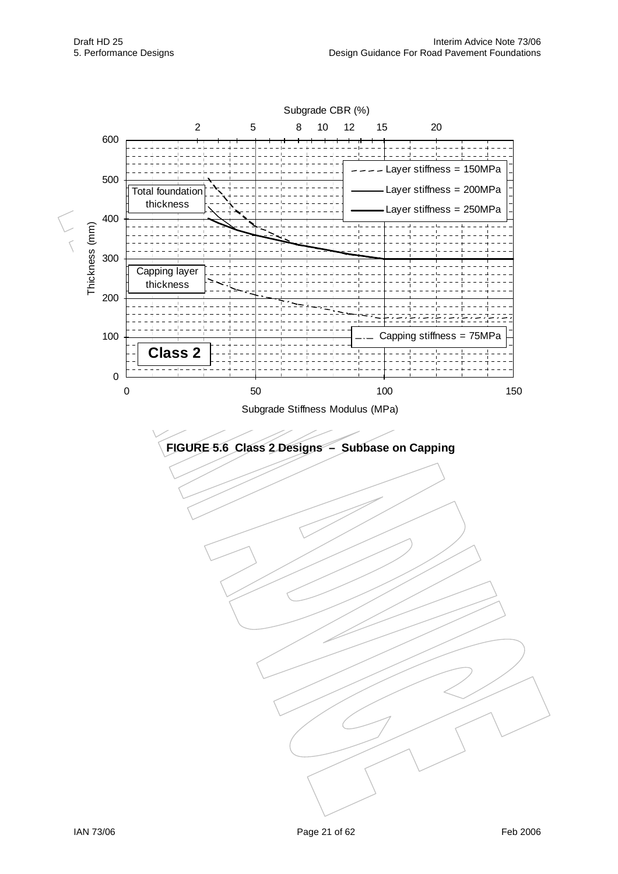

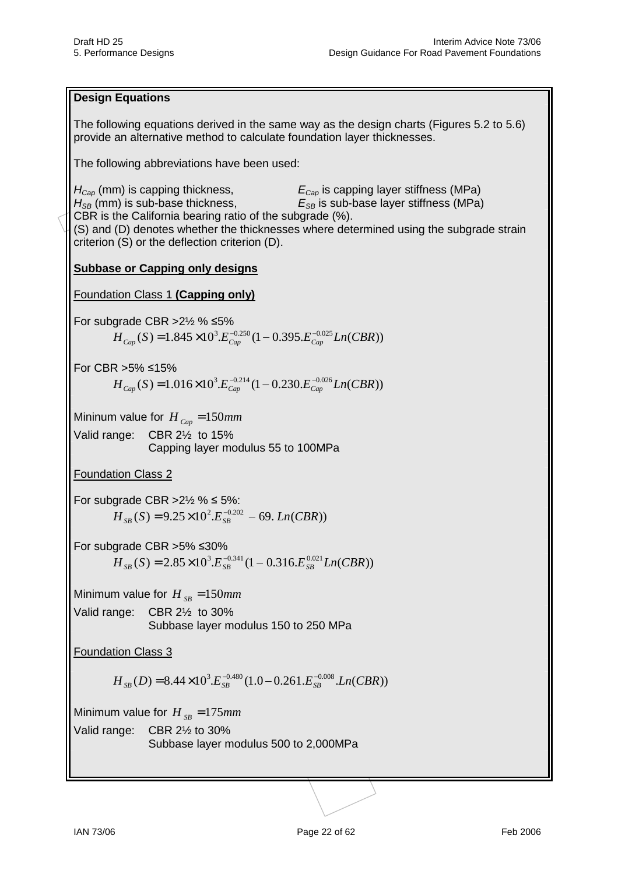## **Design Equations**

The following equations derived in the same way as the design charts (Figures 5.2 to 5.6) provide an alternative method to calculate foundation layer thicknesses.

The following abbreviations have been used:

 $H_{Cap}$  (mm) is capping thickness,  $E_{Cap}$  is capping layer stiffness (MPa)  $H_{SB}$  (mm) is sub-base thickness,  $E_{SB}$  is sub-base layer stiffness (MPa) CBR is the California bearing ratio of the subgrade (%). (S) and (D) denotes whether the thicknesses where determined using the subgrade strain criterion (S) or the deflection criterion (D).

### **Subbase or Capping only designs**

### Foundation Class 1 **(Capping only)**

For subgrade CBR  $>2\frac{1}{2}$  %  $\leq$  5%  $H_{Cap}(S) = 1.845 \times 10^{3} E_{Cap}^{-0.250} (1 - 0.395 E_{Cap}^{-0.025} Ln(CBR))$ 

For CBR  $>5\%$  ≤15%  $H_{Cap}(S) = 1.016 \times 10^{3} E_{Cap}^{-0.214} (1 - 0.230 E_{Cap}^{-0.026} Ln(CBR))$ 

Mininum value for  $H_{\textit{Cap}} = 150 \textit{mm}$ Valid range: CBR 2½ to 15% Capping layer modulus 55 to 100MPa

### Foundation Class 2

For subgrade CBR  $>2\frac{1}{2}$  %  $\leq 5\%$ :  $H_{SP}(S) = 9.25 \times 10^{2} E_{SP}^{-0.202} - 69$ . *Ln*(*CBR*))

For subgrade CBR  $>5\%$   $\leq 30\%$  $H_{SR}(S) = 2.85 \times 10^3 E_{SR}^{-0.341} (1 - 0.316 E_{SR}^{0.021} Ln(CBR))$ 

Minimum value for  $H_{SB} = 150$ *mm* Valid range: CBR 2½ to 30% Subbase layer modulus 150 to 250 MPa

Foundation Class 3

 $H_{SR}(D) = 8.44 \times 10^3 E_{SR}^{-0.480} (1.0 - 0.261 E_{SR}^{-0.008} Ln(CBR))$ 

Minimum value for  $H_{SB} = 175$ *mm* 

Valid range: CBR 2½ to 30% Subbase layer modulus 500 to 2,000MPa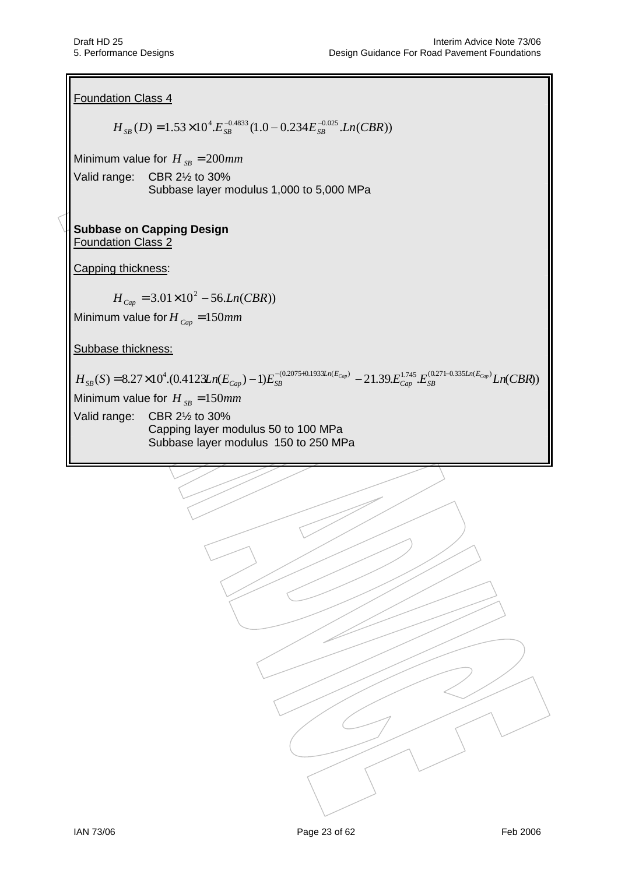Foundation Class 4  $H_{SB}( D ) = 1.53 \times 10^{4} E_{SB}^{-0.4833} ( 1.0 - 0.234 E_{SB}^{-0.025} . Ln(CBR) )$ Minimum value for  $H_{SR} = 200$ *mm* Valid range: CBR 2½ to 30% Subbase layer modulus 1,000 to 5,000 MPa **Subbase on Capping Design**  Foundation Class 2 Capping thickness:  $H_{Cap} = 3.01 \times 10^2 - 56.Ln(CBR)$ Minimum value for  $H_{Cap} = 150$ mm Subbase thickness:  $H_{_{SB}}(S) = 8.27 \times 10^{4} . (0.4123 \text{Ln}(E_{_{Cap}}) - 1) E_{_{SB}}^{^{-(0.2075+0.1933 \text{Ln}(E_{_{Cap}})} - 21.39 E_{_{Cap}}^{1.745} E_{_{SB}}^{(0.271-0.335 \text{Ln}(E_{_{Cap}})} Ln(CBR))$ *Ln E*  $S_B(S) = 8.27 \times 10^4 (0.4123 \text{Ln}(E_{Cap}) - 1) E_{SB}^{-(0.2075 + 0.1933 \text{Ln}(E_{Cap})} - 21.39 E_{Cap}^{1.745} E_{SB}^{(0.271 + 0.1933 \text{Ln}(E_{Cap})}$ Minimum value for  $H_{SB} = 150$ *mm* Valid range: CBR 2½ to 30% Capping layer modulus 50 to 100 MPa Subbase layer modulus 150 to 250 MPa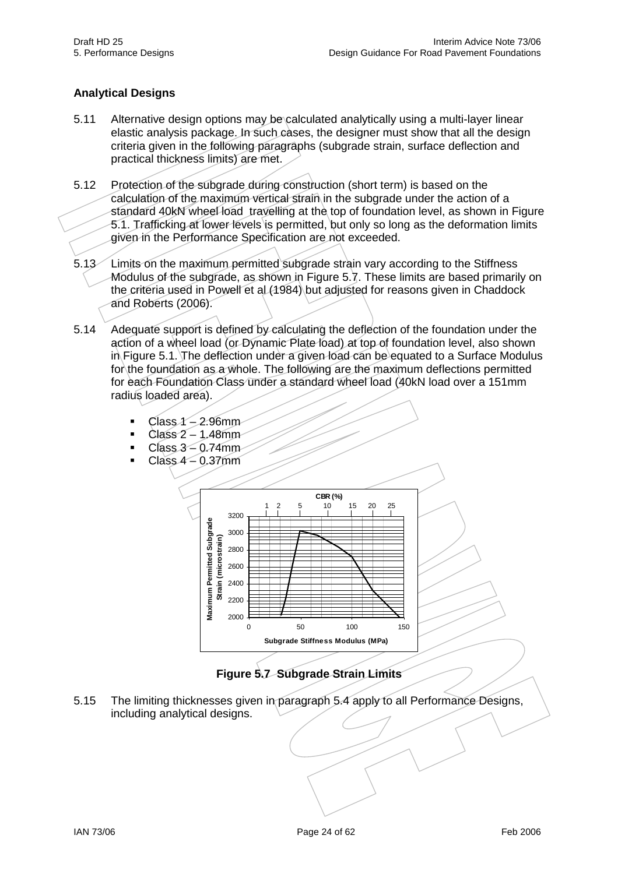# **Analytical Designs**

- 5.11 Alternative design options may be calculated analytically using a multi-layer linear elastic analysis package. In such cases, the designer must show that all the design criteria given in the following paragraphs (subgrade strain, surface deflection and practical thickness limits) are met.
- 5.12 Protection of the subgrade during construction (short term) is based on the calculation of the maximum vertical strain in the subgrade under the action of a standard 40kN wheel load travelling at the top of foundation level, as shown in Figure 5.1. Trafficking at lower levels is permitted, but only so long as the deformation limits given in the Performance Specification are not exceeded.
- 5.13 Limits on the maximum permitted subgrade strain vary according to the Stiffness Modulus of the subgrade, as shown in Figure 5.7. These limits are based primarily on the criteria used in Powell et al (1984) but adjusted for reasons given in Chaddock and Roberts (2006).
- 5.14 Adequate support is defined by calculating the deflection of the foundation under the action of a wheel load (or Dynamic Plate load) at top of foundation level, also shown in Figure 5.1. The deflection under a given load can be equated to a Surface Modulus for the foundation as a whole. The following are the maximum deflections permitted for each Foundation Class under a standard wheel load (40kN load over a 151mm radius loaded area).
	- $\blacksquare$  Class 1 2.96mm
	- $Class 2 1.48mm$
	- $Class 3 0.74mm$
	- $Class 4 0.37mm$





5.15 The limiting thicknesses given in paragraph 5.4 apply to all Performance Designs, including analytical designs.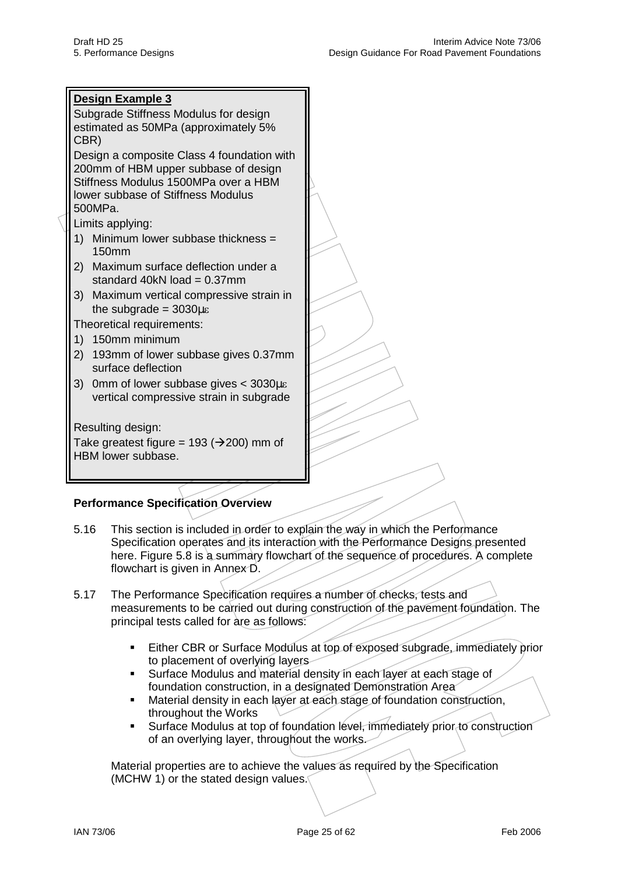

# **Performance Specification Overview**

- 5.16 This section is included in order to explain the way in which the Performance Specification operates and its interaction with the Performance Designs presented here. Figure 5.8 is a summary flowchart of the sequence of procedures. A complete flowchart is given in Annex D.
- 5.17 The Performance Specification requires a number of checks, tests and measurements to be carried out during construction of the pavement foundation. The principal tests called for are as follows:
	- Either CBR or Surface Modulus at top of exposed subgrade, immediately prior to placement of overlying layers
	- Surface Modulus and material density in each layer at each stage of foundation construction, in a designated Demonstration Area
	- Material density in each layer at each stage of foundation construction, throughout the Works
	- Surface Modulus at top of foundation level, immediately prior to construction of an overlying layer, throughout the works.

Material properties are to achieve the values as required by the Specification (MCHW 1) or the stated design values.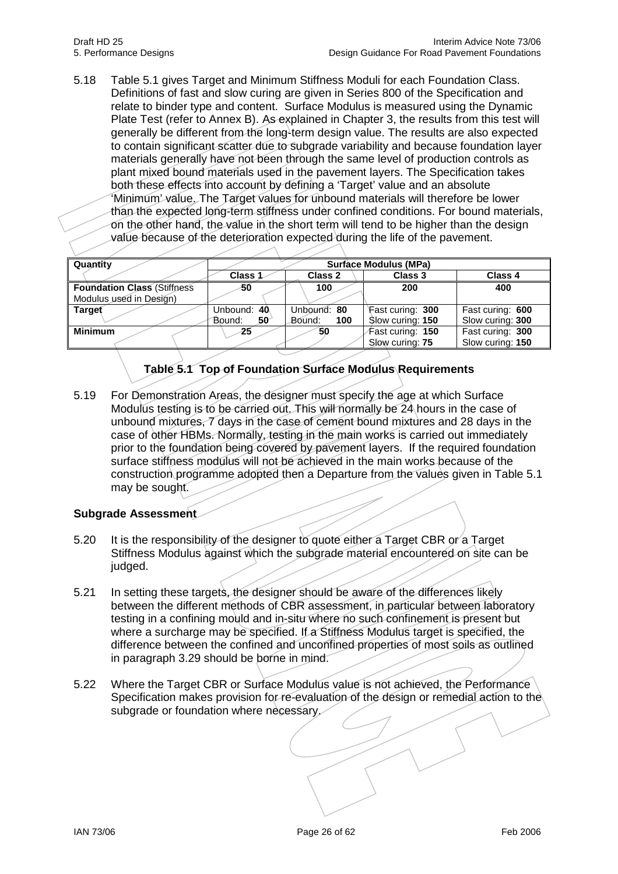5.18 Table 5.1 gives Target and Minimum Stiffness Moduli for each Foundation Class. Definitions of fast and slow curing are given in Series 800 of the Specification and relate to binder type and content. Surface Modulus is measured using the Dynamic Plate Test (refer to Annex B). As explained in Chapter 3, the results from this test will generally be different from the long-term design value. The results are also expected to contain significant scatter due to subgrade variability and because foundation layer materials generally have not been through the same level of production controls as plant mixed bound materials used in the pavement layers. The Specification takes both these effects into account by defining a 'Target' value and an absolute 'Minimum' value. The Target values for unbound materials will therefore be lower than the expected long-term stiffness under confined conditions. For bound materials, on the other hand, the value in the short term will tend to be higher than the design value because of the deterioration expected during the life of the pavement.

| Quantity                           | <b>Surface Modulus (MPa)</b> |               |                  |                  |  |  |  |
|------------------------------------|------------------------------|---------------|------------------|------------------|--|--|--|
|                                    | Class 1                      | Class 2       | Class 3          | Class 4          |  |  |  |
| <b>Foundation Class (Stiffness</b> | -50                          | 100           | 200              | 400              |  |  |  |
| Modulus used in Design)            |                              |               |                  |                  |  |  |  |
| <b>Target</b>                      | Unbound: 40                  | Unbound: 80   | Fast curing: 300 | Fast curing: 600 |  |  |  |
|                                    | Bound:<br>50                 | 100<br>Bound: | Slow curing: 150 | Slow curing: 300 |  |  |  |
| <b>Minimum</b>                     | 25                           | 50            | Fast curing: 150 | Fast curing: 300 |  |  |  |
|                                    |                              |               | Slow curing: 75  | Slow curing: 150 |  |  |  |

# **Table 5.1 Top of Foundation Surface Modulus Requirements**

5.19 For Demonstration Areas, the designer must specify the age at which Surface Modulus testing is to be carried out. This will normally be 24 hours in the case of unbound mixtures, 7 days in the case of cement bound mixtures and 28 days in the case of other HBMs. Normally, testing in the main works is carried out immediately prior to the foundation being covered by pavement layers. If the required foundation surface stiffness modulus will not be achieved in the main works because of the construction programme adopted then a Departure from the values given in Table 5.1 may be sought.

### **Subgrade Assessment**

- 5.20 It is the responsibility of the designer to quote either a Target CBR or a Target Stiffness Modulus against which the subgrade material encountered on site can be judged.
- 5.21 In setting these targets, the designer should be aware of the differences likely between the different methods of CBR assessment, in particular between laboratory testing in a confining mould and in-situ where no such confinement is present but where a surcharge may be specified. If a Stiffness Modulus target is specified, the difference between the confined and unconfined properties of most soils as outlined in paragraph 3.29 should be borne in mind.
- 5.22 Where the Target CBR or Surface Modulus value is not achieved, the Performance Specification makes provision for re-evaluation of the design or remedial action to the subgrade or foundation where necessary.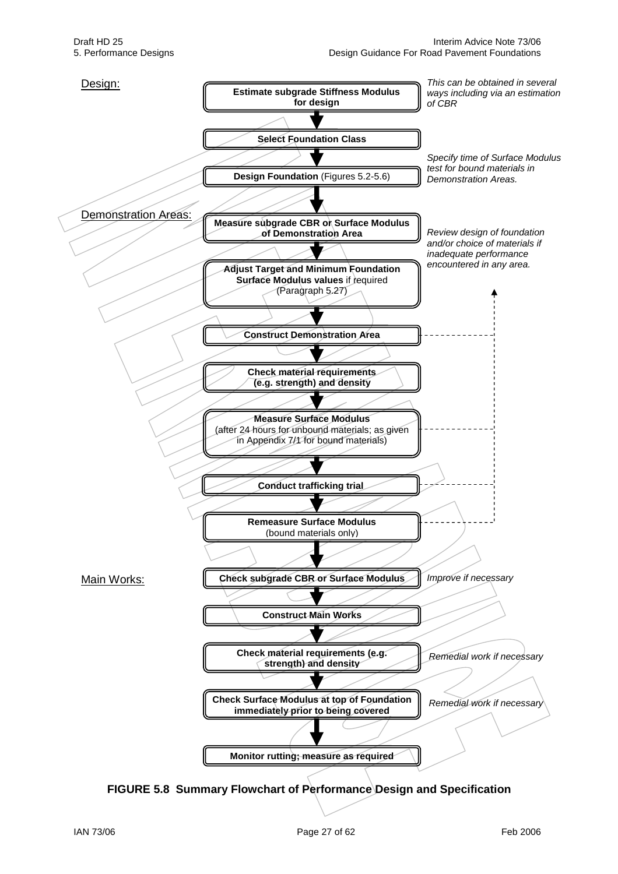

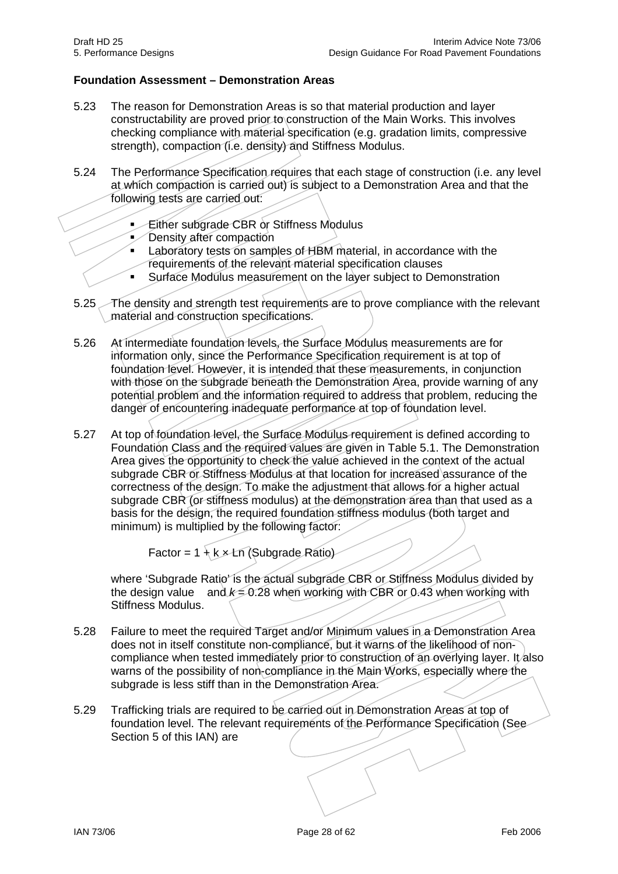## **Foundation Assessment – Demonstration Areas**

- 5.23 The reason for Demonstration Areas is so that material production and layer constructability are proved prior to construction of the Main Works. This involves checking compliance with material specification (e.g. gradation limits, compressive strength), compaction (i.e. density) and Stiffness Modulus.
- 5.24 The Performance Specification requires that each stage of construction (i.e. any level at which compaction is carried out) is subject to a Demonstration Area and that the following tests are carried out:
	- **Either subgrade CBR or Stiffness Modulus**
	- Density after compaction
	- Laboratory tests on samples of HBM material, in accordance with the requirements of the relevant material specification clauses
	- Surface Modulus measurement on the layer subject to Demonstration
- 5.25 The density and strength test requirements are to prove compliance with the relevant material and construction specifications.
- 5.26 At intermediate foundation levels, the Surface Modulus measurements are for information only, since the Performance Specification requirement is at top of foundation level. However, it is intended that these measurements, in conjunction with those on the subgrade beneath the Demonstration Area, provide warning of any potential problem and the information required to address that problem, reducing the danger of encountering inadequate performance at top of foundation level.
- 5.27 At top of foundation level, the Surface Modulus requirement is defined according to Foundation Class and the required values are given in Table 5.1. The Demonstration Area gives the opportunity to check the value achieved in the context of the actual subgrade CBR or Stiffness Modulus at that location for increased assurance of the correctness of the design. To make the adjustment that allows for a higher actual subgrade CBR (or stiffness modulus) at the demonstration area than that used as a basis for the design, the required foundation stiffness modulus (both target and minimum) is multiplied by the following factor:

Factor =  $1 + k \times Ln$  (Subgrade Ratio)

where 'Subgrade Ratio' is the actual subgrade CBR or Stiffness Modulus divided by the design value and  $k = 0.28$  when working with CBR or 0.43 when working with Stiffness Modulus.

- 5.28 Failure to meet the required Target and/or Minimum values in a Demonstration Area does not in itself constitute non-compliance, but it warns of the likelihood of noncompliance when tested immediately prior to construction of an overlying layer. It also warns of the possibility of non-compliance in the Main Works, especially where the subgrade is less stiff than in the Demonstration Area.
- 5.29 Trafficking trials are required to be carried out in Demonstration Areas at top of foundation level. The relevant requirements of the Performance Specification (See Section 5 of this IAN) are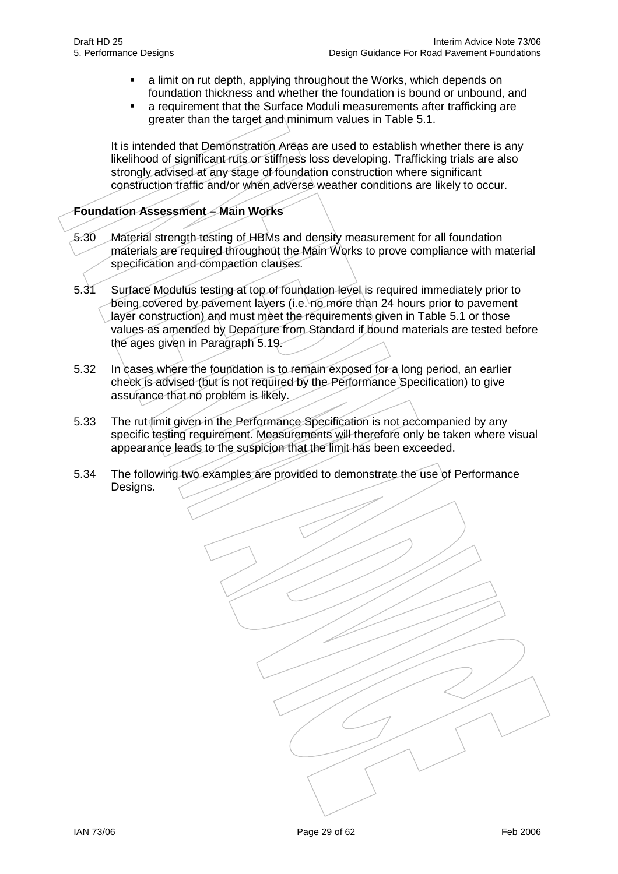- a limit on rut depth, applying throughout the Works, which depends on foundation thickness and whether the foundation is bound or unbound, and
- a requirement that the Surface Moduli measurements after trafficking are greater than the target and minimum values in Table 5.1.

It is intended that Demonstration Areas are used to establish whether there is any likelihood of significant ruts or stiffness loss developing. Trafficking trials are also strongly advised at any stage of foundation construction where significant construction traffic and/or when adverse weather conditions are likely to occur.

# **Foundation Assessment – Main Works**

- 5.30 Material strength testing of HBMs and density measurement for all foundation materials are required throughout the Main Works to prove compliance with material specification and compaction clauses.
- 5.31 Surface Modulus testing at top of foundation level is required immediately prior to being covered by pavement layers (i.e. no more than 24 hours prior to pavement layer construction) and must meet the requirements given in Table 5.1 or those values as amended by Departure from Standard if bound materials are tested before the ages given in Paragraph 5.19.
- 5.32 In cases where the foundation is to remain exposed for a long period, an earlier check is advised (but is not required by the Performance Specification) to give assurance that no problem is likely.
- 5.33 The rut limit given in the Performance Specification is not accompanied by any specific testing requirement. Measurements will therefore only be taken where visual appearance leads to the suspicion that the limit has been exceeded.
- 5.34 The following two examples are provided to demonstrate the use of Performance Designs.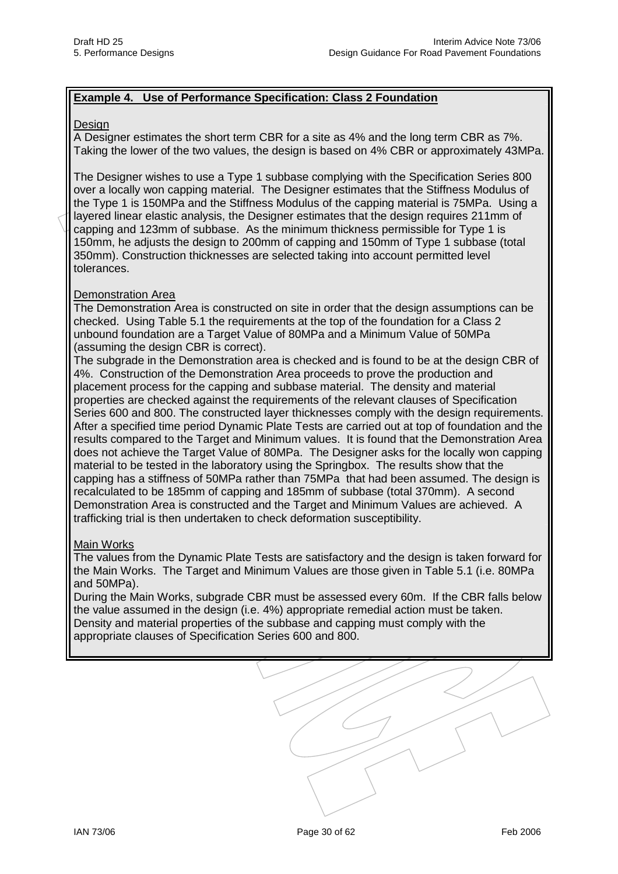## **Example 4. Use of Performance Specification: Class 2 Foundation**

#### Design

A Designer estimates the short term CBR for a site as 4% and the long term CBR as 7%. Taking the lower of the two values, the design is based on 4% CBR or approximately 43MPa.

The Designer wishes to use a Type 1 subbase complying with the Specification Series 800 over a locally won capping material. The Designer estimates that the Stiffness Modulus of the Type 1 is 150MPa and the Stiffness Modulus of the capping material is 75MPa. Using a layered linear elastic analysis, the Designer estimates that the design requires 211mm of capping and 123mm of subbase. As the minimum thickness permissible for Type 1 is 150mm, he adjusts the design to 200mm of capping and 150mm of Type 1 subbase (total 350mm). Construction thicknesses are selected taking into account permitted level tolerances.

### Demonstration Area

The Demonstration Area is constructed on site in order that the design assumptions can be checked. Using Table 5.1 the requirements at the top of the foundation for a Class 2 unbound foundation are a Target Value of 80MPa and a Minimum Value of 50MPa (assuming the design CBR is correct).

The subgrade in the Demonstration area is checked and is found to be at the design CBR of 4%. Construction of the Demonstration Area proceeds to prove the production and placement process for the capping and subbase material. The density and material properties are checked against the requirements of the relevant clauses of Specification Series 600 and 800. The constructed layer thicknesses comply with the design requirements. After a specified time period Dynamic Plate Tests are carried out at top of foundation and the results compared to the Target and Minimum values. It is found that the Demonstration Area does not achieve the Target Value of 80MPa. The Designer asks for the locally won capping material to be tested in the laboratory using the Springbox. The results show that the capping has a stiffness of 50MPa rather than 75MPa that had been assumed. The design is recalculated to be 185mm of capping and 185mm of subbase (total 370mm). A second Demonstration Area is constructed and the Target and Minimum Values are achieved. A trafficking trial is then undertaken to check deformation susceptibility.

#### Main Works

The values from the Dynamic Plate Tests are satisfactory and the design is taken forward for the Main Works. The Target and Minimum Values are those given in Table 5.1 (i.e. 80MPa and 50MPa).

During the Main Works, subgrade CBR must be assessed every 60m. If the CBR falls below the value assumed in the design (i.e. 4%) appropriate remedial action must be taken. Density and material properties of the subbase and capping must comply with the appropriate clauses of Specification Series 600 and 800.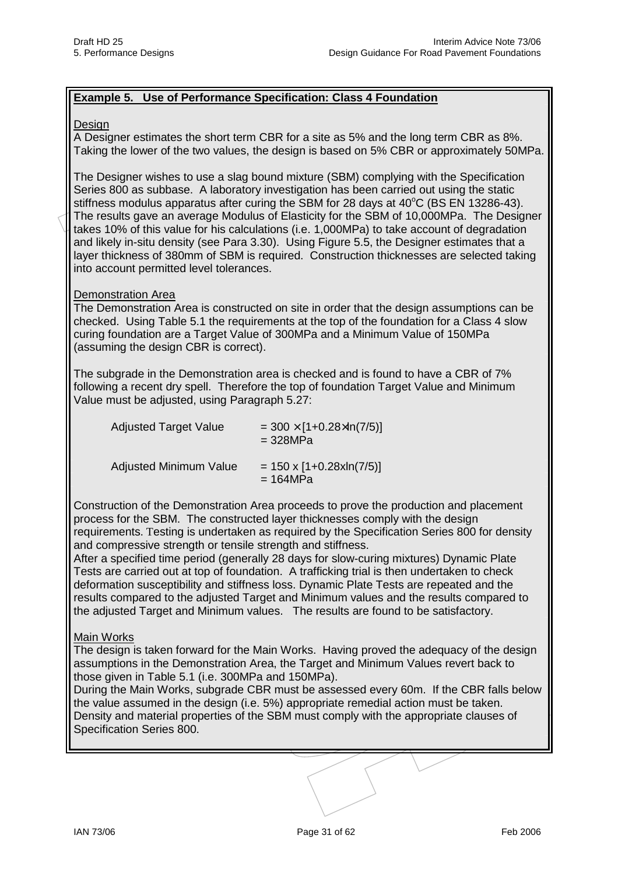## **Example 5. Use of Performance Specification: Class 4 Foundation**

#### Design

A Designer estimates the short term CBR for a site as 5% and the long term CBR as 8%. Taking the lower of the two values, the design is based on 5% CBR or approximately 50MPa.

The Designer wishes to use a slag bound mixture (SBM) complying with the Specification Series 800 as subbase. A laboratory investigation has been carried out using the static stiffness modulus apparatus after curing the SBM for 28 days at  $40^{\circ}$ C (BS EN 13286-43). The results gave an average Modulus of Elasticity for the SBM of 10,000MPa. The Designer takes 10% of this value for his calculations (i.e. 1,000MPa) to take account of degradation and likely in-situ density (see Para 3.30). Using Figure 5.5, the Designer estimates that a layer thickness of 380mm of SBM is required. Construction thicknesses are selected taking into account permitted level tolerances.

#### Demonstration Area

The Demonstration Area is constructed on site in order that the design assumptions can be checked. Using Table 5.1 the requirements at the top of the foundation for a Class 4 slow curing foundation are a Target Value of 300MPa and a Minimum Value of 150MPa (assuming the design CBR is correct).

The subgrade in the Demonstration area is checked and is found to have a CBR of 7% following a recent dry spell. Therefore the top of foundation Target Value and Minimum Value must be adjusted, using Paragraph 5.27:

| <b>Adjusted Target Value</b>  | $=$ 300 $\times$ [1+0.28 $\times$ ln(7/5)]<br>$= 328 MPa$ |
|-------------------------------|-----------------------------------------------------------|
| <b>Adjusted Minimum Value</b> | $= 150 \times [1+0.28 \times \ln(7/5)]$<br>$= 164 MPa$    |

Construction of the Demonstration Area proceeds to prove the production and placement process for the SBM. The constructed layer thicknesses comply with the design requirements. Testing is undertaken as required by the Specification Series 800 for density and compressive strength or tensile strength and stiffness.

After a specified time period (generally 28 days for slow-curing mixtures) Dynamic Plate Tests are carried out at top of foundation. A trafficking trial is then undertaken to check deformation susceptibility and stiffness loss. Dynamic Plate Tests are repeated and the results compared to the adjusted Target and Minimum values and the results compared to the adjusted Target and Minimum values. The results are found to be satisfactory.

### Main Works

The design is taken forward for the Main Works. Having proved the adequacy of the design assumptions in the Demonstration Area, the Target and Minimum Values revert back to those given in Table 5.1 (i.e. 300MPa and 150MPa).

During the Main Works, subgrade CBR must be assessed every 60m. If the CBR falls below the value assumed in the design (i.e. 5%) appropriate remedial action must be taken. Density and material properties of the SBM must comply with the appropriate clauses of Specification Series 800.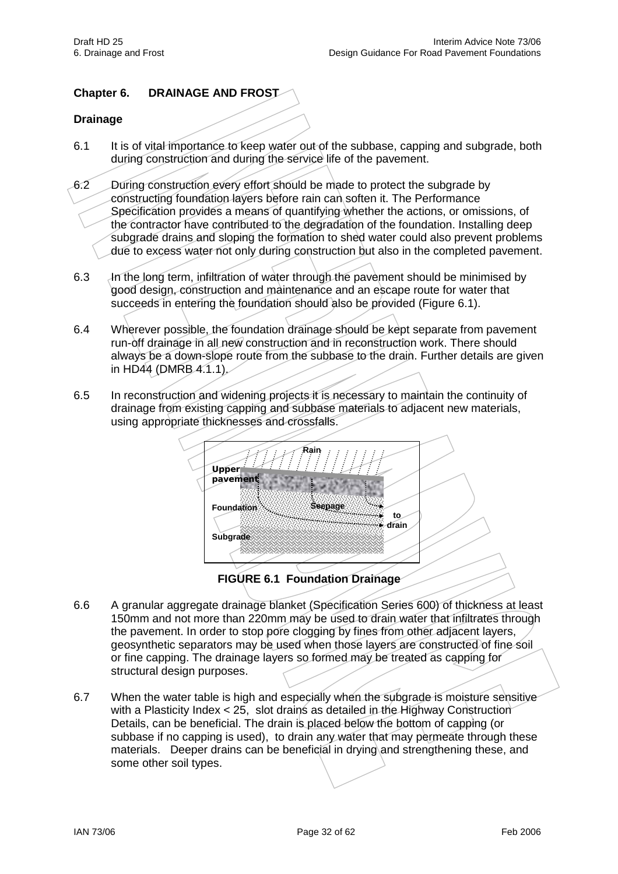# **Chapter 6. DRAINAGE AND FROST**

## **Drainage**

- 6.1 It is of vital importance to keep water out of the subbase, capping and subgrade, both during construction and during the service life of the pavement.
- 6.2 During construction every effort should be made to protect the subgrade by constructing foundation layers before rain can soften it. The Performance Specification provides a means of quantifying whether the actions, or omissions, of the contractor have contributed to the degradation of the foundation. Installing deep subgrade drains and sloping the formation to shed water could also prevent problems due to excess water not only during construction but also in the completed pavement.
- 6.3 An the long term, infiltration of water through the pavement should be minimised by good design, construction and maintenance and an escape route for water that succeeds in entering the foundation should also be provided (Figure 6.1).
- 6.4 Wherever possible, the foundation drainage should be kept separate from pavement run-off drainage in all new construction and in reconstruction work. There should always be a down-slope route from the subbase to the drain. Further details are given in HD44 (DMRB 4.1.1).
- 6.5 In reconstruction and widening projects it is necessary to maintain the continuity of drainage from existing capping and subbase materials to adjacent new materials, using appropriate thicknesses and crossfalls.



**FIGURE 6.1 Foundation Drainage** 

- 6.6 A granular aggregate drainage blanket (Specification Series 600) of thickness at least 150mm and not more than 220mm may be used to drain water that infiltrates through the pavement. In order to stop pore clogging by fines from other adjacent layers, geosynthetic separators may be used when those layers are constructed of fine soil or fine capping. The drainage layers so formed may be treated as capping for structural design purposes.
- 6.7 When the water table is high and especially when the subgrade is moisture sensitive with a Plasticity Index < 25, slot drains as detailed in the Highway Construction Details, can be beneficial. The drain is placed below the bottom of capping (or subbase if no capping is used), to drain any water that may permeate through these materials. Deeper drains can be beneficial in drying and strengthening these, and some other soil types.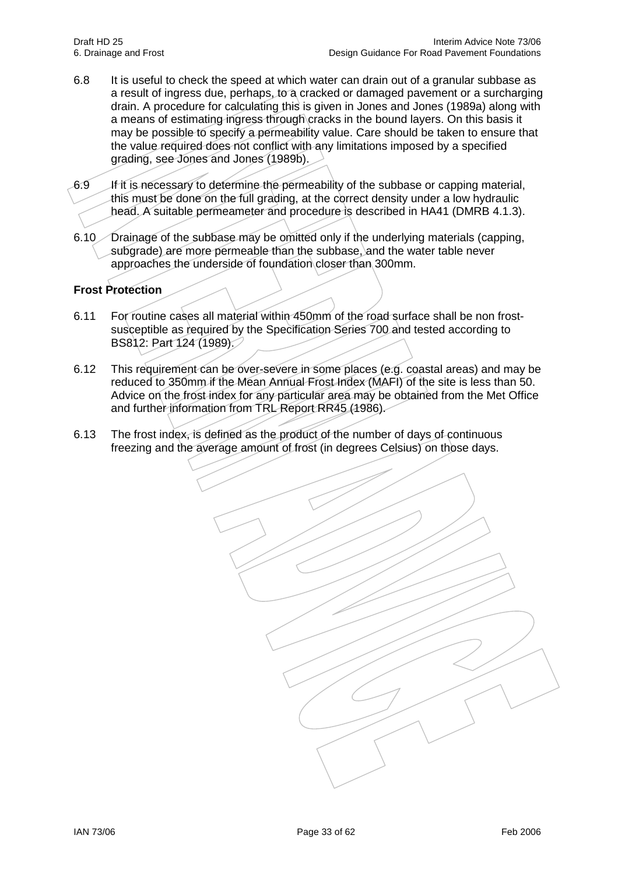- 6.8 It is useful to check the speed at which water can drain out of a granular subbase as a result of ingress due, perhaps, to a cracked or damaged pavement or a surcharging drain. A procedure for calculating this is given in Jones and Jones (1989a) along with a means of estimating ingress through cracks in the bound layers. On this basis it may be possible to specify a permeability value. Care should be taken to ensure that the value required does not conflict with any limitations imposed by a specified grading, see Jones and Jones (1989b).
- 6.9 If it is necessary to determine the permeability of the subbase or capping material, this must be done on the full grading, at the correct density under a low hydraulic head. A suitable permeameter and procedure is described in HA41 (DMRB 4.1.3).
- 6.10 Drainage of the subbase may be omitted only if the underlying materials (capping, subgrade) are more permeable than the subbase, and the water table never approaches the underside of foundation closer than 300mm.

# **Frost Protection**

- 6.11 For routine cases all material within 450mm of the road surface shall be non frostsusceptible as required by the Specification Series 700 and tested according to BS812: Part 124 (1989).
- 6.12 This requirement can be over-severe in some places (e.g. coastal areas) and may be reduced to 350mm if the Mean Annual Frost Index (MAFI) of the site is less than 50. Advice on the frost index for any particular area may be obtained from the Met Office and further information from TRL Report RR45 (1986).
- 6.13 The frost index, is defined as the product of the number of days of continuous freezing and the average amount of frost (in degrees Celsius) on those days.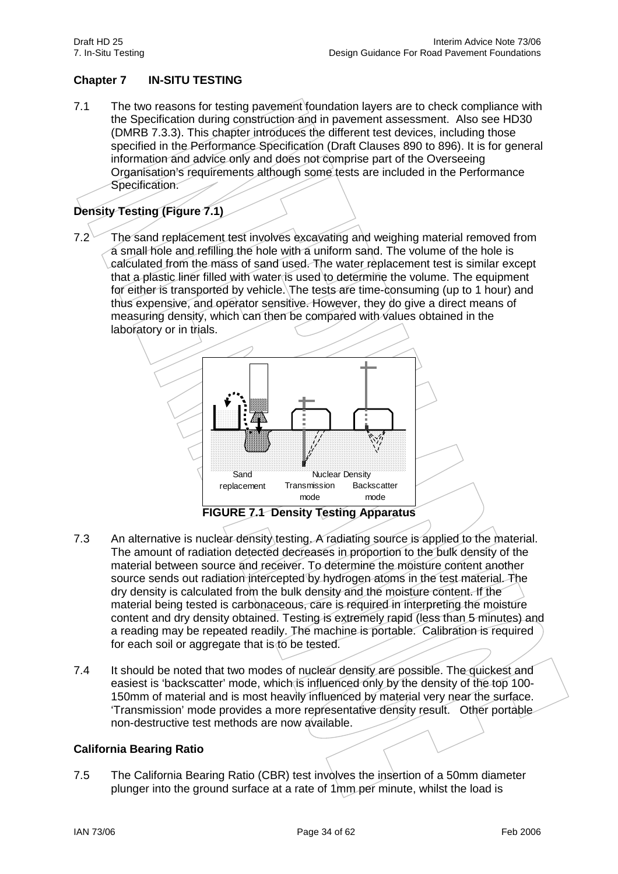# **Chapter 7 IN-SITU TESTING**

7.1 The two reasons for testing pavement foundation layers are to check compliance with the Specification during construction and in pavement assessment. Also see HD30 (DMRB 7.3.3). This chapter introduces the different test devices, including those specified in the Performance Specification (Draft Clauses 890 to 896). It is for general information and advice only and does not comprise part of the Overseeing Organisation's requirements although some tests are included in the Performance Specification.

# **Density Testing (Figure 7.1)**

7.2 The sand replacement test involves excavating and weighing material removed from a small hole and refilling the hole with a uniform sand. The volume of the hole is calculated from the mass of sand used. The water replacement test is similar except that a plastic liner filled with water is used to determine the volume. The equipment for either is transported by vehicle. The tests are time-consuming (up to 1 hour) and thus expensive, and operator sensitive. However, they do give a direct means of measuring density, which can then be compared with values obtained in the laboratory or in trials.



- 7.3 An alternative is nuclear density testing. A radiating source is applied to the material. The amount of radiation detected decreases in proportion to the bulk density of the material between source and receiver. To determine the moisture content another source sends out radiation intercepted by hydrogen atoms in the test material. The dry density is calculated from the bulk density and the moisture content. If the material being tested is carbonaceous, care is required in interpreting the moisture content and dry density obtained. Testing is extremely rapid (less than 5 minutes) and a reading may be repeated readily. The machine is portable. Calibration is required for each soil or aggregate that is to be tested.
- 7.4 It should be noted that two modes of nuclear density are possible. The quickest and easiest is 'backscatter' mode, which is influenced only by the density of the top 100-150mm of material and is most heavily influenced by material very near the surface. 'Transmission' mode provides a more representative density result. Other portable non-destructive test methods are now available.

# **California Bearing Ratio**

7.5 The California Bearing Ratio (CBR) test involves the insertion of a 50mm diameter plunger into the ground surface at a rate of 1mm per minute, whilst the load is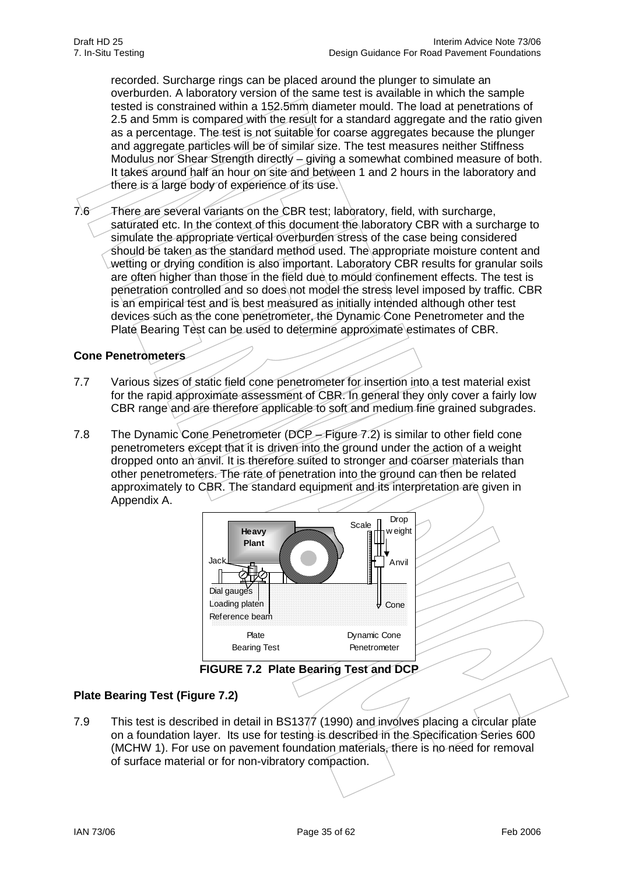recorded. Surcharge rings can be placed around the plunger to simulate an overburden. A laboratory version of the same test is available in which the sample tested is constrained within a 152.5mm diameter mould. The load at penetrations of 2.5 and 5mm is compared with the result for a standard aggregate and the ratio given as a percentage. The test is not suitable for coarse aggregates because the plunger and aggregate particles will be of similar size. The test measures neither Stiffness Modulus nor Shear Strength directly – giving a somewhat combined measure of both. It takes around half an hour on site and between 1 and 2 hours in the laboratory and there is a large body of experience of its use.

7.6 There are several variants on the CBR test; laboratory, field, with surcharge, saturated etc. In the context of this document the laboratory CBR with a surcharge to simulate the appropriate vertical overburden stress of the case being considered should be taken as the standard method used. The appropriate moisture content and wetting or drying condition is also important. Laboratory CBR results for granular soils are often higher than those in the field due to mould confinement effects. The test is penetration controlled and so does not model the stress level imposed by traffic. CBR is an empirical test and is best measured as initially intended although other test devices such as the cone penetrometer, the Dynamic Cone Penetrometer and the Plate Bearing Test can be used to determine approximate estimates of CBR.

# **Cone Penetrometers**

- 7.7 Various sizes of static field cone penetrometer for insertion into a test material exist for the rapid approximate assessment of CBR. In general they only cover a fairly low CBR range and are therefore applicable to soft and medium fine grained subgrades.
- 7.8 The Dynamic Cone Penetrometer (DCP Figure 7.2) is similar to other field cone penetrometers except that it is driven into the ground under the action of a weight dropped onto an anvil. It is therefore suited to stronger and coarser materials than other penetrometers. The rate of penetration into the ground can then be related approximately to CBR. The standard equipment and its interpretation are given in Appendix A.



**FIGURE 7.2 Plate Bearing Test and DCP** 

### **Plate Bearing Test (Figure 7.2)**

7.9 This test is described in detail in BS1377 (1990) and involves placing a circular plate on a foundation layer. Its use for testing is described in the Specification Series 600 (MCHW 1). For use on pavement foundation materials, there is no need for removal of surface material or for non-vibratory compaction.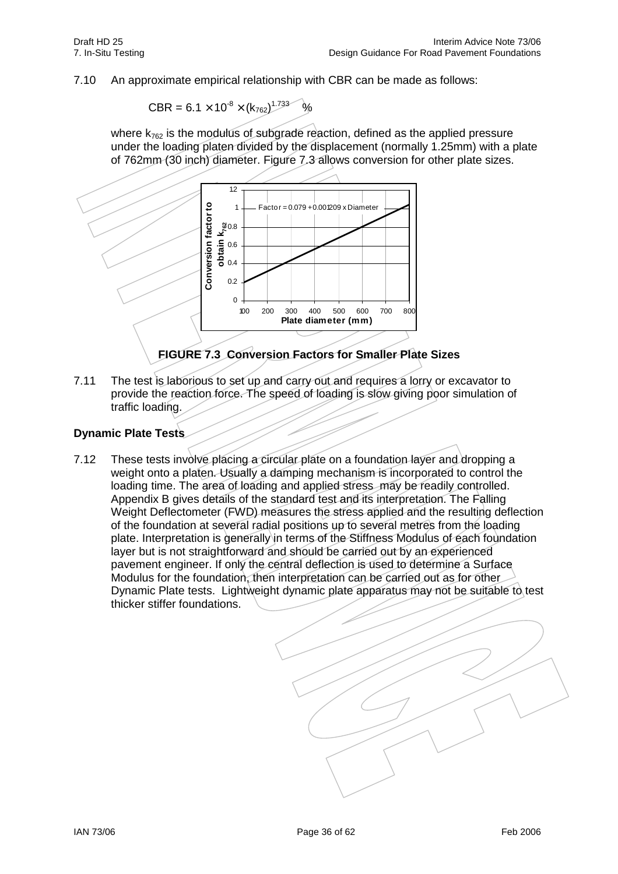7.10 An approximate empirical relationship with CBR can be made as follows:

$$
CBR = 6.1 \times 10^{-8} \times (k_{762})^{1.733} \text{ %}
$$

where  $k_{762}$  is the modulus of subgrade reaction, defined as the applied pressure under the loading platen divided by the displacement (normally 1.25mm) with a plate of 762mm (30 inch) diameter. Figure 7.3 allows conversion for other plate sizes.



**FIGURE 7.3 Conversion Factors for Smaller Plate Sizes**

7.11 The test is laborious to set up and carry out and requires a lorry or excavator to provide the reaction force. The speed of loading is slow giving poor simulation of traffic loading.

### **Dynamic Plate Tests**

7.12 These tests involve placing a circular plate on a foundation layer and dropping a weight onto a platen. Usually a damping mechanism is incorporated to control the loading time. The area of loading and applied stress may be readily controlled. Appendix B gives details of the standard test and its interpretation. The Falling Weight Deflectometer (FWD) measures the stress applied and the resulting deflection of the foundation at several radial positions up to several metres from the loading plate. Interpretation is generally in terms of the Stiffness Modulus of each foundation layer but is not straightforward and should be carried out by an experienced pavement engineer. If only the central deflection is used to determine a Surface Modulus for the foundation, then interpretation can be carried out as for other Dynamic Plate tests. Lightweight dynamic plate apparatus may not be suitable to test thicker stiffer foundations.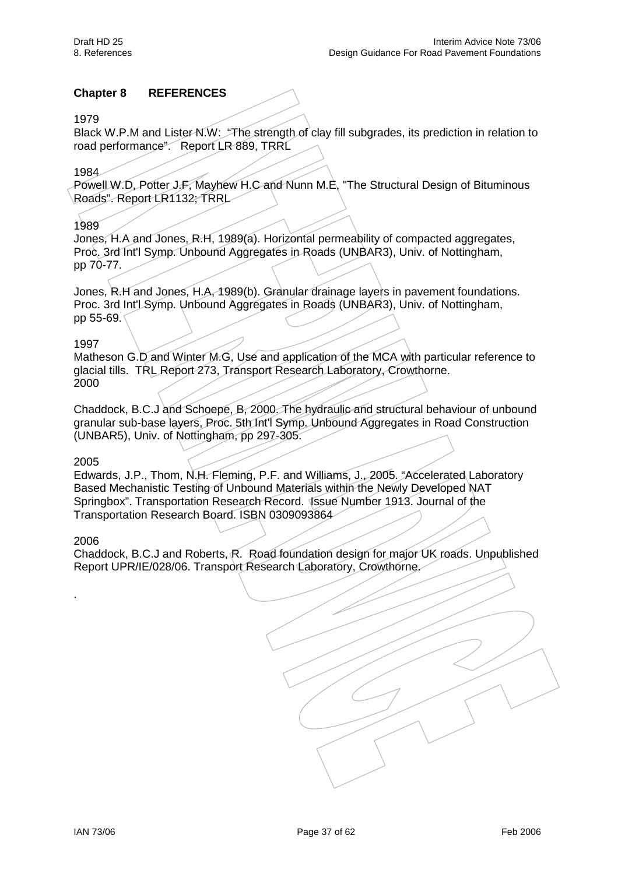## **Chapter 8 REFERENCES**

#### 1979

Black W.P.M and Lister-N.W: "The strength of clay fill subgrades, its prediction in relation to road performance". Report LR 889, TRRL

#### 1984

Powell W.D, Potter J.F, Mayhew H.C and Nunn M.E, "The Structural Design of Bituminous Roads". Report LR1132; TRRL

#### 1989

Jones, H.A and Jones, R.H, 1989(a). Horizontal permeability of compacted aggregates, Proc. 3rd Int'l Symp. Unbound Aggregates in Roads (UNBAR3), Univ. of Nottingham, pp 70-77.

Jones, R.H and Jones, H.A, 1989(b). Granular drainage layers in pavement foundations. Proc. 3rd Int'l Symp. Unbound Aggregates in Roads (UNBAR3), Univ. of Nottingham, pp 55-69.

#### 1997

Matheson G.D and Winter M.G, Use and application of the MCA with particular reference to glacial tills. TRL Report 273, Transport Research Laboratory, Crowthorne. 2000

Chaddock, B.C.J and Schoepe, B, 2000. The hydraulic and structural behaviour of unbound granular sub-base layers, Proc. 5th Int'l Symp. Unbound Aggregates in Road Construction (UNBAR5), Univ. of Nottingham, pp 297-305.

#### 2005

Edwards, J.P., Thom, N.H. Fleming, P.F. and Williams, J., 2005. "Accelerated Laboratory Based Mechanistic Testing of Unbound Materials within the Newly Developed NAT Springbox". Transportation Research Record. Issue Number 1913. Journal of the Transportation Research Board. ISBN 0309093864

#### 2006

.

Chaddock, B.C.J and Roberts, R. Road foundation design for major UK roads. Unpublished Report UPR/IE/028/06. Transport Research Laboratory, Crowthorne.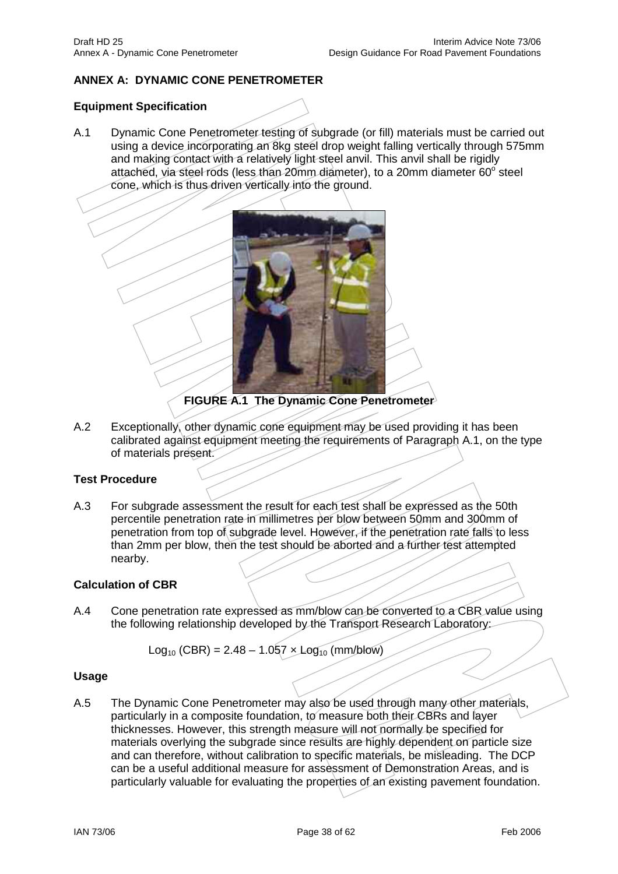# **ANNEX A: DYNAMIC CONE PENETROMETER**

#### **Equipment Specification**

A.1 Dynamic Cone Penetrometer testing of subgrade (or fill) materials must be carried out using a device incorporating an 8kg steel drop weight falling vertically through 575mm and making contact with a relatively light steel anvil. This anvil shall be rigidly attached, via steel rods (less than 20mm diameter), to a 20mm diameter  $60^{\circ}$  steel cone, which is thus driven vertically into the ground.



**FIGURE A.1 The Dynamic Cone Penetrometer** 

A.2 Exceptionally, other dynamic cone equipment may be used providing it has been calibrated against equipment meeting the requirements of Paragraph A.1, on the type of materials present.

### **Test Procedure**

A.3 For subgrade assessment the result for each test shall be expressed as the 50th percentile penetration rate in millimetres per blow between 50mm and 300mm of penetration from top of subgrade level. However, if the penetration rate falls to less than 2mm per blow, then the test should be aborted and a further test attempted nearby.

#### **Calculation of CBR**

A.4 Cone penetration rate expressed as mm/blow can be converted to a CBR value using the following relationship developed by the Transport Research Laboratory:

$$
Log_{10} (CBR) = 2.48 - 1.057 \times Log_{10} (mm/blow)
$$

#### **Usage**

A.5 The Dynamic Cone Penetrometer may also be used through many other materials, particularly in a composite foundation, to measure both their CBRs and layer thicknesses. However, this strength measure will not normally be specified for materials overlying the subgrade since results are highly dependent on particle size and can therefore, without calibration to specific materials, be misleading. The DCP can be a useful additional measure for assessment of Demonstration Areas, and is particularly valuable for evaluating the properties of an existing pavement foundation.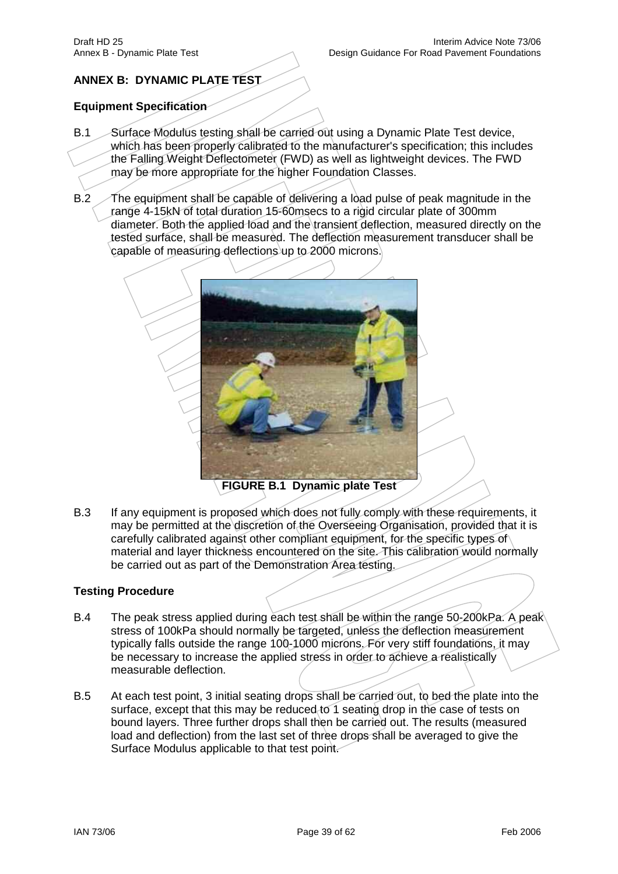# **ANNEX B: DYNAMIC PLATE TEST**

## **Equipment Specification**

- B.1 Surface Modulus testing shall be carried out using a Dynamic Plate Test device, which has been properly calibrated to the manufacturer's specification; this includes the Falling Weight Deflectometer (FWD) as well as lightweight devices. The FWD may be more appropriate for the higher Foundation Classes.
- B.2 The equipment shall be capable of delivering a load pulse of peak magnitude in the range 4-15kN of total duration 15-60msecs to a rigid circular plate of 300mm diameter. Both the applied load and the transient deflection, measured directly on the tested surface, shall be measured. The deflection measurement transducer shall be capable of measuring deflections up to 2000 microns.



B.3 If any equipment is proposed which does not fully comply with these requirements, it may be permitted at the discretion of the Overseeing Organisation, provided that it is carefully calibrated against other compliant equipment, for the specific types of material and layer thickness encountered on the site. This calibration would normally be carried out as part of the Demonstration Area testing.

#### **Testing Procedure**

- B.4 The peak stress applied during each test shall be within the range 50-200kPa. A peak stress of 100kPa should normally be targeted, unless the deflection measurement typically falls outside the range 100-1000 microns. For very stiff foundations, it may be necessary to increase the applied stress in order to achieve a realistically measurable deflection.
- B.5 At each test point, 3 initial seating drops shall be carried out, to bed the plate into the surface, except that this may be reduced to 1 seating drop in the case of tests on bound layers. Three further drops shall then be carried out. The results (measured load and deflection) from the last set of three drops shall be averaged to give the Surface Modulus applicable to that test point.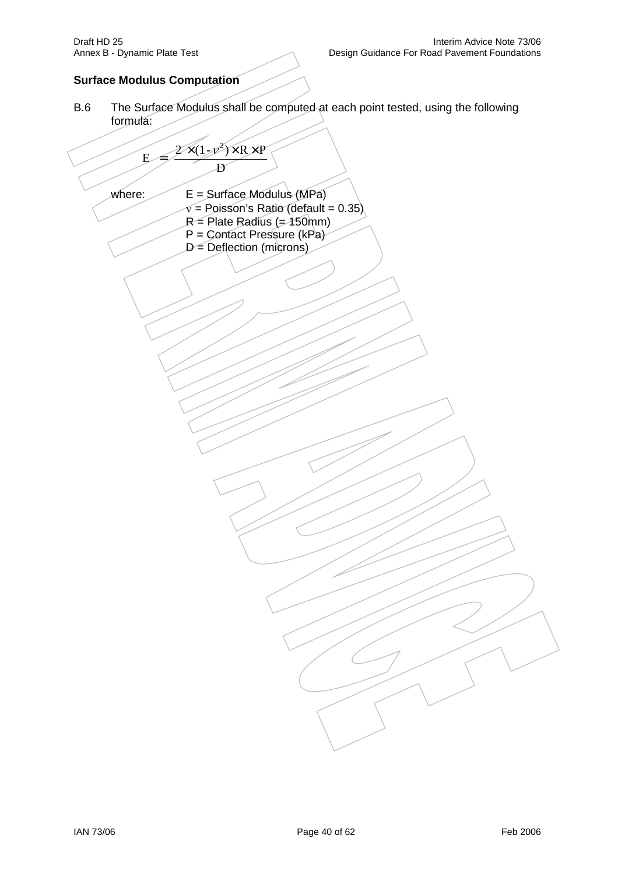# **Surface Modulus Computation**

B.6 The Surface Modulus shall be computed at each point tested, using the following formula:

$$
E = \frac{2 \times (1. y^{2}) \times R \times P}{D}
$$
\nwhere:  
\n
$$
E = \text{Surface Modulus (MPa)}
$$
\n
$$
P = \text{Poisson's Ratio (default = 0.35)}
$$
\n
$$
P = \text{Order of microns}
$$
\n
$$
D = \text{Deflection (microns)}
$$
\n
$$
D = \text{Deflection (microns)}
$$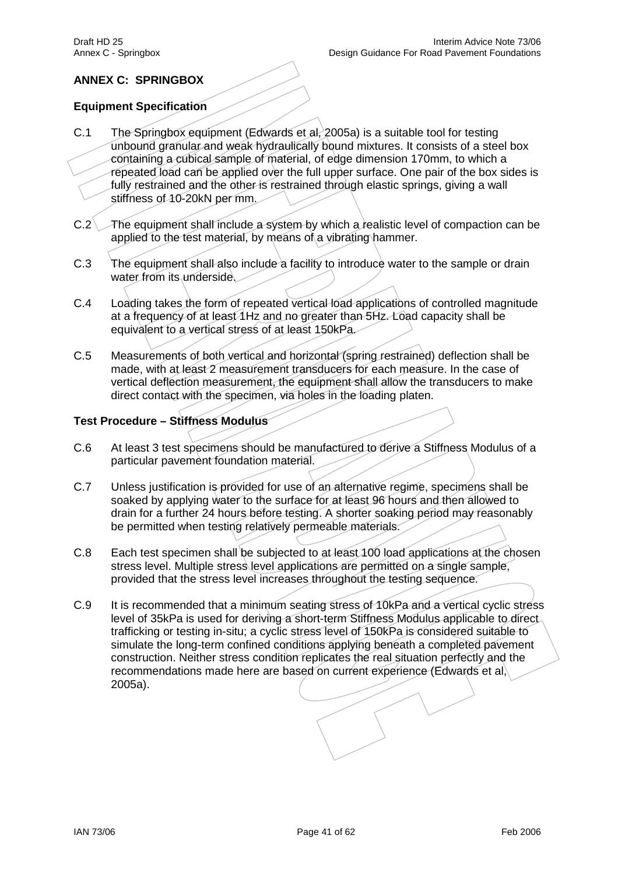# **ANNEX C: SPRINGBOX**

# **Equipment Specification**

- C.1 The Springbox equipment (Edwards et al, 2005a) is a suitable tool for testing unbound granular and weak hydraulically bound mixtures. It consists of a steel box containing a cubical sample of material, of edge dimension 170mm, to which a repeated load can be applied over the full upper surface. One pair of the box sides is fully restrained and the other is restrained through elastic springs, giving a wall stiffness of 10-20kN per mm.
- C.2 The equipment shall include a system by which a realistic level of compaction can be applied to the test material, by means of a vibrating hammer.
- C.3 The equipment shall also include a facility to introduce water to the sample or drain water from its underside.
- C.4 Loading takes the form of repeated vertical load applications of controlled magnitude at a frequency of at least 1Hz and no greater than 5Hz. Load capacity shall be equivalent to a vertical stress of at least 150kPa.
- C.5 Measurements of both vertical and horizontal (spring restrained) deflection shall be made, with at least 2 measurement transducers for each measure. In the case of vertical deflection measurement, the equipment shall allow the transducers to make direct contact with the specimen, via holes in the loading platen.

# **Test Procedure – Stiffness Modulus**

- C.6 At least 3 test specimens should be manufactured to derive a Stiffness Modulus of a particular pavement foundation material.
- C.7 Unless justification is provided for use of an alternative regime, specimens shall be soaked by applying water to the surface for at least 96 hours and then allowed to drain for a further 24 hours before testing. A shorter soaking period may reasonably be permitted when testing relatively permeable materials.
- C.8 Each test specimen shall be subjected to at least 100 load applications at the chosen stress level. Multiple stress level applications are permitted on a single sample, provided that the stress level increases throughout the testing sequence.
- C.9 It is recommended that a minimum seating stress of 10kPa and a vertical cyclic stress level of 35kPa is used for deriving a short-term Stiffness Modulus applicable to direct trafficking or testing in-situ; a cyclic stress level of 150kPa is considered suitable to simulate the long-term confined conditions applying beneath a completed pavement construction. Neither stress condition replicates the real situation perfectly and the recommendations made here are based on current experience (Edwards et al, 2005a).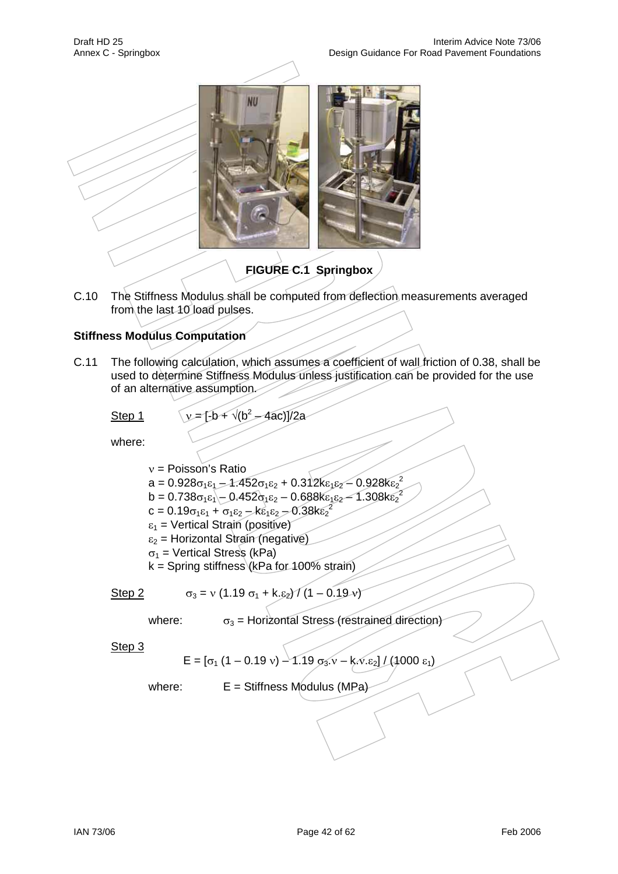

# **FIGURE C.1 Springbox**

C.10 The Stiffness Modulus shall be computed from deflection measurements averaged from the last 10 load pulses.

# **Stiffness Modulus Computation**

C.11 The following calculation, which assumes a coefficient of wall friction of 0.38, shall be used to determine Stiffness Modulus unless justification can be provided for the use of an alternative assumption.

Step 1  $\sqrt{v} = [-b + \sqrt{b^2 - 4ac}]/2a$ 

where:

 $v =$  Poisson's Ratio a = 0.928 $\sigma_1 \varepsilon_1$   $-$  1.452 $\sigma_1 \varepsilon_2$  + 0.312k $\varepsilon_1 \varepsilon_2$   $-$  0.928k $\varepsilon_2^{\,2}$ b = 0.738 $\sigma_1 \epsilon_1$  - 0.452 $\sigma_1 \epsilon_2$  – 0.688k $\epsilon_1 \epsilon_2$  – 1.308k $\epsilon_2^2$  $c = 0.19\sigma_1 \epsilon_1 + \sigma_1 \epsilon_2 - k \epsilon_1 \epsilon_2 - 0.38k \epsilon_2^2$  $\varepsilon_1$  = Vertical Strain (positive)  $\varepsilon_2$  = Horizontal Strain (negative)  $\sigma_1$  = Vertical Stress (kPa) k = Spring stiffness (kPa for 100% strain)

Step 2  $\sigma_3 = v (1.19 \sigma_1 + k. \varepsilon_2) / (1 - 0.19 \nu)$ 

where:  $\sigma_3$  = Horizontal Stress (restrained direction)

Step 3

$$
E = [\sigma_1 (1 - 0.19 v) - 1.19 \sigma_3 v - k \sqrt{2} \epsilon_2]/(1000 \epsilon_1)
$$

where:  $E = Stiffness Modulus (MPa)$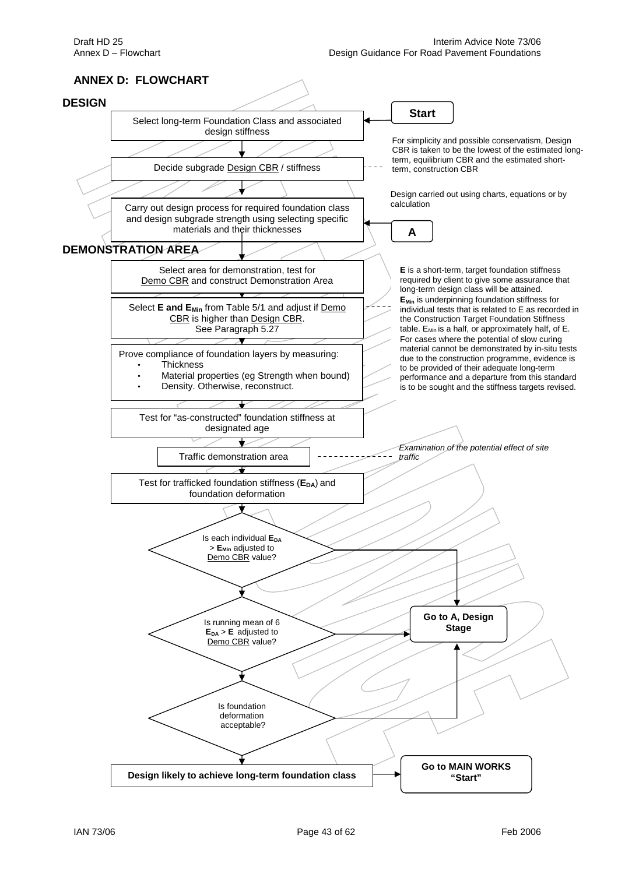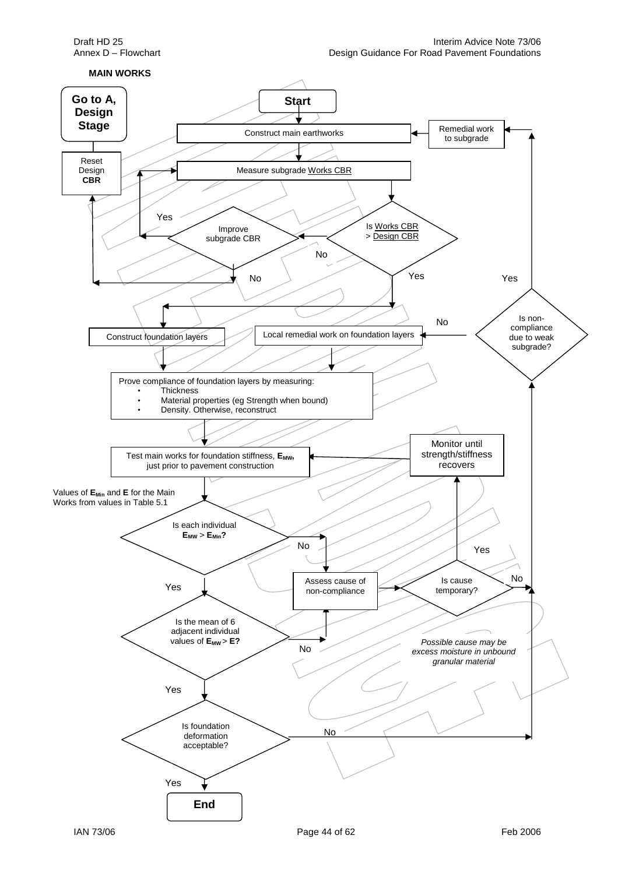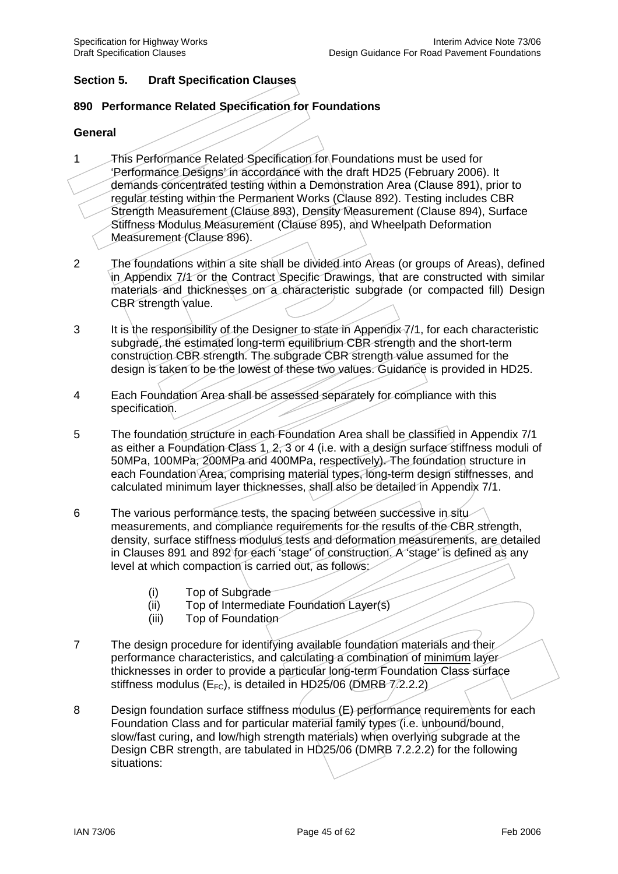# **Section 5. Draft Specification Clauses**

#### **890 Performance Related Specification for Foundations**

#### **General**

- 1 This Performance Related Specification for Foundations must be used for 'Performance Designs' in accordance with the draft HD25 (February 2006). It demands concentrated testing within a Demonstration Area (Clause 891), prior to regular testing within the Permanent Works (Clause 892). Testing includes CBR Strength Measurement (Clause 893), Density Measurement (Clause 894), Surface Stiffness Modulus Measurement (Clause 895), and Wheelpath Deformation Measurement (Clause 896).
- 2 The foundations within a site shall be divided into Areas (or groups of Areas), defined in Appendix 7/4 or the Contract Specific Drawings, that are constructed with similar materials and thicknesses on a characteristic subgrade (or compacted fill) Design CBR strength value.
- 3 It is the responsibility of the Designer to state in Appendix 7/1, for each characteristic subgrade, the estimated long-term equilibrium CBR strength and the short-term construction CBR strength. The subgrade CBR strength value assumed for the design is taken to be the lowest of these two values. Guidance is provided in HD25.
- 4 Each Foundation Area shall be assessed separately for compliance with this specification.
- 5 The foundation structure in each Foundation Area shall be classified in Appendix 7/1 as either a Foundation Class 1, 2, 3 or 4 (i.e. with a design surface stiffness moduli of 50MPa, 100MPa, 200MPa and 400MPa, respectively). The foundation structure in each Foundation Area, comprising material types, long-term design stiffnesses, and calculated minimum layer thicknesses, shall also be detailed in Appendix 7/1.
- 6 The various performance tests, the spacing between successive in situ measurements, and compliance requirements for the results of the CBR strength, density, surface stiffness modulus tests and deformation measurements, are detailed in Clauses 891 and 892 for each 'stage' of construction. A 'stage' is defined as any level at which compaction is carried out, as follows:
	- (i) Top of Subgrade
	- (ii) Top of Intermediate Foundation Layer(s)
	- (iii) Top of Foundation
- 7 The design procedure for identifying available foundation materials and their performance characteristics, and calculating a combination of minimum layer thicknesses in order to provide a particular long-term Foundation Class surface stiffness modulus ( $E_{FC}$ ), is detailed in HD25/06 (DMRB  $7/2.2.2$ )
- 8 Design foundation surface stiffness modulus (E) performance requirements for each Foundation Class and for particular material family types (i.e. unbound/bound, slow/fast curing, and low/high strength materials) when overlying subgrade at the Design CBR strength, are tabulated in HD25/06 (DMRB 7.2.2.2) for the following situations: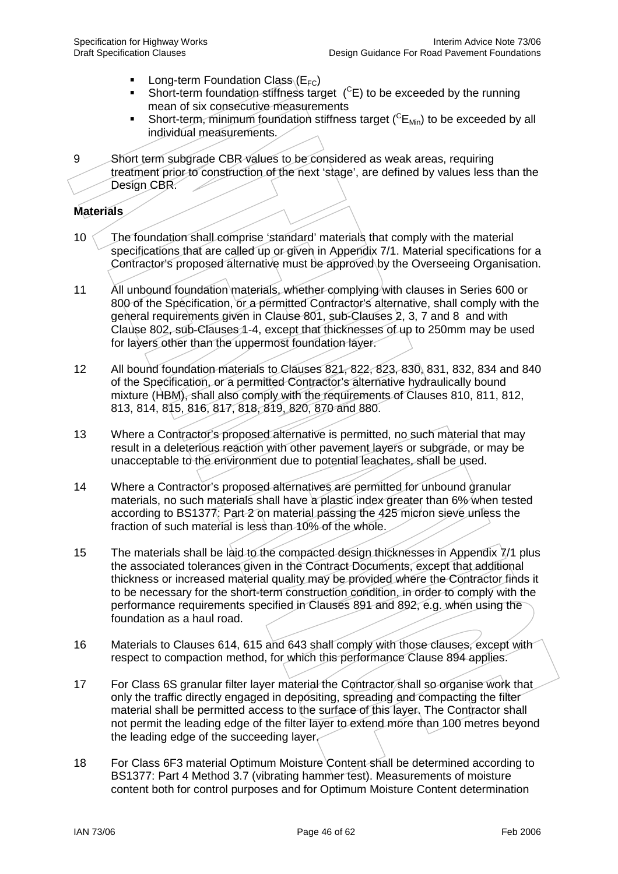- **Long-term Foundation Class (** $E_{FC}$ **)**
- Short-term foundation stiffness target  $(^{C}E)$  to be exceeded by the running mean of six consecutive measurements
- Short-term, minimum foundation stiffness target  $(^{C}E_{Min})$  to be exceeded by all individual measurements.

9 Short term subgrade CBR values to be considered as weak areas, requiring treatment prior to construction of the next 'stage', are defined by values less than the Design CBR.

#### **Materials**

- 10 The foundation shall comprise 'standard' materials that comply with the material specifications that are called up or given in Appendix 7/1. Material specifications for a Contractor's proposed alternative must be approved by the Overseeing Organisation.
- 11 All unbound foundation materials, whether complying with clauses in Series 600 or 800 of the Specification, or a permitted Contractor's alternative, shall comply with the general requirements given in Clause 801, sub-Clauses 2, 3, 7 and 8 and with Clause 802, sub-Clauses 1-4, except that thicknesses of up to 250mm may be used for layers other than the uppermost foundation layer.
- 12 All bound foundation materials to Clauses 821, 822, 823, 830, 831, 832, 834 and 840 of the Specification, or a permitted Contractor's alternative hydraulically bound mixture (HBM), shall also comply with the requirements of Clauses 810, 811, 812, 813, 814, 815, 816, 817, 818, 819, 820, 870 and 880.
- 13 Where a Contractor's proposed alternative is permitted, no such material that may result in a deleterious reaction with other pavement layers or subgrade, or may be unacceptable to the environment due to potential leachates, shall be used.
- 14 Where a Contractor's proposed alternatives are permitted for unbound granular materials, no such materials shall have a plastic index greater than 6% when tested according to BS1377: Part 2 on material passing the 425 micron sieve unless the fraction of such material is less than 10% of the whole.
- 15 The materials shall be laid to the compacted design thicknesses in Appendix 7/1 plus the associated tolerances given in the Contract Documents, except that additional thickness or increased material quality may be provided where the Contractor finds it to be necessary for the short-term construction condition, in order to comply with the performance requirements specified in Clauses 891 and 892, e.g. when using the foundation as a haul road.
- 16 Materials to Clauses 614, 615 and 643 shall comply with those clauses, except with respect to compaction method, for which this performance Clause 894 applies.
- 17 For Class 6S granular filter layer material the Contractor shall so organise work that only the traffic directly engaged in depositing, spreading and compacting the filter material shall be permitted access to the surface of this layer. The Contractor shall not permit the leading edge of the filter layer to extend more than 100 metres beyond the leading edge of the succeeding layer.
- 18 For Class 6F3 material Optimum Moisture Content shall be determined according to BS1377: Part 4 Method 3.7 (vibrating hammer test). Measurements of moisture content both for control purposes and for Optimum Moisture Content determination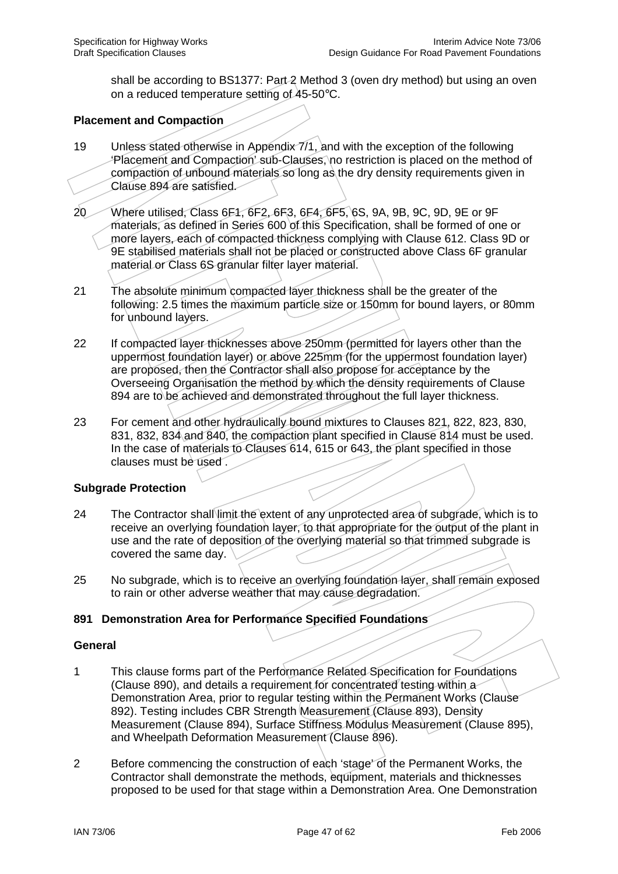shall be according to BS1377: Part-2 Method 3 (oven dry method) but using an oven on a reduced temperature setting of 45-50°C.

## **Placement and Compaction**

- 19 Unless stated otherwise in Appendix 7/1, and with the exception of the following 'Placement and Compaction' sub-Clauses, no restriction is placed on the method of compaction of unbound materials so long as the dry density requirements given in Clause 894 are satisfied.
- 20 Where utilised, Class 6F1, 6F2, 6F3, 6F4, 6F5, 6S, 9A, 9B, 9C, 9D, 9E or 9F materials, as defined in Series 600 of this Specification, shall be formed of one or more layers, each of compacted thickness complying with Clause 612. Class 9D or 9E stabilised materials shall not be placed or constructed above Class 6F granular material or Class 6S granular filter layer material.
- 21 The absolute minimum compacted layer thickness shall be the greater of the following: 2.5 times the maximum particle size or 150mm for bound layers, or 80mm for unbound layers.
- 22 If compacted layer thicknesses above 250mm (permitted for layers other than the uppermost foundation layer) or above 225mm (for the uppermost foundation layer) are proposed, then the Contractor shall also propose for acceptance by the Overseeing Organisation the method by which the density requirements of Clause 894 are to be achieved and demonstrated throughout the full layer thickness.
- 23 For cement and other hydraulically bound mixtures to Clauses 821, 822, 823, 830, 831, 832, 834 and 840, the compaction plant specified in Clause 814 must be used. In the case of materials to Clauses 614, 615 or 643, the plant specified in those clauses must be used .

#### **Subgrade Protection**

- 24 The Contractor shall limit the extent of any unprotected area of subgrade, which is to receive an overlying foundation layer, to that appropriate for the output of the plant in use and the rate of deposition of the overlying material so that trimmed subgrade is covered the same day.
- 25 No subgrade, which is to receive an overlying foundation layer, shall remain exposed to rain or other adverse weather that may cause degradation.

#### **891 Demonstration Area for Performance Specified Foundations**

#### **General**

- 1 This clause forms part of the Performance Related Specification for Foundations (Clause 890), and details a requirement for concentrated testing within a Demonstration Area, prior to regular testing within the Permanent Works (Clause 892). Testing includes CBR Strength Measurement (Clause 893), Density Measurement (Clause 894), Surface Stiffness Modulus Measurement (Clause 895), and Wheelpath Deformation Measurement (Clause 896).
- 2 Before commencing the construction of each 'stage' of the Permanent Works, the Contractor shall demonstrate the methods, equipment, materials and thicknesses proposed to be used for that stage within a Demonstration Area. One Demonstration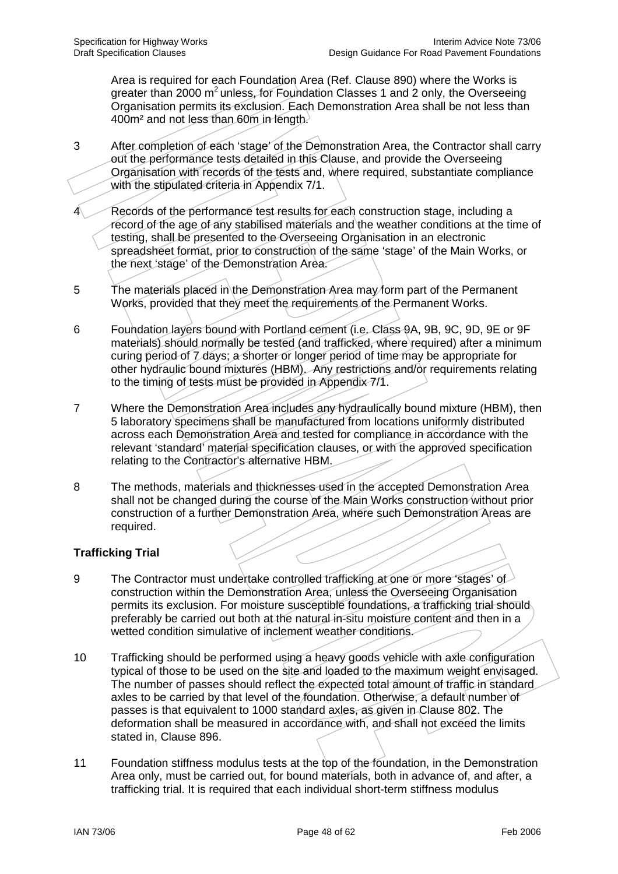Area is required for each Foundation Area (Ref. Clause 890) where the Works is greater than 2000  $m^2$  unless, for Foundation Classes 1 and 2 only, the Overseeing Organisation permits its exclusion. Each Demonstration Area shall be not less than 400m² and not less than 60m in length.

- 3 After completion of each 'stage' of the Demonstration Area, the Contractor shall carry out the performance tests detailed in this Clause, and provide the Overseeing Organisation with records of the tests and, where required, substantiate compliance with the stipulated criteria in Appendix 7/1.
- Records of the performance test results for each construction stage, including a record of the age of any stabilised materials and the weather conditions at the time of testing, shall be presented to the Overseeing Organisation in an electronic spreadsheet format, prior to construction of the same 'stage' of the Main Works, or the next 'stage' of the Demonstration Area.
- 5 The materials placed in the Demonstration Area may form part of the Permanent Works, provided that they meet the requirements of the Permanent Works.
- 6 Foundation layers bound with Portland cement (i.e. Class 9A, 9B, 9C, 9D, 9E or 9F materials) should normally be tested (and trafficked, where required) after a minimum curing period of 7 days; a shorter or longer period of time may be appropriate for other hydraulic bound mixtures (HBM). Any restrictions and/or requirements relating to the timing of tests must be provided in Appendix 7/1.
- 7 Where the Demonstration Area includes any hydraulically bound mixture (HBM), then 5 laboratory specimens shall be manufactured from locations uniformly distributed across each Demonstration Area and tested for compliance in accordance with the relevant 'standard' material specification clauses, or with the approved specification relating to the Contractor's alternative HBM.
- 8 The methods, materials and thicknesses used in the accepted Demonstration Area shall not be changed during the course of the Main Works construction without prior construction of a further Demonstration Area, where such Demonstration Areas are required.

# **Trafficking Trial**

- 9 The Contractor must undertake controlled trafficking at one or more 'stages' of construction within the Demonstration Area, unless the Overseeing Organisation permits its exclusion. For moisture susceptible foundations, a trafficking trial should preferably be carried out both at the natural in-situ moisture content and then in a wetted condition simulative of inclement weather conditions.
- 10 Trafficking should be performed using a heavy goods vehicle with axle configuration typical of those to be used on the site and loaded to the maximum weight envisaged. The number of passes should reflect the expected total amount of traffic in standard axles to be carried by that level of the foundation. Otherwise, a default number of passes is that equivalent to 1000 standard axles, as given in Clause 802. The deformation shall be measured in accordance with, and shall not exceed the limits stated in, Clause 896.
- 11 Foundation stiffness modulus tests at the top of the foundation, in the Demonstration Area only, must be carried out, for bound materials, both in advance of, and after, a trafficking trial. It is required that each individual short-term stiffness modulus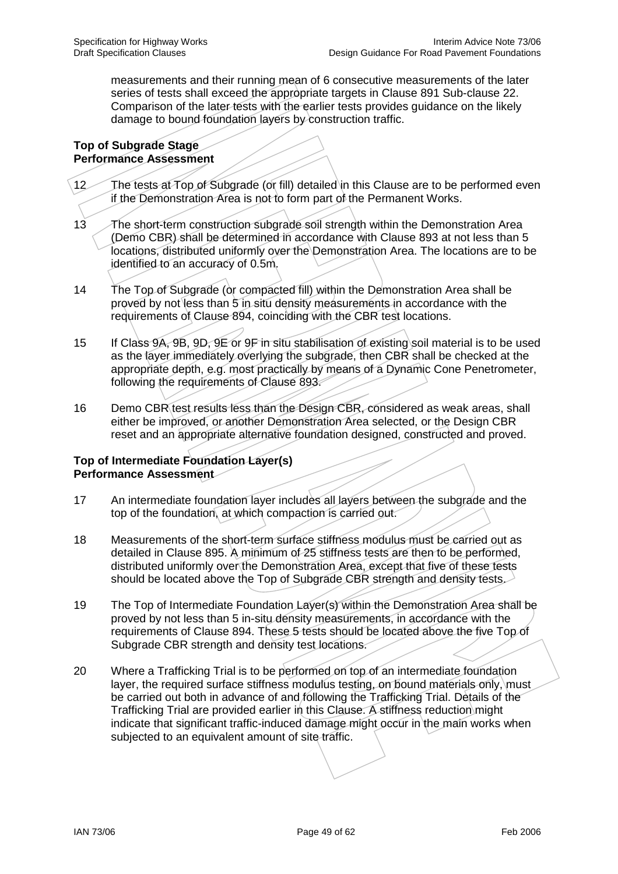measurements and their running mean of 6 consecutive measurements of the later series of tests shall exceed the appropriate targets in Clause 891 Sub-clause 22. Comparison of the later tests with the earlier tests provides guidance on the likely damage to bound foundation layers by construction traffic.

#### **Top of Subgrade Stage Performance Assessment**

- 12 The tests at Top of Subgrade (or fill) detailed in this Clause are to be performed even if the Demonstration Area is not to form part of the Permanent Works.
- 13 The short-term construction subgrade soil strength within the Demonstration Area (Demo CBR) shall be determined in accordance with Clause 893 at not less than 5 locations, distributed uniformly over the Demonstration Area. The locations are to be identified to an accuracy of 0.5m.
- 14 The Top of Subgrade (or compacted fill) within the Demonstration Area shall be proved by not less than 5 in situ density measurements in accordance with the requirements of Clause 894, coinciding with the CBR test locations.
- 15 If Class 9A, 9B, 9D, 9E or 9F in situ stabilisation of existing soil material is to be used as the layer immediately overlying the subgrade, then CBR shall be checked at the appropriate depth, e.g. most practically by means of a Dynamic Cone Penetrometer, following the requirements of Clause 893.
- 16 Demo CBR test results less than the Design CBR, considered as weak areas, shall either be improved, or another Demonstration Area selected, or the Design CBR reset and an appropriate alternative foundation designed, constructed and proved.

### **Top of Intermediate Foundation Layer(s) Performance Assessment**

- 17 An intermediate foundation layer includes all layers between the subgrade and the top of the foundation, at which compaction is carried out.
- 18 Measurements of the short-term surface stiffness modulus must be carried out as detailed in Clause 895. A minimum of 25 stiffness tests are then to be performed, distributed uniformly over the Demonstration Area, except that five of these tests should be located above the Top of Subgrade CBR strength and density tests.
- 19 The Top of Intermediate Foundation Layer(s) within the Demonstration Area shall be proved by not less than 5 in-situ density measurements, in accordance with the requirements of Clause 894. These 5 tests should be located above the five Top of Subgrade CBR strength and density test locations.
- 20 Where a Trafficking Trial is to be performed on top of an intermediate foundation layer, the required surface stiffness modulus testing, on bound materials only, must be carried out both in advance of and following the Trafficking Trial. Details of the Trafficking Trial are provided earlier in this Clause. A stiffness reduction might indicate that significant traffic-induced damage might occur in the main works when subjected to an equivalent amount of site traffic.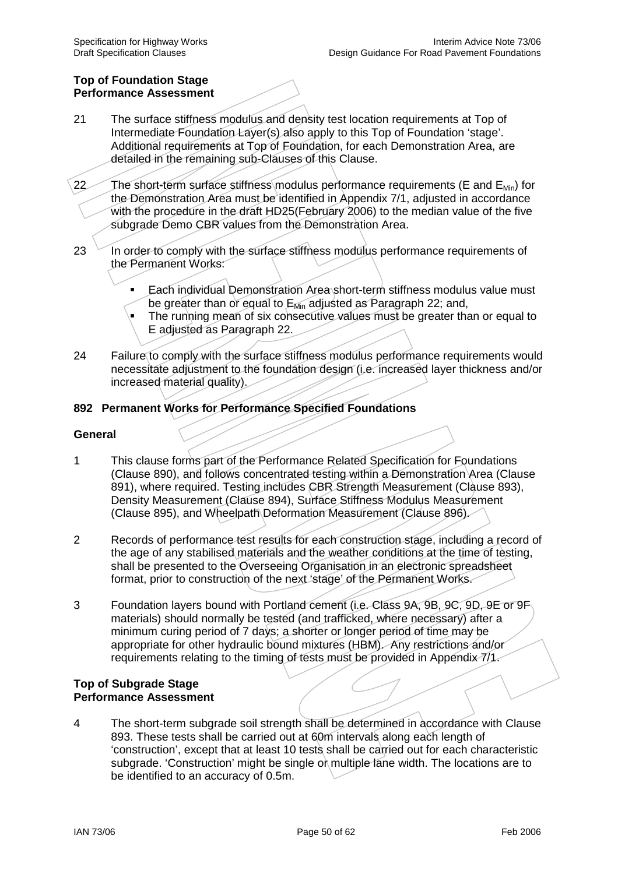#### **Top of Foundation Stage Performance Assessment**

- 21 The surface stiffness modulus and density test location requirements at Top of Intermediate Foundation Layer(s) also apply to this Top of Foundation 'stage'. Additional requirements at Top of Foundation, for each Demonstration Area, are detailed in the remaining sub-Clauses of this Clause.
- 22 The short-term surface stiffness modulus performance requirements (E and  $E_{Min}$ ) for the Demonstration Area must be identified in Appendix 7/1, adjusted in accordance with the procedure in the draft HD25(February 2006) to the median value of the five subgrade Demo CBR values from the Demonstration Area.
- 23 In order to comply with the surface stiffness modulus performance requirements of the Permanent Works:
	- Each individual Demonstration Area short-term stiffness modulus value must be greater than or equal to E<sub>Min</sub> adjusted as Paragraph 22; and,
	- The running mean of six consecutive values must be greater than or equal to E adjusted as Paragraph 22.
- 24 Failure to comply with the surface stiffness modulus performance requirements would necessitate adjustment to the foundation design (i.e. increased layer thickness and/or increased material quality).

# **892 Permanent Works for Performance Specified Foundations**

#### **General**

- 1 This clause forms part of the Performance Related Specification for Foundations (Clause 890), and follows concentrated testing within a Demonstration Area (Clause 891), where required. Testing includes CBR Strength Measurement (Clause 893), Density Measurement (Clause 894), Surface Stiffness Modulus Measurement (Clause 895), and Wheelpath Deformation Measurement (Clause 896).
- 2 Records of performance test results for each construction stage, including a record of the age of any stabilised materials and the weather conditions at the time of testing, shall be presented to the Overseeing Organisation in an electronic spreadsheet format, prior to construction of the next 'stage' of the Permanent Works.
- 3 Foundation layers bound with Portland cement (i.e. Class 9A, 9B, 9C, 9D, 9E or 9F materials) should normally be tested (and trafficked, where necessary) after a minimum curing period of 7 days; a shorter or longer period of time may be appropriate for other hydraulic bound mixtures (HBM). Any restrictions and/or requirements relating to the timing of tests must be provided in Appendix 7/1.

#### **Top of Subgrade Stage Performance Assessment**

4 The short-term subgrade soil strength shall be determined in accordance with Clause 893. These tests shall be carried out at 60m intervals along each length of 'construction', except that at least 10 tests shall be carried out for each characteristic subgrade. 'Construction' might be single or multiple lane width. The locations are to be identified to an accuracy of 0.5m.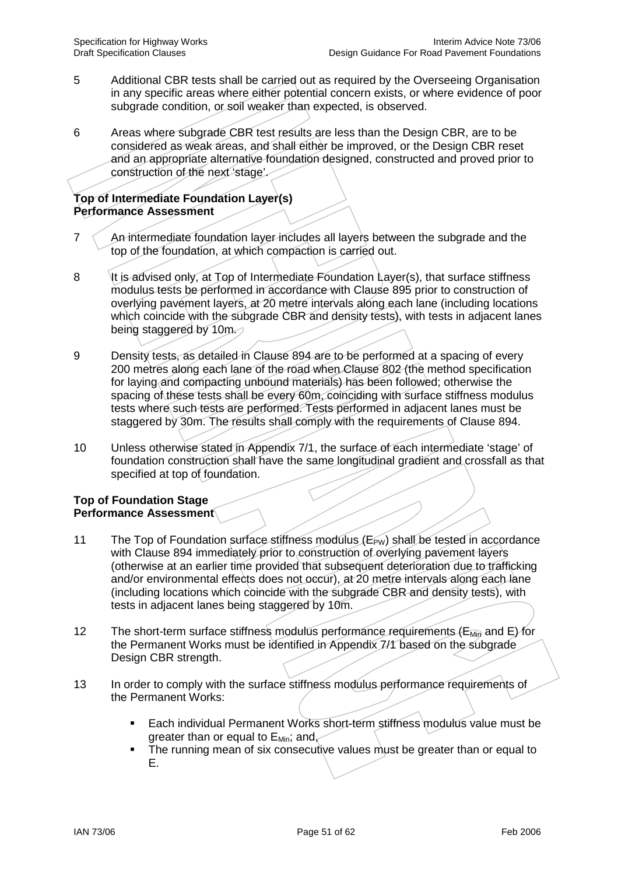- 5 Additional CBR tests shall be carried out as required by the Overseeing Organisation in any specific areas where either potential concern exists, or where evidence of poor subgrade condition, or soil weaker than expected, is observed.
- 6 Areas where subgrade CBR test results are less than the Design CBR, are to be considered as weak areas, and shall either be improved, or the Design CBR reset and an appropriate alternative foundation designed, constructed and proved prior to construction of the next 'stage'.

## **Top of Intermediate Foundation Layer(s) Performance Assessment**

- $7 \leq$  An intermediate foundation layer includes all layers between the subgrade and the top of the foundation, at which compaction is carried out.
- 8 It is advised only, at Top of Intermediate Foundation Layer(s), that surface stiffness modulus tests be performed in accordance with Clause 895 prior to construction of overlying pavement layers, at 20 metre intervals along each lane (including locations which coincide with the subgrade CBR and density tests), with tests in adjacent lanes being staggered by 10m.
- 9 Density tests, as detailed in Clause 894 are to be performed at a spacing of every 200 metres along each lane of the road when Clause 802 (the method specification for laying and compacting unbound materials) has been followed; otherwise the spacing of these tests shall be every 60m, coinciding with surface stiffness modulus tests where such tests are performed. Tests performed in adjacent lanes must be staggered by 30m. The results shall comply with the requirements of Clause 894.
- 10 Unless otherwise stated in Appendix 7/1, the surface of each intermediate 'stage' of foundation construction shall have the same longitudinal gradient and crossfall as that specified at top of foundation.

### **Top of Foundation Stage Performance Assessment**

- 11 The Top of Foundation surface stiffness modulus  $(E_{PW})$  shall be tested in accordance with Clause 894 immediately prior to construction of overlying pavement layers (otherwise at an earlier time provided that subsequent deterioration due to trafficking and/or environmental effects does not occur), at 20 metre intervals along each lane (including locations which coincide with the subgrade CBR and density tests), with tests in adjacent lanes being staggered by 10m.
- 12 The short-term surface stiffness modulus performance requirements ( $E_{Min}$  and E) for the Permanent Works must be identified in Appendix 7/1 based on the subgrade Design CBR strength.
- 13 In order to comply with the surface stiffness modulus performance requirements of the Permanent Works:
	- Each individual Permanent Works short-term stiffness modulus value must be greater than or equal to  $E_{Min}$ ; and,
	- The running mean of six consecutive values must be greater than or equal to E.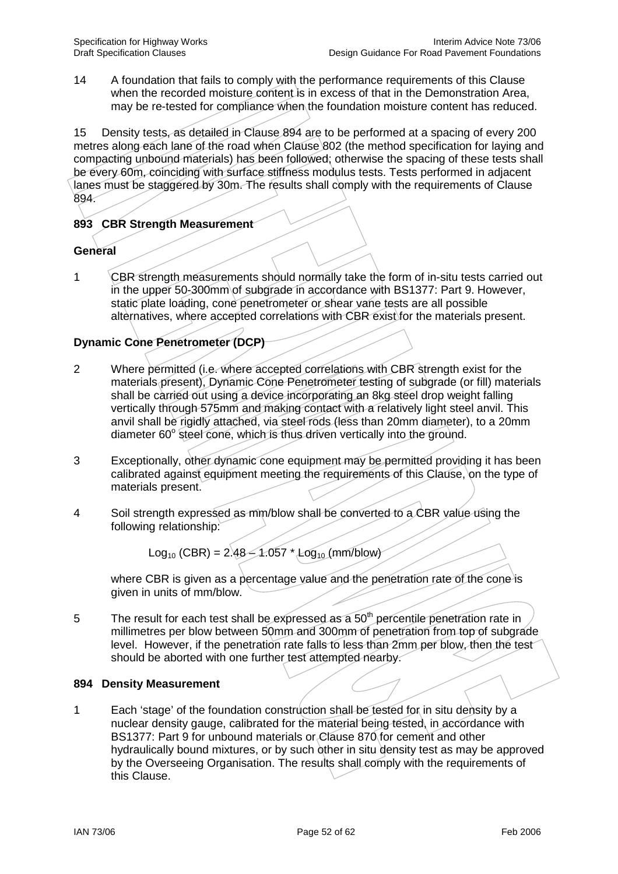14 A foundation that fails to comply with the performance requirements of this Clause when the recorded moisture content is in excess of that in the Demonstration Area, may be re-tested for compliance when the foundation moisture content has reduced.

15 Density tests, as detailed in Clause 894 are to be performed at a spacing of every 200 metres along each lane of the road when Clause 802 (the method specification for laying and compacting unbound materials) has been followed; otherwise the spacing of these tests shall be every 60m, coinciding with surface stiffness modulus tests. Tests performed in adjacent lanes must be staggered by 30m. The results shall comply with the requirements of Clause 894.

## **893 CBR Strength Measurement**

### **General**

1 CBR strength measurements should normally take the form of in-situ tests carried out in the upper 50-300mm of subgrade in accordance with BS1377: Part 9. However, static plate loading, cone penetrometer or shear vane tests are all possible alternatives, where accepted correlations with CBR exist for the materials present.

# **Dynamic Cone Penetrometer (DCP)**

- 2 Where permitted (i.e. where accepted correlations with CBR strength exist for the materials present), Dynamic Cone Penetrometer testing of subgrade (or fill) materials shall be carried out using a device incorporating an 8kg steel drop weight falling vertically through 575mm and making contact with a relatively light steel anvil. This anvil shall be rigidly attached, via steel rods (less than 20mm diameter), to a 20mm diameter  $60^\circ$  steel cone, which is thus driven vertically into the ground.
- 3 Exceptionally, other dynamic cone equipment may be permitted providing it has been calibrated against equipment meeting the requirements of this Clause, on the type of materials present.
- 4 Soil strength expressed as mm/blow shall be converted to a CBR value using the following relationship:

 $Log_{10}$  (CBR) = 2.48 – 1.057 \* Log<sub>10</sub> (mm/blow)

where CBR is given as a percentage value and the penetration rate of the cone is given in units of mm/blow.

5 The result for each test shall be expressed as a  $50<sup>th</sup>$  percentile penetration rate in millimetres per blow between 50mm and 300mm of penetration from top of subgrade level. However, if the penetration rate falls to less than 2mm per blow, then the test should be aborted with one further test attempted nearby.

### **894 Density Measurement**

1 Each 'stage' of the foundation construction shall be tested for in situ density by a nuclear density gauge, calibrated for the material being tested, in accordance with BS1377: Part 9 for unbound materials or Clause 870 for cement and other hydraulically bound mixtures, or by such other in situ density test as may be approved by the Overseeing Organisation. The results shall comply with the requirements of this Clause.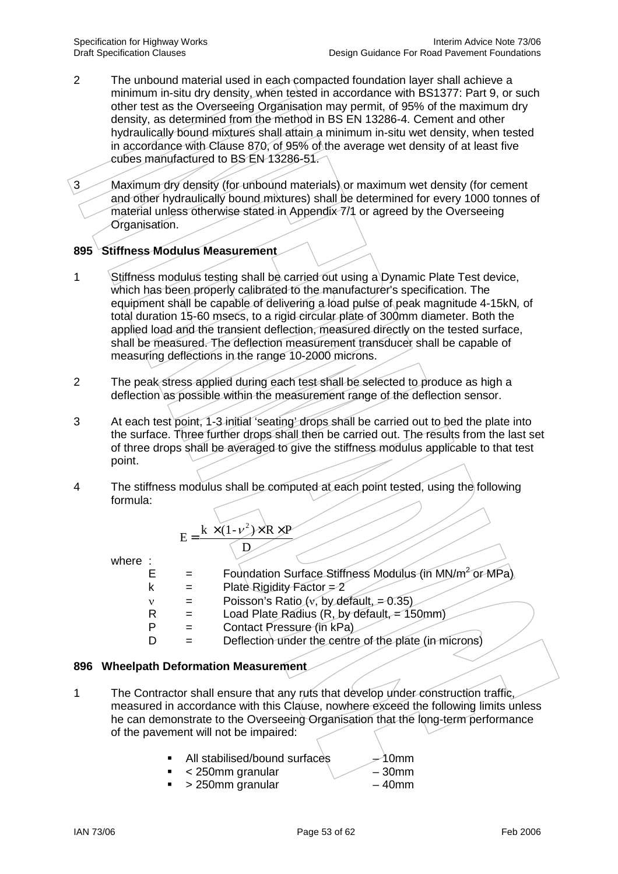- 2 The unbound material used in each compacted foundation layer shall achieve a minimum in-situ dry density, when tested in accordance with BS1377: Part 9, or such other test as the Overseeing Organisation may permit, of 95% of the maximum dry density, as determined from the method in BS EN 13286-4. Cement and other hydraulically bound mixtures shall attain a minimum in-situ wet density, when tested in accordance with Clause 870, of 95% of the average wet density of at least five cubes manufactured to BS EN 13286-51.
- 3 Maximum dry density (for unbound materials) or maximum wet density (for cement and other hydraulically bound mixtures) shall be determined for every 1000 tonnes of material unless otherwise stated in Appendix 7/1 or agreed by the Overseeing Organisation.

# **895 Stiffness Modulus Measurement**

- 1 Stiffness modulus testing shall be carried out using a Dynamic Plate Test device, which has been properly calibrated to the manufacturer's specification. The equipment shall be capable of delivering a load pulse of peak magnitude 4-15kN*,* of total duration 15-60 msecs, to a rigid circular plate of 300mm diameter. Both the applied load and the transient deflection, measured directly on the tested surface, shall be measured. The deflection measurement transducer shall be capable of measuring deflections in the range 10-2000 microns.
- 2 The peak stress applied during each test shall be selected to produce as high a deflection as possible within the measurement range of the deflection sensor.
- 3 At each test point, 1-3 initial 'seating' drops shall be carried out to bed the plate into the surface. Three further drops shall then be carried out. The results from the last set of three drops shall be averaged to give the stiffness modulus applicable to that test point.
- 4 The stiffness modulus shall be computed at each point tested, using the following formula:

$$
E = \frac{k \times (1 - \nu^2) \times R \times P}{D}
$$

where :

| $=$ | Foundation Surface Stiffness Modulus (in MN/m <sup>2</sup> or MPa). |
|-----|---------------------------------------------------------------------|
| $=$ | Plate Rigidity Factor $=2$                                          |
| $=$ | Poisson's Ratio (v, by default, = $0.35$ )                          |
| $=$ | Load Plate Radius (R, by default, $= 150$ mm)                       |

- $P =$  Contact Pressure (in kPa)
- $D =$  Deflection under the centre of the plate (in microns)

### **896 Wheelpath Deformation Measurement**

- 1 The Contractor shall ensure that any ruts that develop under construction traffic, measured in accordance with this Clause, nowhere exceed the following limits unless he can demonstrate to the Overseeing Organisation that the long-term performance of the pavement will not be impaired:
	- All stabilised/bound surfaces  $\rightarrow$  10mm
	- $\lt$  250mm granular 30mm
	- $\sim$  250mm granular 40mm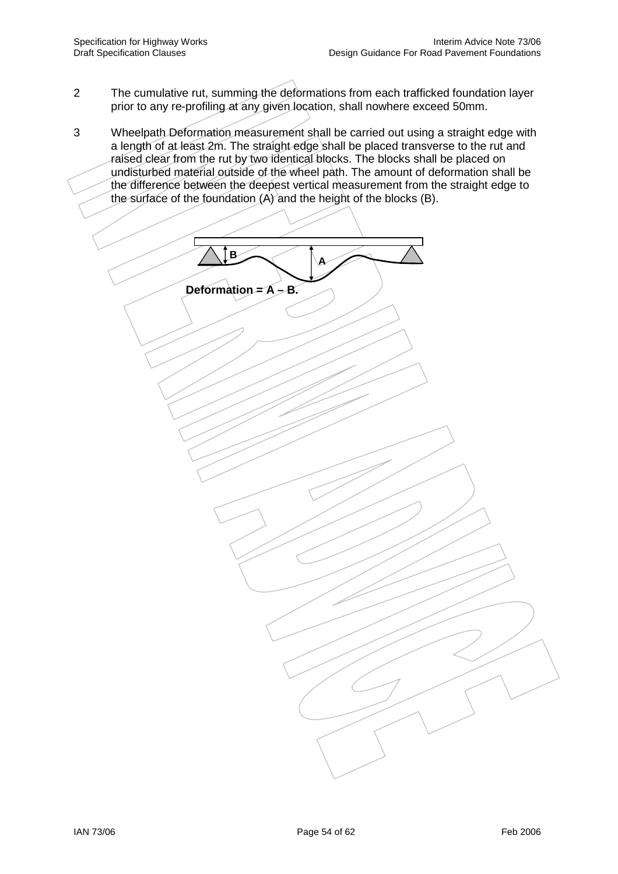- 2 The cumulative rut, summing the deformations from each trafficked foundation layer prior to any re-profiling at any given location, shall nowhere exceed 50mm.
- 3 Wheelpath Deformation measurement shall be carried out using a straight edge with a length of at least 2m. The straight edge shall be placed transverse to the rut and raised clear from the rut by two identical blocks. The blocks shall be placed on undisturbed material outside of the wheel path. The amount of deformation shall be the difference between the deepest vertical measurement from the straight edge to the surface of the foundation  $(A)$  and the height of the blocks (B).

**Deformation = A – B.** 

**B A**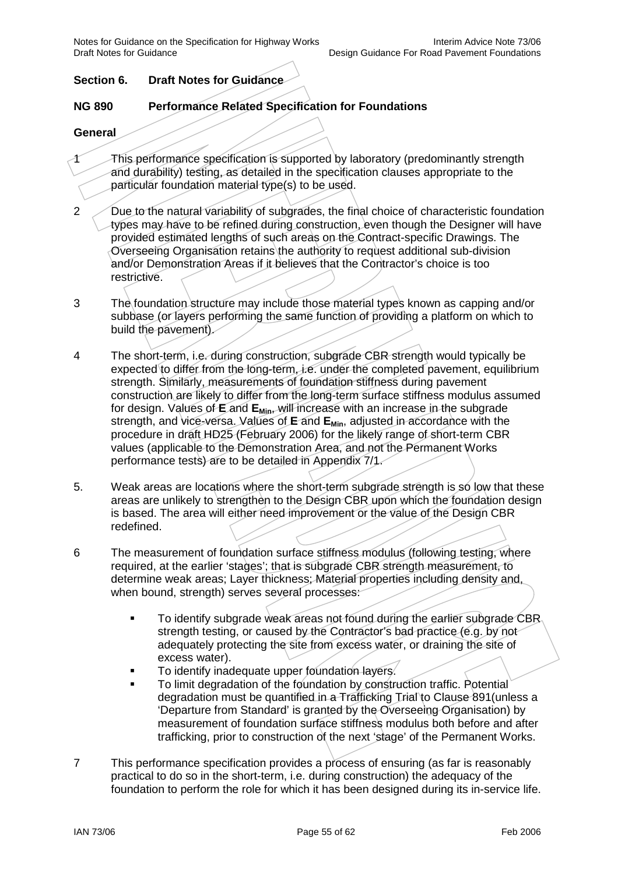Notes for Guidance on the Specification for Highway Works<br>Design Guidance For Road Pavement Foundations Interim Advice Note 73/06

## **Section 6. Draft Notes for Guidance**

### **NG 890 Performance Related Specification for Foundations**

#### **General**

- 1 This performance specification is supported by laboratory (predominantly strength and durability) testing, as detailed in the specification clauses appropriate to the particular foundation material type(s) to be used.
- 2 Due to the natural variability of subgrades, the final choice of characteristic foundation types may have to be refined during construction, even though the Designer will have provided estimated lengths of such areas on the Contract-specific Drawings. The Overseeing Organisation retains the authority to request additional sub-division and/or Demonstration Areas if it believes that the Contractor's choice is too restrictive.
- 3 The foundation structure may include those material types known as capping and/or subbase (or layers performing the same function of providing a platform on which to build the pavement).
- 4 The short-term, i.e. during construction, subgrade CBR strength would typically be expected to differ from the long-term, i.e. under the completed pavement, equilibrium strength. Similarly, measurements of foundation stiffness during pavement construction are likely to differ from the long-term surface stiffness modulus assumed for design. Values of **E** and **E**<sub>Min</sub>, will increase with an increase in the subgrade strength, and vice-versa. Values of **E** and **EMin**, adjusted in accordance with the procedure in draft HD25 (February 2006) for the likely range of short-term CBR values (applicable to the Demonstration Area, and not the Permanent Works performance tests) are to be detailed in Appendix 7/1.
- 5. Weak areas are locations where the short-term subgrade strength is so low that these areas are unlikely to strengthen to the Design CBR upon which the foundation design is based. The area will either need improvement or the value of the Design CBR redefined.
- 6 The measurement of foundation surface stiffness modulus (following testing, where required, at the earlier 'stages'; that is subgrade CBR strength measurement, to determine weak areas; Layer thickness; Material properties including density and, when bound, strength) serves several processes:
	- To identify subgrade weak areas not found during the earlier subgrade CBR strength testing, or caused by the Contractor's bad practice (e.g. by not adequately protecting the site from excess water, or draining the site of excess water).
	- To identify inadequate upper foundation layers.
	- To limit degradation of the foundation by construction traffic. Potential degradation must be quantified in a Trafficking Trial to Clause 891(unless a 'Departure from Standard' is granted by the Overseeing Organisation) by measurement of foundation surface stiffness modulus both before and after trafficking, prior to construction of the next 'stage' of the Permanent Works.
- 7 This performance specification provides a process of ensuring (as far is reasonably practical to do so in the short-term, i.e. during construction) the adequacy of the foundation to perform the role for which it has been designed during its in-service life.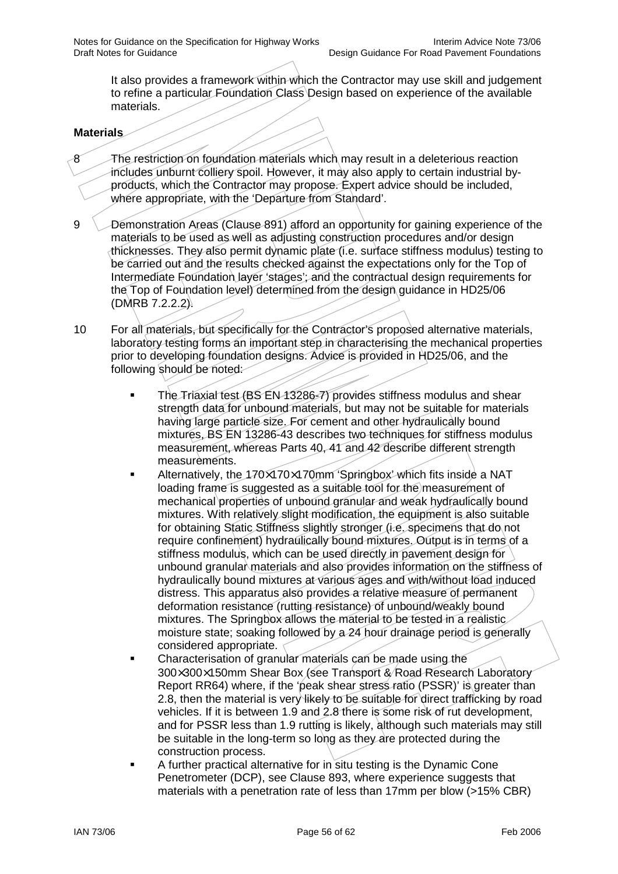It also provides a framework within which the Contractor may use skill and judgement to refine a particular Foundation Class Design based on experience of the available materials.

### **Materials**

- 8 The restriction on foundation materials which may result in a deleterious reaction includes unburnt colliery spoil. However, it may also apply to certain industrial byproducts, which the Contractor may propose. Expert advice should be included, where appropriate, with the 'Departure from Standard'.
- 9 Demonstration Areas (Clause 891) afford an opportunity for gaining experience of the materials to be used as well as adjusting construction procedures and/or design thicknesses. They also permit dynamic plate (i.e. surface stiffness modulus) testing to be carried out and the results checked against the expectations only for the Top of Intermediate Foundation layer 'stages'; and the contractual design requirements for the Top of Foundation level) determined from the design guidance in HD25/06 (DMRB 7.2.2.2).
- 10 For all materials, but specifically for the Contractor's proposed alternative materials, laboratory testing forms an important step in characterising the mechanical properties prior to developing foundation designs. Advice is provided in HD25/06, and the following should be noted:
	- The Triaxial test (BS EN 13286-7) provides stiffness modulus and shear strength data for unbound materials, but may not be suitable for materials having large particle size. For cement and other hydraulically bound mixtures, BS EN 13286-43 describes two techniques for stiffness modulus measurement, whereas Parts 40, 41 and 42 describe different strength measurements.
	- Alternatively, the 170×170×170mm 'Springbox' which fits inside a NAT loading frame is suggested as a suitable tool for the measurement of mechanical properties of unbound granular and weak hydraulically bound mixtures. With relatively slight modification, the equipment is also suitable for obtaining Static Stiffness slightly stronger (i.e. specimens that do not require confinement) hydraulically bound mixtures. Output is in terms of a stiffness modulus, which can be used directly in pavement design for unbound granular materials and also provides information on the stiffness of hydraulically bound mixtures at various ages and with/without load induced distress. This apparatus also provides a relative measure of permanent deformation resistance (rutting resistance) of unbound/weakly bound mixtures. The Springbox allows the material to be tested in a realistic moisture state; soaking followed by a 24 hour drainage period is generally considered appropriate.
	- Characterisation of granular materials can be made using the 300×300×150mm Shear Box (see Transport & Road Research Laboratory Report RR64) where, if the 'peak shear stress ratio (PSSR)' is greater than 2.8, then the material is very likely to be suitable for direct trafficking by road vehicles. If it is between 1.9 and 2.8 there is some risk of rut development, and for PSSR less than 1.9 rutting is likely, although such materials may still be suitable in the long-term so long as they are protected during the construction process.
	- A further practical alternative for in situ testing is the Dynamic Cone Penetrometer (DCP), see Clause 893, where experience suggests that materials with a penetration rate of less than 17mm per blow (>15% CBR)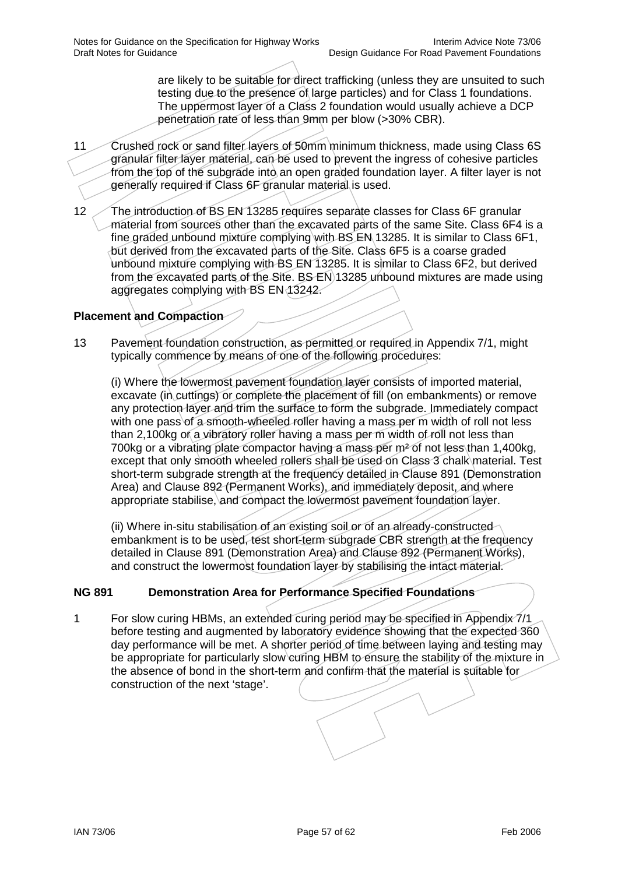are likely to be suitable for direct trafficking (unless they are unsuited to such testing due to the presence of large particles) and for Class 1 foundations. The uppermost layer of a Class 2 foundation would usually achieve a DCP penetration rate of less than 9mm per blow (>30% CBR).

- 11 Crushed rock or sand filter layers of 50mm minimum thickness, made using Class 6S granular filter layer material, can be used to prevent the ingress of cohesive particles from the top of the subgrade into an open graded foundation layer. A filter layer is not generally required if Class 6F granular material is used.
- 12 The introduction of BS EN 13285 requires separate classes for Class 6F granular material from sources other than the excavated parts of the same Site. Class 6F4 is a fine graded unbound mixture complying with BS EN 13285. It is similar to Class 6F1, but derived from the excavated parts of the Site. Class 6F5 is a coarse graded unbound mixture complying with BS EN 13285. It is similar to Class 6F2, but derived from the excavated parts of the Site. BS EN 13285 unbound mixtures are made using aggregates complying with BS EN 13242.

# **Placement and Compaction**

13 Pavement foundation construction, as permitted or required in Appendix 7/1, might typically commence by means of one of the following procedures:

(i) Where the lowermost pavement foundation layer consists of imported material, excavate (in cuttings) or complete the placement of fill (on embankments) or remove any protection layer and trim the surface to form the subgrade. Immediately compact with one pass of a smooth-wheeled roller having a mass per m width of roll not less than 2,100kg or a vibratory roller having a mass per m width of roll not less than 700kg or a vibrating plate compactor having a mass per m² of not less than 1,400kg, except that only smooth wheeled rollers shall be used on Class 3 chalk material. Test short-term subgrade strength at the frequency detailed in Clause 891 (Demonstration Area) and Clause 892 (Permanent Works), and immediately deposit, and where appropriate stabilise, and compact the lowermost pavement foundation layer.

(ii) Where in-situ stabilisation of an existing soil or of an already-constructed embankment is to be used, test short-term subgrade CBR strength at the frequency detailed in Clause 891 (Demonstration Area) and Clause 892 (Permanent Works), and construct the lowermost foundation layer by stabilising the intact material.

# **NG 891 Demonstration Area for Performance Specified Foundations**

1 For slow curing HBMs, an extended curing period may be specified in Appendix 7/1 before testing and augmented by laboratory evidence showing that the expected 360 day performance will be met. A shorter period of time between laying and testing may be appropriate for particularly slow curing HBM to ensure the stability of the mixture in the absence of bond in the short-term and confirm that the material is suitable for construction of the next 'stage'.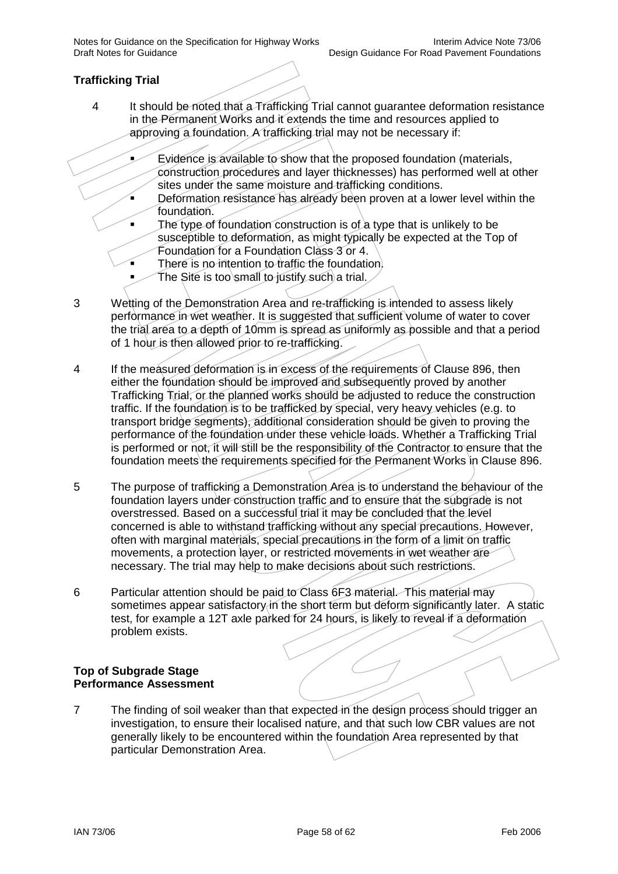Notes for Guidance on the Specification for Highway Works<br>Design Guidance For Road Pavement Foundations Interim Advice Note 73/06

# **Trafficking Trial**

- 4 It should be noted that a Trafficking Trial cannot guarantee deformation resistance in the Permanent Works and it extends the time and resources applied to approving a foundation. A trafficking trial may not be necessary if:
	- Evidence is available to show that the proposed foundation (materials, construction procedures and layer thicknesses) has performed well at other sites under the same moisture and trafficking conditions.
	- Deformation resistance has already been proven at a lower level within the foundation.
	- The type of foundation construction is of a type that is unlikely to be susceptible to deformation, as might typically be expected at the Top of Foundation for a Foundation Class 3 or 4.
	- There is no intention to traffic the foundation.
	- The Site is too small to justify such a trial.
- 3 Wetting of the Demonstration Area and re-trafficking is intended to assess likely performance in wet weather. It is suggested that sufficient volume of water to cover the trial area to a depth of 10mm is spread as uniformly as possible and that a period of 1 hour is then allowed prior to re-trafficking.
- 4 If the measured deformation is in excess of the requirements of Clause 896, then either the foundation should be improved and subsequently proved by another Trafficking Trial, or the planned works should be adjusted to reduce the construction traffic. If the foundation is to be trafficked by special, very heavy vehicles (e.g. to transport bridge segments), additional consideration should be given to proving the performance of the foundation under these vehicle loads. Whether a Trafficking Trial is performed or not, it will still be the responsibility of the Contractor to ensure that the foundation meets the requirements specified for the Permanent Works in Clause 896.
- 5 The purpose of trafficking a Demonstration Area is to understand the behaviour of the foundation layers under construction traffic and to ensure that the subgrade is not overstressed. Based on a successful trial it may be concluded that the level concerned is able to withstand trafficking without any special precautions. However, often with marginal materials, special precautions in the form of a limit on traffic movements, a protection layer, or restricted movements in wet weather are necessary. The trial may help to make decisions about such restrictions.
- 6 Particular attention should be paid to Class 6F3 material. This material may sometimes appear satisfactory in the short term but deform significantly later. A static test, for example a 12T axle parked for 24 hours, is likely to reveal if a deformation problem exists.

#### **Top of Subgrade Stage Performance Assessment**

7 The finding of soil weaker than that expected in the design process should trigger an investigation, to ensure their localised nature, and that such low CBR values are not generally likely to be encountered within the foundation Area represented by that particular Demonstration Area.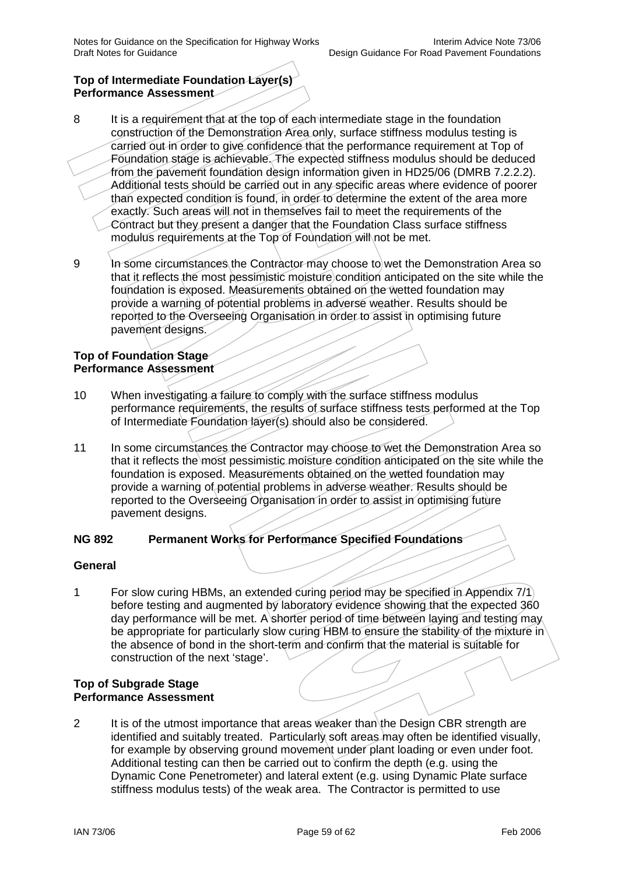## **Top of Intermediate Foundation Layer(s) Performance Assessment**

- 8 It is a requirement that at the top of each intermediate stage in the foundation construction of the Demonstration Area only, surface stiffness modulus testing is carried out in order to give confidence that the performance requirement at Top of Foundation stage is achievable. The expected stiffness modulus should be deduced from the pavement foundation design information given in HD25/06 (DMRB 7.2.2.2). Additional tests should be carried out in any specific areas where evidence of poorer than expected condition is found, in order to determine the extent of the area more exactly. Such areas will not in themselves fail to meet the requirements of the Contract but they present a danger that the Foundation Class surface stiffness modulus requirements at the Top of Foundation will not be met.
- 9 In some circumstances the Contractor may choose to wet the Demonstration Area so that it reflects the most pessimistic moisture condition anticipated on the site while the foundation is exposed. Measurements obtained on the wetted foundation may provide a warning of potential problems in adverse weather. Results should be reported to the Overseeing Organisation in order to assist in optimising future pavement designs.

### **Top of Foundation Stage Performance Assessment**

- 10 When investigating a failure to comply with the surface stiffness modulus performance requirements, the results of surface stiffness tests performed at the Top of Intermediate Foundation layer(s) should also be considered.
- 11 In some circumstances the Contractor may choose to wet the Demonstration Area so that it reflects the most pessimistic moisture condition anticipated on the site while the foundation is exposed. Measurements obtained on the wetted foundation may provide a warning of potential problems in adverse weather. Results should be reported to the Overseeing Organisation in order to assist in optimising future pavement designs.

### **NG 892 Permanent Works for Performance Specified Foundations**

### **General**

1 For slow curing HBMs, an extended curing period may be specified in Appendix 7/1 before testing and augmented by laboratory evidence showing that the expected 360 day performance will be met. A shorter period of time between laying and testing may be appropriate for particularly slow curing HBM to ensure the stability of the mixture in the absence of bond in the short-term and confirm that the material is suitable for construction of the next 'stage'.

### **Top of Subgrade Stage Performance Assessment**

2 It is of the utmost importance that areas weaker than the Design CBR strength are identified and suitably treated. Particularly soft areas may often be identified visually, for example by observing ground movement under plant loading or even under foot. Additional testing can then be carried out to confirm the depth (e.g. using the Dynamic Cone Penetrometer) and lateral extent (e.g. using Dynamic Plate surface stiffness modulus tests) of the weak area. The Contractor is permitted to use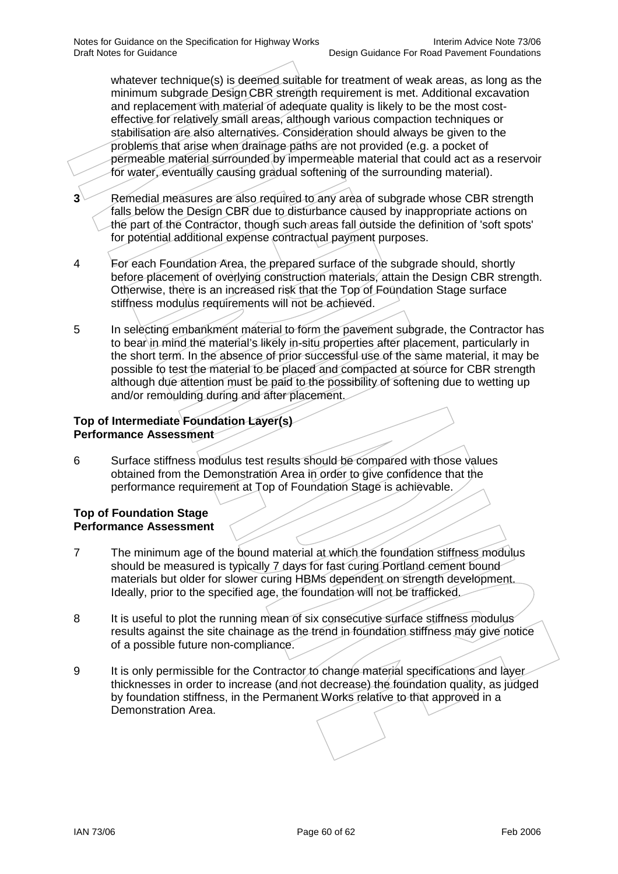whatever technique(s) is deemed suitable for treatment of weak areas, as long as the minimum subgrade Design CBR strength requirement is met. Additional excavation and replacement with material of adequate quality is likely to be the most costeffective for relatively small areas, although various compaction techniques or stabilisation are also alternatives. Consideration should always be given to the problems that arise when drainage paths are not provided (e.g. a pocket of permeable material surrounded by impermeable material that could act as a reservoir for water, eventually causing gradual softening of the surrounding material).

- **3** Remedial measures are also required to any area of subgrade whose CBR strength falls below the Design CBR due to disturbance caused by inappropriate actions on the part of the Contractor, though such areas fall outside the definition of 'soft spots' for potential additional expense contractual payment purposes.
- 4 For each Foundation Area, the prepared surface of the subgrade should, shortly before placement of overlying construction materials, attain the Design CBR strength. Otherwise, there is an increased risk that the Top of Foundation Stage surface stiffness modulus requirements will not be achieved.
- 5 In selecting embankment material to form the pavement subgrade, the Contractor has to bear in mind the material's likely in-situ properties after placement, particularly in the short term. In the absence of prior successful use of the same material, it may be possible to test the material to be placed and compacted at source for CBR strength although due attention must be paid to the possibility of softening due to wetting up and/or remoulding during and after placement.

## **Top of Intermediate Foundation Layer(s) Performance Assessment**

6 Surface stiffness modulus test results should be compared with those values obtained from the Demonstration Area in order to give confidence that the performance requirement at Top of Foundation Stage is achievable.

### **Top of Foundation Stage Performance Assessment**

- 7 The minimum age of the bound material at which the foundation stiffness modulus should be measured is typically 7 days for fast curing Portland cement bound materials but older for slower curing HBMs dependent on strength development. Ideally, prior to the specified age, the foundation will not be trafficked.
- 8 It is useful to plot the running mean of six consecutive surface stiffness modulus results against the site chainage as the trend in foundation stiffness may give notice of a possible future non-compliance.
- 9 It is only permissible for the Contractor to change material specifications and layer thicknesses in order to increase (and not decrease) the foundation quality, as judged by foundation stiffness, in the Permanent Works relative to that approved in a Demonstration Area.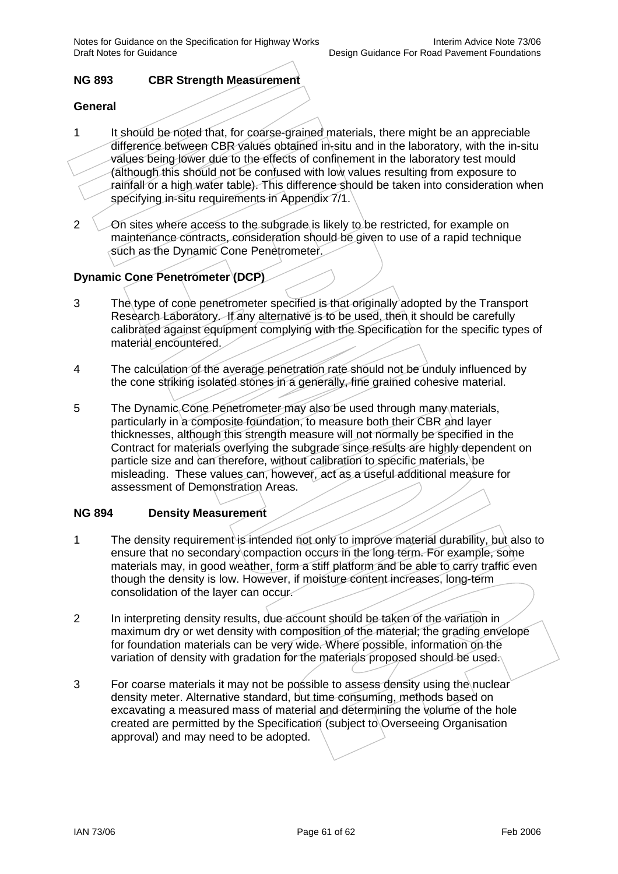Notes for Guidance on the Specification for Highway Works<br>Design Guidance For Road Pavement Foundations Interim Advice Note 73/06

## **NG 893 CBR Strength Measurement**

#### **General**

- 1 It should be noted that, for coarse-grained materials, there might be an appreciable difference between CBR values obtained in-situ and in the laboratory, with the in-situ values being lower due to the effects of confinement in the laboratory test mould (although this should not be confused with low values resulting from exposure to rainfall or a high water table). This difference should be taken into consideration when specifying in-situ requirements in Appendix 7/1.
- 2 On sites where access to the subgrade is likely to be restricted, for example on maintenance contracts, consideration should be given to use of a rapid technique such as the Dynamic Cone Penetrometer.

# **Dynamic Cone Penetrometer (DCP)**

- 3 The type of cone penetrometer specified is that originally adopted by the Transport Research Laboratory. If any alternative is to be used, then it should be carefully calibrated against equipment complying with the Specification for the specific types of material encountered.
- 4 The calculation of the average penetration rate should not be unduly influenced by the cone striking isolated stones in a generally, fine grained cohesive material.
- 5 The Dynamic Cone Penetrometer may also be used through many materials, particularly in a composite foundation, to measure both their CBR and layer thicknesses, although this strength measure will not normally be specified in the Contract for materials overlying the subgrade since results are highly dependent on particle size and can therefore, without calibration to specific materials, be misleading. These values can, however, act as a useful additional measure for assessment of Demonstration Areas.

#### **NG 894 Density Measurement**

- 1 The density requirement is intended not only to improve material durability, but also to ensure that no secondary compaction occurs in the long term. For example, some materials may, in good weather, form a stiff platform and be able to carry traffic even though the density is low. However, if moisture content increases, long-term consolidation of the layer can occur.
- 2 In interpreting density results, due account should be taken of the variation in maximum dry or wet density with composition of the material; the grading envelope for foundation materials can be very wide. Where possible, information on the variation of density with gradation for the materials proposed should be used.
- 3 For coarse materials it may not be possible to assess density using the nuclear density meter. Alternative standard, but time consuming, methods based on excavating a measured mass of material and determining the volume of the hole created are permitted by the Specification (subject to Overseeing Organisation approval) and may need to be adopted.